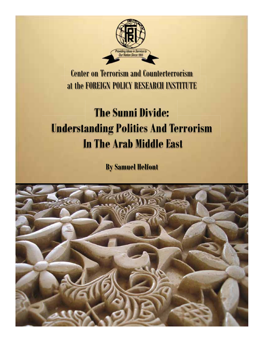

Center on Terrorism and Counterterrorism at the FOREIGN POLICY RESEARCH INSTITUTE

# **The Sunni Divide: Understanding Politics And Terrorism In The Arab Middle East**

**By Samuel Helfont**

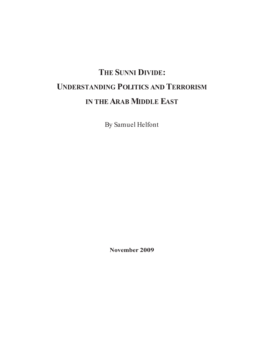## **THE SUNNI DIVIDE: UNDERSTANDING POLITICS AND TERRORISM IN THEARAB MIDDLE EAST**

By Samuel Helfont

**November 2009**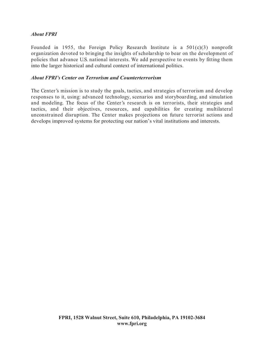#### *About FPRI*

Founded in 1955, the Foreign Policy Research Institute is a  $501(c)(3)$  nonprofit organization devoted to bringing the insights of scholarship to bear on the development of policies that advance U.S. national interests. We add perspective to events by fitting them into the larger historical and cultural context of international politics.

#### *About FPRI's Center on Terrorism and Counterterrorism*

The Center's mission is to study the goals, tactics, and strategies of terrorism and develop responses to it, using: advanced technology, scenarios and storyboarding, and simulation and modeling. The focus of the Center's research is on terrorists, their strategies and tactics, and their objectives, resources, and capabilities for creating multilateral unconstrained disruption. The Center makes projections on future terrorist actions and develops improved systems for protecting our nation's vital institutions and interests.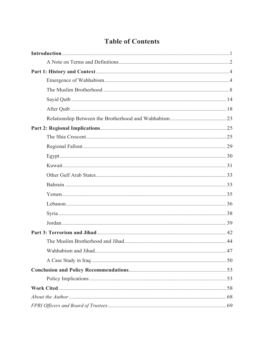### **Table of Contents**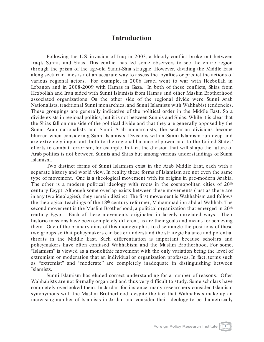#### **Introduction**

Following the U.S. invasion of Iraq in 2003, a bloody conflict broke out between Iraq's Sunnis and Shias. This conflict has led some observers to see the entire region through the prism of the age-old Sunni-Shia struggle. However, dividing the Middle East along sectarian lines is not an accurate way to assess the loyalties or predict the actions of various regional actors. For example, in 2006 Israel went to war with Hezbollah in Lebanon and in 2008-2009 with Hamas in Gaza. In both of these conflicts, Shias from Hezbollah and Iran sided with Sunni Islamists from Hamas and other Muslim Brotherhood associated organizations. On the other side of the regional divide were Sunni Arab Nationalists, traditional Sunni monarchies, and Sunni Islamists with Wahhabist tendencies. These groupings are generally indicative of the political order in the Middle East. So a divide exists in regional politics, but it is not between Sunnis and Shias. While it is clear that the Shias fall on one side of the political divide and that they are generally opposed by the Sunni Arab nationalists and Sunni Arab monarchists, the sectarian divisions become blurred when considering Sunni Islamists. Divisions within Sunni Islamism run deep and are extremely important, both to the regional balance of power and to the United States' efforts to combat terrorism, for example. In fact, the division that will shape the future of Arab politics is not between Sunnis and Shias but among various understandings of Sunni Islamism.

Two distinct forms of Sunni Islamism exist in the Arab Middle East, each with a separate history and world view. In reality these forms of Islamism are not even the same type of movement. One is a theological movement with its origins in pre-modern Arabia. The other is a modern political ideology with roots in the cosmopolitan cities of 20<sup>th</sup> century Egypt. Although some overlap exists between these movements (just as there are in any two ideologies), they remain distinct. The first movement is Wahhabism and follows the theological teachings of the 18th century reformer, Muhammad ibn abd al-Wahhab. The second movement is the Muslim Brotherhood, a political organization that emerged in 20<sup>th</sup> century Egypt. Each of these movements originated in largely unrelated ways. Their historic missions have been completely different, as are their goals and means for achieving them. One of the primary aims of this monograph is to disentangle the positions of these two groups so that policymakers can better understand the strategic balance and potential threats in the Middle East. Such differentiation is important because scholars and policymakers have often confused Wahhabism and the Muslim Brotherhood. For some, "Islamism" is viewed as a monolithic movement with the only variation being the level of extremism or moderation that an individual or organization professes. In fact, terms such as "extremist" and "moderate" are completely inadequate in distinguishing between Islamists.

Sunni Islamism has eluded correct understanding for a number of reasons. Often Wahhabists are not formally organized and thus very difficult to study. Some scholars have completely overlooked them. In Jordan for instance, many researchers consider Islamism synonymous with the Muslim Brotherhood, despite the fact that Wahhabists make up an increasing number of Islamists in Jordan and consider their ideology to be diametrically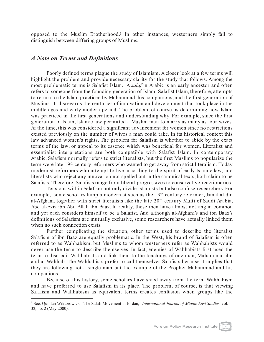opposed to the Muslim Brotherhood.1 In other instances, westerners simply fail to distinguish between differing groups of Muslims.

#### *A Note on Terms and Definitions*

Poorly defined terms plague the study of Islamism. A closer look at a few terms will highlight the problem and provide necessary clarity for the study that follows. Among the most problematic terms is Salafist Islam. A *salaf* in Arabic is an early ancestor and often refers to someone from the founding generation of Islam. Salafist Islam, therefore, attempts to return to the Islam practiced by Muhammad, his companions, and the first generation of Muslims. It disregards the centuries of innovation and development that took place in the middle ages and early modern period. The problem, of course, is determining how Islam was practiced in the first generations and understanding why. For example, since the first generation of Islam, Islamic law permitted a Muslim man to marry as many as four wives. At the time, this was considered a significant advancement for women since no restrictions existed previously on the number of wives a man could take. In its historical context this law advanced women's rights. The problem for Salafism is whether to abide by the exact terms of the law, or appeal to its essence which was beneficial for women. Literalist and essentialist interpretations are both compatible with Salafist Islam. In contemporary Arabic, Salafism normally refers to strict literalists, but the first Muslims to popularize the term were late 19th century reformers who wanted to get away from strict literalism. Today modernist reformers who attempt to live according to the spirit of early Islamic law, and literalists who reject any innovation not spelled out in the canonical texts, both claim to be Salafists. Therefore, Salafists range from liberal-progressives to conservative-reactionaries.

Tensions within Salafism not only divide Islamists but also confuse researchers. For example, some scholars lump a modernist such as the 19th century reformer, Jamal al-din al-Afghani, together with strict literalists like the late 20th century Mufti of Saudi Arabia, Abd al-Aziz ibn Abd Allah ibn Baaz. In reality, these men have almost nothing in common and yet each considers himself to be a Salafist. And although al-Afghani's and ibn Baaz's definitions of Salafism are mutually exclusive, some researchers have actually linked them when no such connection exists.

Further complicating the situation, other terms used to describe the literalist Salafism of ibn Baaz are equally problematic. In the West, his brand of Salafism is often referred to as Wahhabism, but Muslims to whom westerners refer as Wahhabists would never use the term to describe themselves. In fact, enemies of Wahhabists first used the term to discredit Wahhabists and link them to the teachings of one man, Muhammad ibn abd al-Wahhab. The Wahhabists prefer to call themselves Salafists because it implies that they are following not a single man but the example of the Prophet Muhammad and his companions.

Because of this history, some scholars have shied away from the term Wahhabism and have preferred to use Salafism in its place. The problem, of course, is that viewing Salafism and Wahhabism as equivalent terms creates confusion when groups like the

<sup>1</sup> See: Quintan Wiktorowicz, "The Salafi Movement in Jordan," *International Journal of Middle East Studies*, vol. 32, no. 2 (May 2000).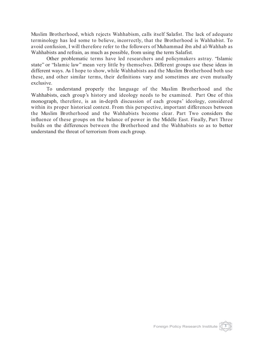Muslim Brotherhood, which rejects Wahhabism, calls itself Salafist. The lack of adequate terminology has led some to believe, incorrectly, that the Brotherhood is Wahhabist. To avoid confusion, I will therefore refer to the followers of Muhammad ibn abd al-Wahhab as Wahhabists and refrain, as much as possible, from using the term Salafist.

Other problematic terms have led researchers and policymakers astray. "Islamic state" or "Islamic law" mean very little by themselves. Different groups use these ideas in different ways. As I hope to show, while Wahhabists and the Muslim Brotherhood both use these, and other similar terms, their definitions vary and sometimes are even mutually exclusive.

To understand properly the language of the Muslim Brotherhood and the Wahhabists, each group's history and ideology needs to be examined. Part One of this monograph, therefore, is an in-depth discussion of each groups' ideology, considered within its proper historical context. From this perspective, important differences between the Muslim Brotherhood and the Wahhabists become clear. Part Two considers the influence of these groups on the balance of power in the Middle East. Finally, Part Three builds on the differences between the Brotherhood and the Wahhabists so as to better understand the threat of terrorism from each group.

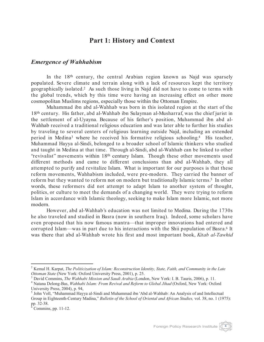#### **Part 1: History and Context**

#### *Emergence of Wahhabism*

In the 18<sup>th</sup> century, the central Arabian region known as Najd was sparsely populated. Severe climate and terrain along with a lack of resources kept the territory geographically isolated.2 As such those living in Najd did not have to come to terms with the global trends, which by this time were having an increasing effect on other more cosmopolitan Muslims regions, especially those within the Ottoman Empire.

Muhammad ibn abd al-Wahhab was born in this isolated region at the start of the 18th century. His father, abd al-Wahhab ibn Sulayman al-Musharraf, was the chief jurist in the settlement of al-Uyayna. Because of his father's position, Muhammad ibn abd al-Wahhab received a traditional religious education and was later able to further his studies by traveling to several centers of religious learning outside Najd, including an extended period in Medina3 where he received his formative religious schooling.4 His teacher, Muhammad Hayya al-Sindi, belonged to a broader school of Islamic thinkers who studied and taught in Medina at that time. Through al-Sindi, abd al-Wahhab can be linked to other "revivalist" movements within 18th century Islam. Though these other movements used different methods and came to different conclusions than abd al-Wahhab, they all attempted to purify and revitalize Islam. What is important for our purposes is that these reform movements, Wahhabism included, were pre-modern. They carried the banner of reform but they wanted to reform not on modern but traditionally Islamic terms.5 In other words, these reformers did not attempt to adapt Islam to another system of thought, politics, or culture to meet the demands of a changing world. They were trying to reform Islam in accordance with Islamic theology, seeking to make Islam more Islamic, not more modern.

However, abd al-Wahhab's education was not limited to Medina. During the 1730s he also traveled and studied in Basra (now in southern Iraq). Indeed, some scholars have even proposed that his now famous mantra—that improper innovations had entered and corrupted Islam—was in part due to his interactions with the Shii population of Basra.6 It was there that abd al-Wahhab wrote his first and most important book, *Kitab al-Tawhid*

<sup>2</sup> Kemal H. Karpat, *The Politicization of Islam: Reconstruction Identity, State, Faith, and Community in the Late* 

 $^3$  David Commins, *The Wahhabi Mission and Saudi Arabia* (London, New York: I. B. Tauris, 2006), p. 11.<br><sup>4</sup> Natana Delong-Bas, *Wahhabi Islam: From Revival and Reform to Global Jihad* (Oxford, New York: Oxford

University Press, 2004), p. 94,

<sup>5</sup> John Voll, "Muhammad Hayya al-Sindi and Muhammad ibn 'Abd al-Wahhab: An Analysis of and Intellectual Group in Eighteenth-Century Madina," *Bulletin of the School of Oriental and African Studies*, vol. 38, no. 1 (1975):<br>pp. 32-38.

Commins, pp.  $11-12$ .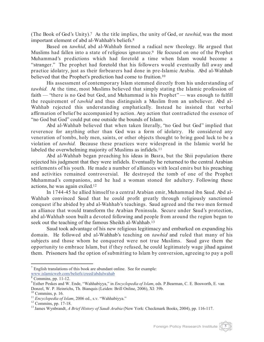(The Book of God's Unity).7 As the title implies, the unity of God, or *tawhid*, was the most important element of abd al-Wahhab's beliefs.8

Based on *tawhid*, abd al-Wahhab formed a radical new theology. He argued that Muslims had fallen into a state of religious ignorance.<sup>9</sup> He focused on one of the Prophet Muhammad's predictions which had foretold a time when Islam would become a "stranger." The prophet had foretold that his followers would eventually fall away and practice idolatry, just as their forbearers had done in pre-Islamic Arabia. Abd al-Wahhab believed that the Prophet's prediction had come to fruition.<sup>10</sup>

His assessment of contemporary Islam stemmed directly from his understanding of *tawhid*. At the time, most Muslims believed that simply stating the Islamic profession of faith — "there is no God but God, and Muhammad is his Prophet" — was enough to fulfill the requirement of *tawhid* and thus distinguish a Muslim from an unbeliever. Abd al-Wahhab rejected this understanding emphatically. Instead he insisted that verbal affirmation of belief be accompanied by action. Any action that contradicted the essence of "no God but God" could put one outside the bounds of Islam.

Abd al-Wahhab believed that when taken literally, "no God but God" implied that reverence for anything other than God was a form of idolatry. He considered any veneration of tombs, holy men, saints, or other objects thought to bring good luck to be a violation of *tawhid*. Because these practices were widespread in the Islamic world he labeled the overwhelming majority of Muslims as infidels.<sup>11</sup>

Abd al-Wahhab began preaching his ideas in Basra, but the Shii population there rejected his judgment that they were infidels. Eventually he returned to the central Arabian settlements of his youth. He made a number of alliances with local emirs but his preaching and activities remained controversial. He destroyed the tomb of one of the Prophet Muhammad's companions, and he had a woman stoned for adultery. Following these actions, he was again exiled. 12

In 1744-45 he allied himself to a central Arabian emir, Muhammad ibn Saud. Abd al-Wahhab convinced Saud that he could profit greatly through religiously sanctioned conquest if he abided by abd al-Wahhab's teachings. Saud agreed and the two men formed an alliance that would transform the Arabian Peninsula. Secure under Saud's protection, abd al-Wahhab soon built a devoted following and people from around the region began to seek out the teaching of the famous Sheikh al-Wahhab.<sup>13</sup>

Saud took advantage of his new religious legitimacy and embarked on expanding his domain. He followed abd al-Wahhab's teaching on *tawhid* and ruled that many of his subjects and those whom he conquered were not true Muslims. Saud gave them the opportunity to embrace Islam, but if they refused, he could legitimately wage jihad against them. Prisoners had the option of submitting to Islam by conversion, agreeing to pay a poll

 $7$  English translations of this book are abundant online. See for example: www.islamicweb.com/beliefs/creed/abdulwahab

<sup>&</sup>lt;sup>8</sup> Commins, pp. 11-12.<br><sup>9</sup> Esther Peskes and W. Ende, "Wahhabiyya," in *Encyclopedia of Islam*, eds. P.Bearman, C. E. Bosworth, E. van Donzel, W. P. Heinrichs, Th. Bianquis (Leiden: Brill Online, 2006), XI: 39b.<br><sup>10</sup> Commins, p. 16.<br><sup>11</sup> *Encyclopedia of Islam*, 2006 ed., s.v. "Wahhabiyya."<br><sup>12</sup> Commins, pp. 17-18.<br><sup>13</sup> James Wynbrandt, *A Brief History o*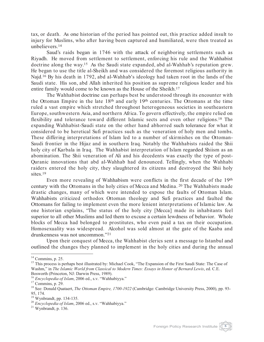tax, or death. As one historian of the period has pointed out, this practice added insult to injury for Muslims, who after having been captured and humiliated, were then treated as unbelievers.14

Saud's raids began in 1746 with the attack of neighboring settlements such as Riyadh. He moved from settlement to settlement, enforcing his rule and the Wahhabist doctrine along the way.15 As the Saudi state expanded, abd al-Wahhab's reputation grew. He began to use the title al-Sheikh and was considered the foremost religious authority in Najd.16 By his death in 1792, abd al-Wahhab's ideology had taken root in the lands of the Saudi state. His son, abd Allah inherited his position as supreme religious leader and his entire family would come to be known as the House of the Sheikh.<sup>17</sup>

The Wahhabist doctrine can perhaps best be understood through its encounter with the Ottoman Empire in the late 18th and early 19th centuries. The Ottomans at the time ruled a vast empire which stretched throughout heterogeneous societies in southeastern Europe, southwestern Asia, and northern Africa. To govern effectively, the empire relied on flexibility and tolerance toward different Islamic sects and even other religions.18 The expanding Wahhabist-Saudi state on the other hand abhorred such tolerance for what it considered to be heretical Sufi practices such as the veneration of holy men and tombs. These differing interpretations of Islam led to a number of skirmishes on the Ottoman-Saudi frontier in the Hijaz and in southern Iraq. Notably the Wahhabists raided the Shii holy city of Karbala in Iraq. The Wahhabist interpretation of Islam regarded Shiism as an abomination. The Shii veneration of Ali and his decedents was exactly the type of post-Quranic innovations that abd al-Wahhab had denounced. Tellingly, when the Wahhabi raiders entered the holy city, they slaughtered its citizens and destroyed the Shii holy sites.<sup>19</sup>

Even more revealing of Wahhabism were conflicts in the first decade of the 19th century with the Ottomans in the holy cities of Mecca and Medina. <sup>20</sup> The Wahhabists made drastic changes, many of which were intended to expose the faults of Ottoman Islam. Wahhabists criticized orthodox Ottoman theology and Sufi practices and faulted the Ottomans for failing to implement even the more lenient interpretations of Islamic law. As one historian explains, "The status of the holy city [Mecca] made its inhabitants feel superior to all other Muslims and led them to excuse a certain lewdness of behavior. Whole blocks of Mecca had belonged to prostitutes, who even paid a tax on their occupation. Homosexuality was widespread. Alcohol was sold almost at the gate of the Kaaba and drunkenness was not uncommon."21

Upon their conquest of Mecca, the Wahhabist clerics sent a message to Istanbul and outlined the changes they planned to implement in the holy cities and during the annual



<sup>&</sup>lt;sup>14</sup> Commins, p. 25.<br><sup>15</sup> This process is perhaps best illustrated by: Michael Cook, "The Expansion of the First Saudi State: The Case of Washm," in *The Islamic World from Classical to Modern Times: Essays in Honor of Bernard Lewis*, ed. C.E. Bosworth (Princeton, NJ: Darwin Press, 1989).<br><sup>16</sup> *Encyclopedia of Islam*, 2006 ed., s.v. "Wahhabiyya."<br><sup>17</sup> Commins, p. 29.<br><sup>18</sup> See: Donald Quataert, *The Ottoman Empire, 1700-1922* (Cambridge: Cambridge University Pres

<sup>95, 174.&</sup>lt;br><sup>19</sup> Wynbrandt, pp. 134-135.

<sup>&</sup>lt;sup>20</sup> Encyclopedia of Islam, 2006 ed., s.v. "Wahhabiyya." 21 Wynbrandt, p. 136.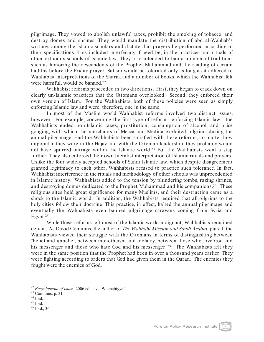pilgrimage. They vowed to abolish unlawful taxes, prohibit the smoking of tobacco, and destroy domes and shrines. They would mandate the distribution of abd al-Wahhab's writings among the Islamic scholars and dictate that prayers be performed according to their specifications. This included interfering, if need be, in the practices and rituals of other orthodox schools of Islamic law. They also intended to ban a number of traditions such as honoring the descendents of the Prophet Muhammad and the reading of certain hadiths before the Friday prayer. Sufism would be tolerated only as long as it adhered to Wahhabist interpretations of the Sharia, and a number of books, which the Wahhabist felt were harmful, would be banned.22

Wahhabist reforms proceeded in two directions. First, they began to crack down on clearly un-Islamic practices that the Ottomans overlooked. Second, they enforced their own version of Islam. For the Wahhabists, both of these policies were seen as simply enforcing Islamic law and were, therefore, one in the same.

In most of the Muslim world Wahhabist reforms involved two distinct issues, however. For example, concerning the first type of reform—enforcing Islamic law—the Wahhabists ended non-Islamic taxes, prostitution, consumption of alcohol, and price gouging, with which the merchants of Mecca and Medina exploited pilgrims during the annual pilgrimage. Had the Wahhabists been satisfied with these reforms, no matter how unpopular they were in the Hejaz and with the Ottoman leadership, they probably would not have spurred outrage within the Islamic world.23 But the Wahhabists went a step further. They also enforced their own literalist interpretation of Islamic rituals and prayers. Unlike the four widely accepted schools of Sunni Islamic law, which despite disagreement granted legitimacy to each other, Wahhabists refused to practice such tolerance. In fact, Wahhabist interference in the rituals and methodology of other schools was unprecedented in Islamic history. Wahhabists added to the tension by plundering tombs, razing shrines, and destroying domes dedicated to the Prophet Muhammad and his companions.24 These religious sites held great significance for many Muslims, and their destruction came as a shock to the Islamic world. In addition, the Wahhabists required that all pilgrims to the holy cities follow their doctrine. This practice, in effect, halted the annual pilgrimage and eventually the Wahhabists even banned pilgrimage caravans coming from Syria and Egypt.25

While these reforms left most of the Islamic world indignant, Wahhabists remained defiant. As David Commins, the author of *The Wahhabi Mission and Saudi Arabia*, puts it, the Wahhabists viewed their struggle with the Ottomans in terms of distinguishing between "belief and unbelief, between monotheism and idolatry, between those who love God and his messenger and those who hate God and his messenger."<sup>26</sup> The Wahhabists felt they were in the same position that the Prophet had been in over a thousand years earlier. They were fighting according to orders that God had given them in the Quran. The enemies they fought were the enemies of God.

<sup>&</sup>lt;sup>22</sup> *Encyclopedia of Islam*, 2006 ed., s.v. "Wahhabiyya."<br><sup>23</sup> Commins, p. 31.<br><sup>24</sup> Ibid. <sup>25</sup> Ibid. <sup>25</sup> Ibid., 36.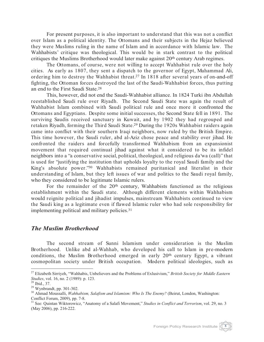For present purposes, it is also important to understand that this was not a conflict over Islam as a political identity. The Ottomans and their subjects in the Hejaz believed they were Muslims ruling in the name of Islam and in accordance with Islamic law. The Wahhabists' critique was theological. This would be in stark contrast to the political critiques the Muslims Brotherhood would later make against 20th century Arab regimes.

The Ottomans, of course, were not willing to accept Wahhabist rule over the holy cities. As early as 1807, they sent a dispatch to the governor of Egypt, Muhammad Ali, ordering him to destroy the Wahhabist threat.27 In 1818 after several years of on-and-off fighting, the Ottoman forces destroyed the last of the Saudi-Wahhabist forces, thus putting an end to the First Saudi State.28

This, however, did not end the Saudi-Wahhabist alliance. In 1824 Turki ibn Abdullah reestablished Saudi rule over Riyadh. The Second Saudi State was again the result of Wahhabist Islam combined with Saudi political rule and once more it confronted the Ottomans and Egyptians. Despite some initial successes, the Second State fell in 1891. The surviving Saudis received sanctuary in Kuwait, and by 1902 they had regrouped and retaken Riyadh, forming the Third Saudi State.29 During the 1920s Wahhabist raiders again came into conflict with their southern Iraqi neighbors, now ruled by the British Empire. This time however, the Saudi ruler, abd al-Aziz chose peace and stability over jihad. He confronted the raiders and forcefully transformed Wahhabism from an expansionist movement that required continual jihad against what it considered to be its infidel neighbors into a "a conservative social, political, theological, and religious da'wa (call)" that is used for "justifying the institution that upholds loyalty to the royal Saudi family and the King's absolute power."30 Wahhabists remained puritanical and literalist in their understanding of Islam, but they left issues of war and politics to the Saudi royal family, who they considered to be legitimate Islamic rulers.

For the remainder of the 20<sup>th</sup> century, Wahhabists functioned as the religious establishment within the Saudi state. Although different elements within Wahhabism would reignite political and jihadist impulses, mainstream Wahhabists continued to view the Saudi king as a legitimate even if flawed Islamic ruler who had sole responsibility for implementing political and military policies.31

#### *The Muslim Brotherhood*

The second stream of Sunni Islamism under consideration is the Muslim Brotherhood. Unlike abd al-Wahhab, who developed his call to Islam in pre-modern conditions, the Muslim Brotherhood emerged in early 20th century Egypt, a vibrant cosmopolitan society under British occupation. Modern political ideologies, such as

<sup>&</sup>lt;sup>27</sup> Elizabeth Sirriyeh, "Wahhabis, Unbelievers and the Problems of Exlusivism," *British Society for Middle Eastern Studies*, vol. 16, no. 2 (1989): p. 123.

<sup>&</sup>lt;sup>28</sup> Ibid., 37.<br><sup>29</sup> Wynbrandt, pp. 301-302.<br><sup>30</sup> Ahmad Moussalli, *Wahhabism, Salafism and Islamism: Who Is The Enemy?* (Beirut, London, Washington: Conflict Forum, 2009), pp. 7-8.

Conflict Forum, 2009), pp. 7-8. <sup>31</sup> See: Quintan Wiktorowicz, "Anatomy of a Salafi Movement," *Studies in Conflict and Terrorism*, vol. 29, no. 3 (May 2006), pp. 216-222.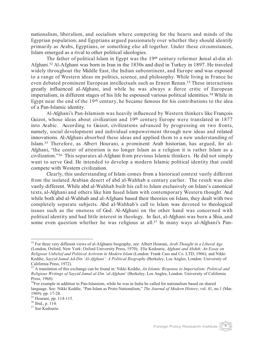nationalism, liberalism, and socialism where competing for the hearts and minds of the Egyptian population, and Egyptians argued passionately over whether they should identify primarily as Arabs, Egyptians, or something else all together. Under these circumstances, Islam emerged as a rival to other political ideologies.

The father of political Islam in Egypt was the 19<sup>th</sup> century reformer Jamal al-din al-Afghani.32 Al-Afghani was born in Iran in the 1830s and died in Turkey in 1897. He traveled widely throughout the Middle East, the Indian subcontinent, and Europe and was exposed to a range of Western ideas on politics, science, and philosophy. While living in France he even debated prominent European intellectuals such as Ernest Renan.33 These interactions greatly influenced al-Afghani, and while he was always a fierce critic of European imperialism, in different stages of his life he espoused various political identities.34 While in Egypt near the end of the 19<sup>th</sup> century, he became famous for his contributions to the idea of a Pan-Islamic identity.

Al-Afghani's Pan-Islamism was heavily influenced by Western thinkers like François Guizot, whose ideas about civilization and 19th century Europe were translated in 1877 into Arabic. According to Guizot, civilizations advanced by progressing on two fronts, namely, social development and individual empowerment through new ideas and related innovations. Al-Afghani absorbed these ideas and applied them to a new understanding of Islam.35 Therefore, as Albert Hourani, a prominent Arab historian, has argued, for al-Afghani, "the center of attention is no longer Islam as a religion it is rather Islam as a civilization."36 This separates al-Afghani from previous Islamic thinkers. He did not simply want to serve God. He intended to develop a modern Islamic political identity that could compete with Western civilization.

Clearly, this understanding of Islam comes from a historical context vastly different from the isolated Arabian desert of abd al-Wahhab a century earlier. The result was also vastly different. While abd al-Wahhab built his call to Islam exclusively on Islam's canonical texts, al-Afghani and others like him fused Islam with contemporary Western thought. And while both abd al-Wahhab and al-Afghani based their theories on Islam, they dealt with two completely separate subjects. Abd al-Wahhab's call to Islam was devoted to theological issues such as the oneness of God. Al-Afghani on the other hand was concerned with political identity and had little interest in theology. In fact, al-Afghani was born a Shia, and some even question whether he was religious at all.<sup>37</sup> In many ways al-Afghani's Pan-



<sup>&</sup>lt;sup>32</sup> For three very different views of al-Afghanis biography, see: Albert Hourani, *Arab Thought in a Liberal Age* (London, Oxford, New York: Oxford University Press, 1970); Elie Kedourie, *Afghani and Abduh: An Essay on Religious Unbelief and Political Activism in Modern Islam* (London: Frank Cass and Co. LTD, 1966); and Nikki Keddie, *Sayyid Jamal Ad-Din 'Al-Afghani': A Political Biography* (Berkeley, Los Angles, London: University of California Press, 1972).

<sup>33</sup> A translation of this exchange can be found in: Nikki Keddie, *An Islamic Response to Imperialism: Political and Religious Writings of Sayyid Jamal al-Din 'al-Afghani'* (Berkeley, Los Angles, London: University of California Press, 1968).

<sup>&</sup>lt;sup>34</sup>For example in addition to Pan-Islamism, while he was in India he called for nationalism based on shared language. See: Nikki Keddie, "Pan-Islam as Proto-Nationalism," *The Journal of Modern History*, vol. 41, no.1 (Mar. 1969): pp. 17-28.<br><sup>35</sup> Hourani, pp. 114-115.<br><sup>36</sup> Ibid., p. 114.<br><sup>37</sup> See Kedourie.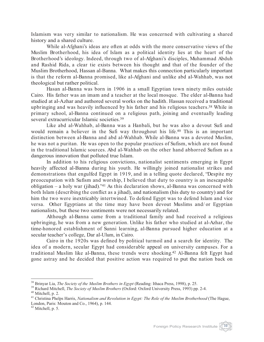Islamism was very similar to nationalism. He was concerned with cultivating a shared history and a shared culture.

While al-Afghani's ideas are often at odds with the more conservative views of the Muslim Brotherhood, his idea of Islam as a political identity lies at the heart of the Brotherhood's ideology. Indeed, through two of al-Afghani's disciples, Muhammad Abduh and Rashid Rida, a clear tie exists between his thought and that of the founder of the Muslim Brotherhood, Hassan al-Banna. What makes this connection particularly important is that the reform al-Banna promised, like al-Afghani and unlike abd al-Wahhab, was not theological but rather political.

Hasan al-Banna was born in 1906 in a small Egyptian town ninety miles outside Cairo. His father was an imam and a teacher at the local mosque. The elder al-Banna had studied at al-Azhar and authored several works on the hadith. Hassan received a traditional upbringing and was heavily influenced by his father and his religious teachers.38 While in primary school, al-Banna continued on a religious path, joining and eventually leading several extracurricular Islamic societies.39

Like abd al-Wahhab, al-Banna was a Hanbali, but he was also a devout Sufi and would remain a believer in the Sufi way throughout his life.40 This is an important distinction between al-Banna and abd al-Wahhab. While al-Banna was a devoted Muslim, he was not a puritan. He was open to the popular practices of Sufism, which are not found in the traditional Islamic sources. Abd al-Wahhab on the other hand abhorred Sufism as a dangerous innovation that polluted true Islam.

In addition to his religious convictions, nationalist sentiments emerging in Egypt heavily affected al-Banna during his youth. He willingly joined nationalist strikes and demonstrations that engulfed Egypt in 1919, and in a telling quote declared, "Despite my preoccupation with Sufism and worship, I believed that duty to country is an inescapable obligation – a holy war (jihad)."41 As this declaration shows, al-Banna was concerned with both Islam (describing the conflict as a jihad), and nationalism (his duty to country) and for him the two were inextricably intertwined. To defend Egypt was to defend Islam and vice versa. Other Egyptians at the time may have been devout Muslims and/ or Egyptian nationalists, but these two sentiments were not necessarily related.

Although al-Banna came from a traditional family and had received a religious upbringing, he was from a new generation. Unlike his father who studied at al-Azhar, the time-honored establishment of Sunni learning, al-Banna pursued higher education at a secular teacher's college, Dar al-Ulum, in Cairo.

Cairo in the 1920s was defined by political turmoil and a search for identity. The idea of a modern, secular Egypt had considerable appeal on university campuses. For a traditional Muslim like al-Banna, these trends were shocking.42 Al-Banna felt Egypt had gone astray and he decided that positive action was required to put the nation back on



<sup>&</sup>lt;sup>38</sup> Brinyar Lia, *The Society of the Muslim Brothers in Egypt* (Reading: Ithaca Press, 1998), p. 25.<br><sup>39</sup> Richard Mitchell, *The Society of Muslim Brothers* (Oxford: Oxford University Press, 1993) pp. 2-4.<br><sup>40</sup> Mitchell,

London, Paris: Mouton and Co., 1964), p. 144. <sup>42</sup> Mitchell, p. 5.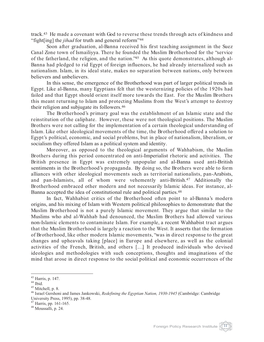track.43 He made a covenant with God to reverse these trends through acts of kindness and "fight[ing] the *jihad* for truth and general reform"44

Soon after graduation, al-Banna received his first teaching assignment in the Suez Canal Zone town of Ismailiyya. There he founded the Muslim Brotherhood for the "service of the fatherland, the religion, and the nation."45 As this quote demonstrates, although al-Banna had pledged to rid Egypt of foreign influences, he had already internalized such as nationalism. Islam, in its ideal state, makes no separation between nations, only between believers and unbelievers.

In this sense, the emergence of the Brotherhood was part of larger political trends in Egypt. Like al-Banna, many Egyptians felt that the westernizing policies of the 1920s had failed and that Egypt should orient itself more towards the East. For the Muslim Brothers this meant returning to Islam and protecting Muslims from the West's attempt to destroy their religion and subjugate its followers.46

The Brotherhood's primary goal was the establishment of an Islamic state and the reinstitution of the caliphate. However, these were not theological positions. The Muslim Brothers were not calling for the implementation of a certain theological understanding of Islam. Like other ideological movements of the time, the Brotherhood offered a solution to Egypt's political, economic, and social problems, but in place of nationalism, liberalism, or socialism they offered Islam as a political system and identity.

Moreover, as opposed to the theological arguments of Wahhabism, the Muslim Brothers during this period concentrated on anti-Imperialist rhetoric and activities. The British presence in Egypt was extremely unpopular and al-Banna used anti-British sentiments in the Brotherhood's propaganda. By doing so, the Brothers were able to form alliances with other ideological movements such as territorial nationalists, pan-Arabists, and pan-Islamists, all of whom were vehemently anti-British.47 Additionally the Brotherhood embraced other modern and not necessarily Islamic ideas. For instance, al-Banna accepted the idea of constitutional rule and political parties.<sup>48</sup>

In fact, Wahhabist critics of the Brotherhood often point to al-Banna's modern origins, and his mixing of Islam with Western political philosophies to demonstrate that the Muslim Brotherhood is not a purely Islamic movement. They argue that similar to the Muslims who abd al-Wahhab had denounced, the Muslim Brothers had allowed various non-Islamic elements to contaminate Islam. For example, a recent Wahhabist tract argues that the Muslim Brotherhood is largely a reaction to the West. It asserts that the formation of Brotherhood, like other modern Islamic movements, "was in direct response to the great changes and upheavals taking [place] in Europe and elsewhere, as well as the colonial activities of the French, British, and others [.…] It produced individuals who devised ideologies and methodologies with such conceptions, thoughts and imaginations of the mind that arose in direct response to the social political and economic occurrences of the

 $\frac{47}{48}$  Harris, pp. 161-165.

<sup>&</sup>lt;sup>43</sup> Harris, p. 147.<br><sup>44</sup> Ibid.<br><sup>45</sup> Mitchell, p. 8.<br><sup>46</sup> Israel Gershoni and James Jankowski, *Redefining the Egyptian Nation, 1930-1945* (Cambridge: Cambridge<br>University Press, 1995), pp. 38-48.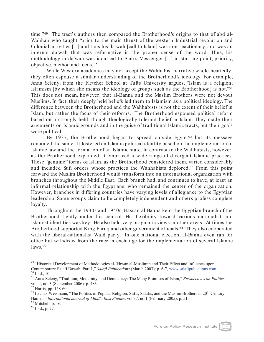time."49 The tract's authors then compared the Brotherhood's origins to that of abd al-Wahhab who taught "prior to the main thrust of the western Industrial revolution and Colonial activities […] and thus his da'wah [call to Islam] was non-reactionary, and was an internal da'wah that was reformative in the proper sense of the word. Thus, his methodology in da'wah was identical to Alah's Messenger […] in starting point, priority, objective, method and focus."50

While Western academics may not accept the Wahhabist narrative whole-heartedly, they often espouse a similar understanding of the Brotherhood's ideology. For example, Anna Seleny, from the Fletcher School at Tufts University argues, "Islam is a religion; Islamism [by which she means the ideology of groups such as the Brotherhood] is not."51 This does not mean, however, that al-Banna and the Muslim Brothers were not devout Muslims. In fact, their deeply held beliefs led them to Islamism as a political ideology. The difference between the Brotherhood and the Wahhabists is not the extent of their belief in Islam, but rather the focus of their reforms. The Brotherhood espoused political reform based on a strongly held, though theologically tolerant belief in Islam. They made their arguments on Islamic grounds and in the guise of traditional Islamic tracts, but their goals were political.

By 1937, the Brotherhood began to spread outside Egypt,<sup>52</sup> but its message remained the same. It fostered an Islamic political identity based on the implementation of Islamic law and the formation of an Islamic state. In contrast to the Wahhabists, however, as the Brotherhood expanded, it embraced a wide range of divergent Islamic practices. These "genuine" forms of Islam, as the Brotherhood considered them, varied considerably and included Sufi orders whose practices the Wahhabists deplored.53 From this point forward the Muslim Brotherhood would transform into an international organization with branches throughout the Middle East. Each branch had, and continues to have, at least an informal relationship with the Egyptians, who remained the center of the organization. However, branches in differing countries have varying levels of allegiance to the Egyptian leadership. Some groups claim to be completely independent and others profess complete loyalty.

Throughout the 1930s and 1940s, Hassan al-Banna kept the Egyptian branch of the Brotherhood tightly under his control. His flexibility toward various nationalist and Islamist identities was key. He also held very pragmatic views in other areas. At times the Brotherhood supported King Faruq and other government officials.<sup>54</sup> They also cooperated with the liberal-nationalist Wafd party. In one national election, al-Banna even ran for office but withdrew from the race in exchange for the implementation of several Islamic laws.55

<sup>&</sup>lt;sup>49</sup> "Historical Development of Methodologies al-Ikhwan al-Muslimin and Their Effect and Influence upon Contemporary Salafi Dawah: Part 1," Salafi Publications (March 2003): p. 6-7, www.salafipulications.com

<sup>&</sup>lt;sup>50</sup> Ibid., 10.<br><sup>51</sup> Anna Seleny, "Tradition, Modernity, and Democracy: The Many Promises of Islam," *Perspectives on Politics*, vol. 4, no. 3 (September 2006): p. 483.

<sup>&</sup>lt;sup>52</sup> Harris, pp. 158-60.<br><sup>53</sup> Itzchak Weismann, "The Politics of Popular Religion: Sufis, Salafis, and the Muslim Brothers in 20<sup>th</sup>-Century Hamah," *International Journal of Middle East Studies*, vol.37, no.1 (February 2005): p. 51.<br><sup>54</sup> Mitchell, p. 16.<br><sup>55</sup> Ibid., p. 27.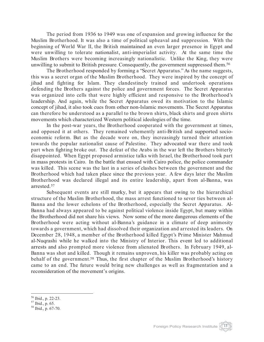The period from 1936 to 1949 was one of expansion and growing influence for the Muslim Brotherhood. It was also a time of political upheaval and suppression. With the beginning of World War II, the British maintained an even larger presence in Egypt and were unwilling to tolerate nationalist, anti-imperialist activity. At the same time the Muslim Brothers were becoming increasingly nationalistic. Unlike the King, they were unwilling to submit to British pressure. Consequently, the government suppressed them.56

The Brotherhood responded by forming a "Secret Apparatus." As the name suggests, this was a secret organ of the Muslim Brotherhood. They were inspired by the concept of jihad and fighting for Islam. They clandestinely trained and undertook operations defending the Brothers against the police and government forces. The Secret Apparatus was organized into cells that were highly efficient and responsive to the Brotherhood's leadership. And again, while the Secret Apparatus owed its motivation to the Islamic concept of jihad, it also took cues from other non-Islamic movements. The Secret Apparatus can therefore be understood as a parallel to the brown shirts, black shirts and green shirts movements which characterized Western political ideologies of the time.

In the post-war years, the Brotherhood cooperated with the government at times, and opposed it at others. They remained vehemently anti-British and supported socioeconomic reform. But as the decade wore on, they increasingly turned their attention towards the popular nationalist cause of Palestine. They advocated war there and took part when fighting broke out. The defeat of the Arabs in the war left the Brothers bitterly disappointed. When Egypt proposed armistice talks with Israel, the Brotherhood took part in mass protests in Cairo. In the battle that ensued with Cairo police, the police commander was killed. This scene was the last in a series of clashes between the government and the Brotherhood which had taken place since the previous year. A few days later the Muslim Brotherhood was declared illegal and its entire leadership, apart from al-Banna, was arrested.57

Subsequent events are still murky, but it appears that owing to the hierarchical structure of the Muslim Brotherhood, the mass arrest functioned to sever ties between al-Banna and the lower echelons of the Brotherhood, especially the Secret Apparatus. Al-Banna had always appeared to be against political violence inside Egypt, but many within the Brotherhood did not share his views. Now some of the more dangerous elements of the Brotherhood were acting without al-Banna's guidance in a climate of deep animosity towards a government, which had dissolved their organization and arrested its leaders. On December 28, 1948, a member of the Brotherhood killed Egypt's Prime Minister Mahmud al-Nuqrashi while he walked into the Ministry of Interior. This event led to additional arrests and also prompted more violence from alienated Brothers. In February 1949, al-Banna was shot and killed. Though it remains unproven, his killer was probably acting on behalf of the government.<sup>58</sup> Thus, the first chapter of the Muslim Brotherhood's history came to an end. The future would bring new challenges as well as fragmentation and a reconsideration of the movement's origins.

<sup>&</sup>lt;sup>56</sup> Ibid., p. 22-23.<br><sup>57</sup> Ibid., p. 65.<br><sup>58</sup> Ibid., p. 67-70.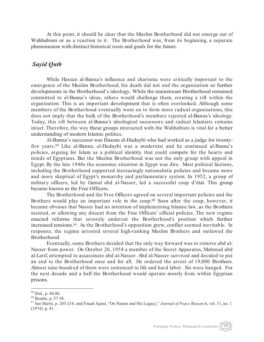At this point, it should be clear that the Muslim Brotherhood did not emerge out of Wahhabism or as a reaction to it. The Brotherhood was, from its beginning, a separate phenomenon with distinct historical roots and goals for the future.

#### *Sayid Qutb*

While Hassan al-Banna's influence and charisma were critically important to the emergence of the Muslim Brotherhood, his death did not end the organization or further developments in the Brotherhood's ideology. While the mainstream Brotherhood remained committed to al-Banna's ideas, others would challenge them, creating a rift within the organization. This is an important development that is often overlooked. Although some members of the Brotherhood eventually went on to form more radical organizations, this does not imply that the bulk of the Brotherhood's members rejected al-Banna's ideology. Today, this rift between al-Banna's ideological successors and radical Islamists remains intact. Therefore, the way these groups interacted with the Wahhabists is vital for a better understanding of modern Islamic politics.

Al-Banna's successor was Hassan al-Hudaybi who had worked as a judge for twentyfive years.59 Like al-Banna, al-Hudaybi was a modernist and he continued al-Banna's policies, arguing for Islam as a political identity that could compete for the hearts and minds of Egyptians. But the Muslim Brotherhood was not the only group with appeal in Egypt. By the late 1940s the economic situation in Egypt was dire. Most political factions, including the Brotherhood supported increasingly nationalistic policies and became more and more skeptical of Egypt's monarchy and parliamentary system. In 1952, a group of military officers, led by Gamal abd al-Nasser, led a successful coup d'état. This group became known as the Free Officers.

The Brotherhood and the Free Officers agreed on several important policies and the Brothers would play an important role in the coup.<sup>60</sup> Soon after the coup, however, it became obvious that Nasser had no intention of implementing Islamic law, as the Brothers insisted, or allowing any dissent from the Free Officers' official policies. The new regime enacted reforms that severely undercut the Brotherhood's position which further increased tensions.61 As the Brotherhood's opposition grew, conflict seemed inevitable. In response, the regime arrested several high-ranking Muslim Brothers and outlawed the Brotherhood.

Eventually, some Brothers decided that the only way forward was to remove abd al-Nasser from power. On October 26, 1954 a member of the Secret Apparatus, Mahmud abd al-Latif, attempted to assassinate abd al-Nasser. Abd al-Nasser survived and decided to put an end to the Brotherhood once and for all. He ordered the arrest of 19,000 Brothers. Almost nine-hundred of them were sentenced to life and hard labor. Six were hanged. For the next decade and a half the Brotherhood would operate mostly from within Egyptian prisons.

<sup>&</sup>lt;sup>59</sup> Ibid., p. 84-86.<br><sup>60</sup> Beattie, p. 57-58.<br><sup>61</sup> See Harris, p. 203-214; and Fouad Ajami, "On Nasser and His Legacy," *Journal of Peace Research*, vol. 11, no. 1 (1974): p. 41.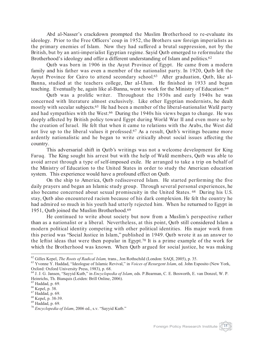Abd al-Nasser's crackdown prompted the Muslim Brotherhood to re-evaluate its ideology. Prior to the Free Officers' coup in 1952, the Brothers saw foreign imperialists as the primary enemies of Islam. Now they had suffered a brutal suppression, not by the British, but by an anti-imperialist Egyptian regime. Sayid Qutb emerged to reformulate the Brotherhood's ideology and offer a different understanding of Islam and politics.<sup>62</sup>

Qutb was born in 1906 in the Asyut Province of Egypt. He came from a modern family and his father was even a member of the nationalist party. In 1920, Qutb left the Asyut Province for Cairo to attend secondary school.63 After graduation, Qutb, like al-Banna, studied at the teachers college, Dar al-Ulum. He finished in 1933 and began teaching. Eventually he, again like al-Banna, went to work for the Ministry of Education.64

Qutb was a prolific writer. Throughout the 1930s and early 1940s he was concerned with literature almost exclusively. Like other Egyptian modernists, he dealt mostly with secular subjects. 65 He had been a member of the liberal-nationalist Wafd party and had sympathies with the West.66 During the 1940s his views began to change. He was deeply affected by British policy toward Egypt during World War II and even more so by the creation of Israel. He felt that when it came to relations with the Arabs, the West did not live up to the liberal values it professed.<sup>67</sup> As a result, Qutb's writings became more ardently nationalistic and he began to write critically about social issues affecting the country.

This adversarial shift in Qutb's writings was not a welcome development for King Faruq. The King sought his arrest but with the help of Wafd members, Qutb was able to avoid arrest through a type of self-imposed exile. He arranged to take a trip on behalf of the Ministry of Education to the United States in order to study the American education system. This experience would have a profound effect on Qutb.

On the ship to America, Qutb rediscovered Islam. He started performing the five daily prayers and began an Islamic study group. Through several personal experiences, he also became concerned about sexual promiscuity in the United States. 68 During his U.S. stay, Qutb also encountered racism because of his dark complexion. He felt the country he had admired so much in his youth had utterly rejected him. When he returned to Egypt in 1951, Qutb joined the Muslim Brotherhood.69

He continued to write about society but now from a Muslim's perspective rather than as a nationalist or a liberal. Nevertheless, at this point, Qutb still considered Islam a modern political identity competing with other political identities. His major work from this period was "Social Justice in Islam," published in 1949. Qutb wrote it as an answer to the leftist ideas that were then popular in Egypt.70 It is a prime example of the work for which the Brotherhood was known. When Qutb argued for social justice, he was making



<sup>&</sup>lt;sup>62</sup> Gilles Kepel, *The Roots of Radical Islam*, trans., Jon Rothschild (London: SAQI, 2005), p. 35.<br><sup>63</sup> Yvonne Y. Haddad, "Ideologue of Islamic Revival," in *Voices of Resurgent Islam*, ed. John Esposito (New York, Oxford: Oxford University Press, 1983), p. 68.

<sup>64</sup> J. J. G. Jansen, "Sayyid Kutb," in *Encyclopedia of Islam*, eds. P.Bearman, C. E. Bosworth, E. van Donzel, W. P. Heinrichs, Th. Bianquis (Leiden: Brill Online, 2006).<br><sup>65</sup> Haddad, p. 69.

<sup>&</sup>lt;sup>66</sup> Kepel, p. 38.<br><sup>67</sup> Haddad, p. 69.<br><sup>68</sup> Kepel, p. 38-39.<br><sup>69</sup> Haddad, p. 69.<br><sup>70</sup> *Encyclopedia of Islam*, 2006 ed., s.v. "Sayyid Kutb."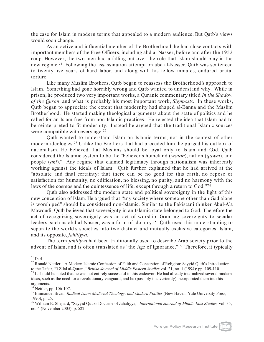the case for Islam in modern terms that appealed to a modern audience. But Qutb's views would soon change.

As an active and influential member of the Brotherhood, he had close contacts with important members of the Free Officers, including abd al-Nasser, before and after the 1952 coup. However, the two men had a falling out over the role that Islam should play in the new regime.71 Following the assassination attempt on abd al-Nasser, Qutb was sentenced to twenty-five years of hard labor, and along with his fellow inmates, endured brutal torture.

Like many Muslim Brothers, Qutb began to reassess the Brotherhood's approach to Islam. Something had gone horribly wrong and Qutb wanted to understand why. While in prison, he produced two very important works, a Quranic commentary titled *In the Shadow of the Quran*, and what is probably his most important work, *Signposts*. In these works, Qutb began to appreciate the extent that modernity had shaped al-Banna and the Muslim Brotherhood. He started making theological arguments about the state of politics and he called for an Islam free from non-Islamic practices. He rejected the idea that Islam had to be reinterpreted to fit modernity. Instead he argued that the traditional Islamic sources were compatible with every age.72

Qutb wanted to understand Islam on Islamic terms, not in the context of other modern ideologies.73 Unlike the Brothers that had preceded him, he purged his outlook of nationalism. He believed that Muslims should be loyal only to Islam and God. Qutb considered the Islamic system to be the "believer's homeland (*watan*), nation (*qawm*), and people (*ahl*)." Any regime that claimed legitimacy through nationalism was inherently working against the ideals of Islam. Qutb further explained that he had arrived at the "absolute and final certainty: that there can be no good for this earth, no repose or satisfaction for humanity, no edification, no blessing, no purity, and no harmony with the laws of the cosmos and the quintessence of life, except through a return to God."74

Qutb also addressed the modern state and political sovereignty in the light of this new conception of Islam. He argued that "any society where someone other than God alone is worshiped" should be considered non-Islamic. Similar to the Pakistani thinker Abul-Ala Mawdudi, Qutb believed that sovereignty in an Islamic state belonged to God. Therefore the act of recognizing sovereignty was an act of worship. Granting sovereignty to secular leaders, such as abd al-Nasser, was a form of idolatry.75 Qutb used this understanding to separate the world's societies into two distinct and mutually exclusive categories: Islam, and its opposite, *jahiliyya*.

The term *jahiliyya* had been traditionally used to describe Arab society prior to the advent of Islam, and is often translated as "the Age of Ignorance."76 Therefore, it typically

<sup>&</sup>lt;sup>71</sup> Ibid.<br><sup>72</sup> Ronald Nettler, "A Modern Islamic Confession of Faith and Conception of Religion: Sayyid Qutb's Introduction<br>to the Tafsir, Fi Zilal al-Quran," *British Journal of Middle Eastern Studies* vol. 21, no. 1 (1

 $^{73}$  It should be noted that he was not entirely successful in this endeavor. He had already internalized several modern ideas, such as the need for a revolutionary vanguard, and he (possibly inadvertently) incorporated them into his arguments.<br> $74$  Nettler, pp. 106-107.

<sup>&</sup>lt;sup>75</sup> Emmanuel Sivan, *Radical Islam Medieval Theology, and Modern Politics* (New Haven: Yale University Press, 1990), p. 25.

<sup>76</sup> William E. Shepard, "Sayyid Qutb's Doctrine of Jahaliyya," *International Journal of Middle East Studies,* vol. 35, no. 4 (November 2003), p. 522.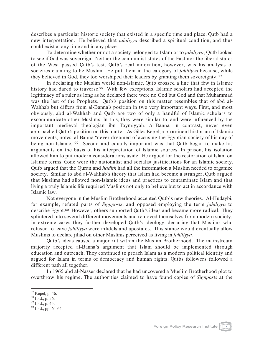describes a particular historic society that existed in a specific time and place. Qutb had a new interpretation. He believed that *jahiliyya* described a spiritual condition, and thus could exist at any time and in any place.

To determine whether or not a society belonged to Islam or to *jahiliyya*, Qutb looked to see if God was sovereign. Neither the communist states of the East nor the liberal states of the West passed Qutb's test. Qutb's real innovation, however, was his analysis of societies claiming to be Muslim. He put them in the category of *jahiliyya* because, while they believed in God, they too worshiped their leaders by granting them sovereignty. <sup>77</sup>

In declaring the Muslim world non-Islamic, Qutb crossed a line that few in Islamic history had dared to traverse.<sup>78</sup> With few exceptions, Islamic scholars had accepted the legitimacy of a ruler as long as he declared there were no God but God and that Muhammad was the last of the Prophets. Qutb's position on this matter resembles that of abd al-Wahhab but differs from al-Banna's position in two very important ways. First, and most obviously, abd al-Wahhab and Qutb are two of only a handful of Islamic scholars to excommunicate other Muslims. In this, they were similar to, and were influenced by the important medieval theologian ibn Taymiyyah. Al-Banna, in contrast, never even approached Qutb's position on this matter. As Gilles Kepel, a prominent historian of Islamic movements, notes, al-Banna "never dreamed of accusing the Egyptian society of his day of being non-Islamic."<sup>79</sup> Second and equally important was that Qutb began to make his arguments on the basis of his interpretation of Islamic sources. In prison, his isolation allowed him to put modern considerations aside. He argued for the restoration of Islam on Islamic terms. Gone were the nationalist and socialist justifications for an Islamic society. Qutb argued that the Quran and *hadith* had all the information a Muslim needed to organize society. Similar to abd al-Wahhab's theory that Islam had become a stranger, Qutb argued that Muslims had allowed non-Islamic ideas and practices to contaminate Islam and that living a truly Islamic life required Muslims not only to believe but to act in accordance with Islamic law.

Not everyone in the Muslim Brotherhood accepted Qutb's new theories. Al-Hudaybi, for example, refuted parts of *Signposts*, and opposed employing the term *jahiliyya* to describe Egypt.<sup>80</sup> However, others supported Qutb's ideas and became more radical. They splintered into several different movements and removed themselves from modern society. In extreme cases they further developed Qutb's ideology, declaring that Muslims who refused to leave *jahiliyya* were infidels and apostates. This stance would eventually allow Muslims to declare jihad on other Muslims perceived as living in *jahiliyya.*

Qutb's ideas caused a major rift within the Muslim Brotherhood. The mainstream majority accepted al-Banna's argument that Islam should be implemented through education and outreach. They continued to preach Islam as a modern political identity and argued for Islam in terms of democracy and human rights. Qutbs followers followed a different path all together.

In 1965 abd al-Nasser declared that he had uncovered a Muslim Brotherhood plot to overthrow his regime. The authorities claimed to have found copies of *Signposts* at the



<sup>&</sup>lt;sup>77</sup> Kepel, p. 46.<br><sup>78</sup> Ibid., p. 56.<br><sup>79</sup> Ibid., p. 45.<br><sup>80</sup> Ibid., pp. 61-64.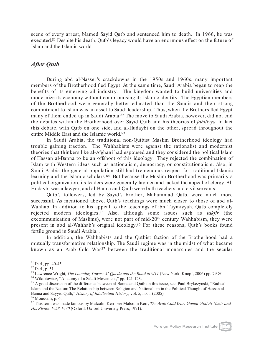scene of every arrest, blamed Sayid Qutb and sentenced him to death. In 1966, he was executed.<sup>81</sup> Despite his death, Qutb's legacy would have an enormous effect on the future of Islam and the Islamic world.

#### *After Qutb*

During abd al-Nasser's crackdowns in the 1950s and 1960s, many important members of the Brotherhood fled Egypt. At the same time, Saudi Arabia began to reap the benefits of its emerging oil industry. The kingdom wanted to build universities and modernize its economy without compromising its Islamic identity. The Egyptian members of the Brotherhood were generally better educated than the Saudis and their strong commitment to Islam was an asset to Saudi leadership. Thus, when the Brothers fled Egypt many of them ended up in Saudi Arabia.<sup>82</sup> The move to Saudi Arabia, however, did not end the debates within the Brotherhood over Sayid Qutb and his theories of *jahiliyya*. In fact this debate, with Qutb on one side, and al-Hudaybi on the other, spread throughout the entire Middle East and the Islamic world.83

In Saudi Arabia, the traditional non-Qutbist Muslim Brotherhood ideology had trouble gaining traction. The Wahhabists were against the rationalist and modernist theories that thinkers like al-Afghani had espoused and they considered the political Islam of Hassan al-Banna to be an offshoot of this ideology. They rejected the combination of Islam with Western ideas such as nationalism, democracy, or constitutionalism. Also, in Saudi Arabia the general population still had tremendous respect for traditional Islamic learning and the Islamic scholars.<sup>84</sup> But because the Muslim Brotherhood was primarily a political organization, its leaders were generally laymen and lacked the appeal of clergy. Al-Hudaybi was a lawyer, and al-Banna and Qutb were both teachers and civil servants.

Qutb's followers, led by Sayid's brother, Muhammad Qutb, were much more successful. As mentioned above, Qutb's teachings were much closer to those of abd al-Wahhab. In addition to his appeal to the teachings of ibn Taymiyyah, Qutb completely rejected modern ideologies.85 Also, although some issues such as *takfir* (the excommunication of Muslims), were not part of mid-20<sup>th</sup> century Wahhabism, they were present in abd al-Wahhab's original ideology.86 For these reasons, Qutb's books found fertile ground in Saudi Arabia. .

In addition, the Wahhabists and the Qutbist faction of the Brotherhood had a mutually transformative relationship. The Saudi regime was in the midst of what became known as an Arab Cold War<sup>87</sup> between the traditional monarchies and the secular

<sup>&</sup>lt;sup>81</sup> Ibid., pp. 40-45.<br><sup>82</sup> Ibid., p. 51.<br><sup>83</sup> Lawrence Wright, *The Looming Tower: Al-Qaeda and the Road to 9/11* (New York: Knopf, 2006) pp. 79-80.<br><sup>84</sup> Wiktotowicz, "Anatomy of a Salafi Movement," pp. 121-123.<br><sup>85</sup> A g

Islam and the Nation: The Relationship between Religion and Nationalism in the Political Thought of Hassan al-Banna and Sayyid Qutb," *History of Intellectual History*, vol. 5, no. 1 (2005).<br><sup>86</sup> Moussalli, p. 6.<br><sup>87</sup> This term was made famous by Malcolm Kerr, see Malcolm Kerr, *The Arab Cold War: Gamal 'Abd Al-Nasir and* 

*His Rivals, 1958-1970* (Oxford: Oxford University Press, 1971).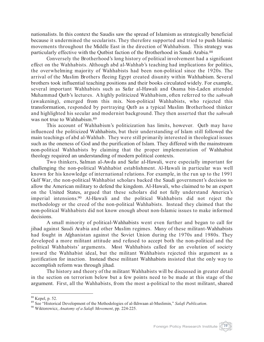nationalists. In this context the Saudis saw the spread of Islamism as strategically beneficial because it undermined the secularists. They therefore supported and tried to push Islamic movements throughout the Middle East in the direction of Wahhabism. This strategy was particularly effective with the Qutbist faction of the Brotherhood in Saudi Arabia.88

Conversely the Brotherhood's long history of political involvement had a significant effect on the Wahhabists. Although abd al-Wahhab's teaching had implications for politics, the overwhelming majority of Wahhabists had been non-political since the 1920s. The arrival of the Muslim Brothers fleeing Egypt created disunity within Wahhabism. Several brothers took influential teaching positions and their books circulated widely. For example, several important Wahhabists such as Safar al-Hawali and Osama bin-Laden attended Muhammad Qutb's lectures. A highly politicized Wahhabism, often referred to the *sahwah* (awakening), emerged from this mix. Non-political Wahhabists, who rejected this transformation, responded by portraying Qutb as a typical Muslim Brotherhood thinker and highlighted his secular and modernist background. They then asserted that the *sahwah* was not true to Wahhabism.89

This account of Wahhabism's politicization has limits, however. Qutb may have influenced the politicized Wahhabists, but their understanding of Islam still followed the main teachings of abd al-Wahhab. They were still primarily interested in theological issues such as the oneness of God and the purification of Islam. They differed with the mainstream non-political Wahhabists by claiming that the proper implementation of Wahhabist theology required an understanding of modern political contexts.

Two thinkers, Salman al-Awda and Safar al-Hawali, were especially important for challenging the non-political Wahhabist establishment. Al-Hawali in particular was well known for his knowledge of international relations. For example, in the run up to the 1991 Gulf War, the non-political Wahhabist scholars backed the Saudi government's decision to allow the American military to defend the kingdom. Al-Hawali, who claimed to be an expert on the United States, argued that these scholars did not fully understand America's imperial intensions.90 Al-Hawali and the political Wahhabists did not reject the methodology or the creed of the non-political Wahhabists. Instead they claimed that the non-political Wahhabists did not know enough about non-Islamic issues to make informed decisions.

A small minority of political-Wahhabists went even further and began to call for jihad against Saudi Arabia and other Muslim regimes. Many of these militant-Wahhabists had fought in Afghanistan against the Soviet Union during the 1970s and 1980s. They developed a more militant attitude and refused to accept both the non-political and the political Wahhabists' arguments. Most Wahhabists called for an evolution of society toward the Wahhabist ideal, but the militant Wahhabists rejected this argument as a justification for inaction. Instead these militant Wahhabists insisted that the only way to accomplish reform was through jihad.

The history and theory of the militant Wahhabists will be discussed in greater detail in the section on terrorism below but a few points need to be made at this stage of the argument. First, all the Wahhabists, from the most a-political to the most militant, shared



<sup>88</sup> Kepel, p. 52. <sup>89</sup> See "Historical Development of the Methodologies of al-Ikhwaan al-Muslimin," *Salafi Publication*. <sup>90</sup> Wiktorowicz, *Anatomy of a Salafi Movement*, pp. 224-225.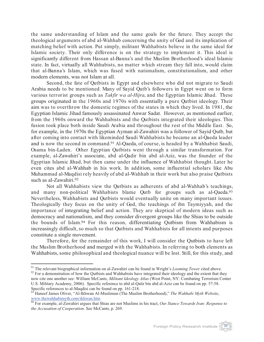the same understanding of Islam and the same goals for the future. They accept the theological arguments of abd al-Wahhab concerning the unity of God and its implication of matching belief with action. Put simply, militant Wahhabists believe in the same ideal for Islamic society. Their only difference is on the strategy to implement it. This ideal is significantly different from Hassan al-Banna's and the Muslim Brotherhood's ideal Islamic state. In fact, virtually all Wahhabists, no matter which stream they fall into, would claim that al-Banna's Islam, which was fused with nationalism, constitutionalism, and other modern elements, was not Islam at all.

Second, the fate of Qutbists in Egypt and elsewhere who did not migrate to Saudi Arabia needs to be mentioned. Many of Sayid Qutb's followers in Egypt went on to form various terrorist groups such as *Takfir wa al-Hijra*, and the Egyptian Islamic Jihad. These groups originated in the 1960s and 1970s with essentially a pure Qutbist ideology. Their aim was to overthrow the domestic regimes of the states in which they lived. In 1981, the Egyptian Islamic Jihad famously assassinated Anwar Sadat. However, as mentioned earlier, from the 1960s onward the Wahhabists and the Qutbists integrated their ideologies. This fusion took place both inside Saudi Arabia and throughout the rest of the Middle East. So, for example, in the 1970s the Egyptian Ayman al-Zawahiri was a follower of Sayid Qutb, but after coming into contact with likeminded Saudi Wahhabists he became an al-Qaeda leader and is now the second in command.91 Al-Qaeda, of course, is headed by a Wahhabist Saudi, Osama bin-Laden. Other Egyptian Qutbists went through a similar transformation. For example, al-Zawahiri's associate, abd al-Qadir bin abd al-Aziz, was the founder of the Egyptian Islamic Jihad, but then came under the influence of Wahhabist thought. Later he even cites abd al-Wahhab in his work. In addition, some influential scholars like Abu Muhammad al-Maqdisi rely heavily of abd al-Wahhab in their work but also praise Qutbists such as al-Zawahiri.92

Not all Wahhabists view the Qutbists as adherents of abd al-Wahhab's teachings, and many non-political Wahhabists blame Qutb for groups such as al-Qaeda.<sup>93</sup> Nevertheless, Wahhabists and Qutbists would eventually unite on many important issues. Theologically they focus on the unity of God, the teachings of ibn Taymiyyah, and the importance of integrating belief and action. They are skeptical of modern ideas such as democracy and nationalism, and they consider divergent groups like the Shias to be outside the bounds of Islam.94 For this reason, differentiating Qutbism from Wahhabism is increasingly difficult, so much so that Qutbists and Wahhabists for all intents and purposes constitute a single movement.

Therefore, for the remainder of this work, I will consider the Qutbists to have left the Muslim Brotherhood and merged with the Wahhabists. In referring to both elements as Wahhabists, some philosophical and theological nuance will be lost. Still, for this study, and

<sup>&</sup>lt;sup>91</sup> The relevant biographical information on al-Zawahiri can be found in Wright's *Looming Tower* cited above.<br><sup>92</sup> For a demonstration of how the Outbists and Wahhabists have integrated their ideology and the extent tha

now cite one another see: William McCants, *Militant Ideology Atlas* (West Point, NY: Combating Terrorism Center U.S. Military Academy, 2006). Specific reference to abd al-Qatir bin abd al-Aziz can be found on pp. 57-58.

Specific references to al-Maqdisi can be found on pp. 161-218.<br><sup>93</sup> Haneef James Oliver, "Al-Ikhwan Al-Muslimun (The Muslim Brotherhood)," *The Wahhabi Myth Website*, www.thewahhabimyth.com/ikhwan.htm

<sup>94</sup> For example, al-Zawahiri argues that Shias are not Muslims in his tract, *Our Stance Towards Iran: Response to the Accusation of Cooperation*. See McCants, p. 269.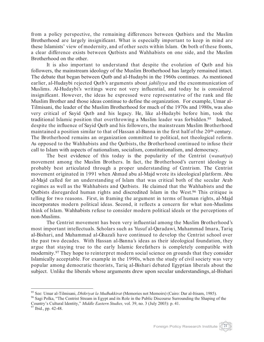from a policy perspective, the remaining differences between Qutbists and the Muslim Brotherhood are largely insignificant. What is especially important to keep in mind are these Islamists' view of modernity, and of other sects within Islam. On both of these fronts, a clear difference exists between Qutbists and Wahhabists on one side, and the Muslim Brotherhood on the other.

It is also important to understand that despite the evolution of Qutb and his followers, the mainstream ideology of the Muslim Brotherhood has largely remained intact. The debate that began between Qutb and al-Hudaybi in the 1960s continues. As mentioned earlier, al-Hudaybi rejected Qutb's arguments about *jahiliyya* and the excommunication of Muslims. Al-Hudaybi's writings were not very influential, and today he is considered insignificant. However, the ideas he expressed were representative of the rank and file Muslim Brother and those ideas continue to define the organization. For example, Umar al-Tilmisani, the leader of the Muslim Brotherhood for much of the 1970s and 1980s, was also very critical of Sayid Qutb and his legacy. He, like al-Hudaybi before him, took the traditional Islamic position that overthrowing a Muslim leader was forbidden.<sup>95</sup> Indeed, despite the influence of Sayid Qutb and his followers, the mainstream Muslim Brotherhood maintained a position similar to that of Hassan al-Banna in the first half of the 20<sup>th</sup> century. The Brotherhood remains an organization committed to political, not theological reform. As opposed to the Wahhabists and the Qutbists, the Brotherhood continued to infuse their call to Islam with aspects of nationalism, socialism, constitutionalism, and democracy.

The best evidence of this today is the popularity of the Centrist (*wasatiya*) movement among the Muslim Brothers. In fact, the Brotherhood's current ideology is probably best articulated through a proper understanding of Centrism. The Centrist movement originated in 1991 when Ahmad abu al-Majd wrote its ideological platform. Abu al-Majd called for an understanding of Islam that was critical both of the secular Arab regimes as well as the Wahhabists and Qutbists. He claimed that the Wahhabists and the Qutbists disregarded human rights and discredited Islam in the West.96 This critique is telling for two reasons. First, in framing the argument in terms of human rights, al-Majd incorporates modern political ideas. Second, it reflects a concern for what non-Muslims think of Islam. Wahhabists refuse to consider modern political ideals or the perceptions of non-Muslims.

The Centrist movement has been very influential among the Muslim Brotherhood's most important intellectuals. Scholars such as Yusuf al-Qaradawi, Muhammad Imara, Tariq al-Bishari, and Muhammad al-Ghazali have continued to develop the Centrist school over the past two decades. With Hassan al-Banna's ideas as their ideological foundation, they argue that staying true to the early Islamic forefathers is completely compatible with modernity.97 They hope to reinterpret modern social science on grounds that they consider Islamically acceptable. For example in the 1990s, when the study of civil society was very popular among democratic theorists, Tariq al-Bishari debated Egyptian liberals about the subject. Unlike the liberals whose arguments drew upon secular understandings, al-Bishari

<sup>&</sup>lt;sup>95</sup> See: Umar al-Tilmisani, *Dhikriyat la Mudhakkirat* (Memories not Memoirs) (Cairo: Dar al-Itisam, 1985).<br><sup>96</sup> Sagi Polka, "The Centrist Stream in Egypt and its Role in the Public Discourse Surrounding the Shaping of th

Country's Cultural Identity," *Middle Eastern Studies,* vol. 39, no. 3 (July 2003): p. 41. <sup>97</sup> Ibid., pp. 42-48.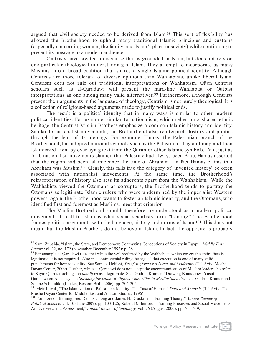argued that civil society needed to be derived from Islam.98 This sort of flexibility has allowed the Brotherhood to uphold many traditional Islamic principles and customs (especially concerning women, the family, and Islam's place in society) while continuing to present its message to a modern audience.

Centrists have created a discourse that is grounded in Islam, but does not rely on one particular theological understanding of Islam. They attempt to incorporate as many Muslims into a broad coalition that shares a single Islamic political identity. Although Centrists are more tolerant of diverse opinions than Wahhabists, unlike liberal Islam, Centrism does not rule out traditional interpretations or Wahhabism. Often Centrist scholars such as al-Qaradawi will present the hard-line Wahhabist or Qutbist interpretations as one among many valid alternatives.99 Furthermore, although Centrists present their arguments in the language of theology, Centrism is not purely theological. It is a collection of religious-based arguments made to justify political ends.

The result is a political identity that in many ways is similar to other modern political identities. For example, similar to nationalism, which relies on a shared ethnic heritage, the Centrist Muslim Brothers emphasize a common Islamic history and identity. Similar to nationalist movements, the Brotherhood also reinterprets history and politics through the lens of its ideology. For example, Hamas, the Palestinian branch of the Brotherhood, has adopted national symbols such as the Palestinian flag and map and then Islamicized them by overlaying text from the Quran or other Islamic symbols. And, just as Arab nationalist movements claimed that Palestine had always been Arab, Hamas asserted that the region had been Islamic since the time of Abraham. In fact Hamas claims that Abraham was Muslim.<sup>100</sup> Clearly, this falls into the category of "invented history" so often associated with nationalist movements. At the same time, the Brotherhood's reinterpretation of history also sets its adherents apart from the Wahhabists. While the Wahhabists viewed the Ottomans as corruptors, the Brotherhood tends to portray the Ottomans as legitimate Islamic rulers who were undermined by the imperialist Western powers. Again, the Brotherhood wants to foster an Islamic identity, and the Ottomans, who identified first and foremost as Muslims, meet that criterion.

The Muslim Brotherhood should, therefore, be understood as a modern political movement. Its call to Islam is what social scientists term "framing." The Brotherhood frames political arguments with the language, history and norms of Islam.101 This does not mean that the Muslim Brothers do not believe in Islam. In fact, the opposite is probably

<sup>98</sup> Sami Zubaida, "Islam, the State, and Democracy: Contrasting Conceptions of Society in Egypt," *Middle East Report* vol. 22, no. 179 (November-December 1992): p. 28.<br><sup>99</sup> For example al-Qaradawi rules that while the veil preferred by the Wahhabists which covers the entire face is

legitimate, it is not required. Also in a controversial ruling, he argued that execution is one of many valid punishments for homosexuality. See Samuel Helfont, *Yusuf al-Qaradawi Islam and Modernity* (Tel Aviv: Moshe Dayan Center, 2009). Further, while al-Qaradawi does not accept the excommunication of Muslim leaders, he refers to Sayid Qutb's teachings on *jahaliyya* as a legitimate. See: Gudran Kramer, "Drawing Boundaries: Yusuf al-Qaradawi on Apostasy," in *Speaking for Islam: Religious Authorities in Muslim Societies,* eds. Gudrun Kramer and

<sup>&</sup>lt;sup>100</sup> Meir Litvak, "The Islamization of Palestinian Identity: The Case of Hamas," *Data and Analysis* (Tel Aviv: The Moshe Dayan Center for Middle East and African Studies, 1996).

<sup>101</sup> For more on framing, see: Dennis Chong and James N. Druckman, "Framing Theory," *Annual Review of Political Science,* vol. 10 (June 2007): pp. 103-126; Robert D. Benford, "Framing Processes and Social Movements: An Overview and Assessment," *Annual Review of Sociology,* vol. 26 (August 2000): pp. 611-639.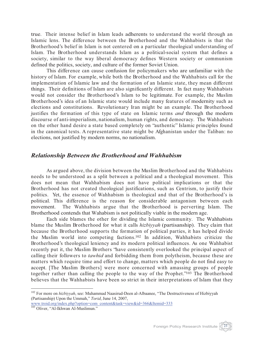true. Their intense belief in Islam leads adherents to understand the world through an Islamic lens. The difference between the Brotherhood and the Wahhabists is that the Brotherhood's belief in Islam is not centered on a particular theological understanding of Islam. The Brotherhood understands Islam as a political-social system that defines a society, similar to the way liberal democracy defines Western society or communism defined the politics, society, and culture of the former Soviet Union.

This difference can cause confusion for policymakers who are unfamiliar with the history of Islam. For example, while both the Brotherhood and the Wahhabists call for the implementation of Islamic law and the formation of an Islamic state, they mean different things. Their definitions of Islam are also significantly different. In fact many Wahhabists would not consider the Brotherhood's Islam to be legitimate. For example, the Muslim Brotherhood's idea of an Islamic state would include many features of modernity such as elections and constitutions. Revolutionary Iran might be an example. The Brotherhood justifies the formation of this type of state on Islamic terms *and* through the modern discourse of anti-imperialism, nationalism, human rights, and democracy. The Wahhabists on the other hand desire a state based completely on "authentic" Islamic principles found in the canonical texts. A representative state might be Afghanistan under the Taliban: no elections, not justified by modern norms, no nationalism.

#### *Relationship Between the Brotherhood and Wahhabism*

As argued above, the division between the Muslim Brotherhood and the Wahhabists needs to be understood as a split between a political and a theological movement. This does not mean that Wahhabism does not have political implications or that the Brotherhood has not created theological justifications, such as Centrism, to justify their politics. Yet, the essence of Wahhabism is theological and that of the Brotherhood's is political. This difference is the reason for considerable antagonism between each movement. The Wahhabists argue that the Brotherhood is perverting Islam. The Brotherhood contends that Wahabism is not politically viable in the modern age.

Each side blames the other for dividing the Islamic community. The Wahhabists blame the Muslim Brotherhood for what it calls *hizbiyyah* (partisanship). They claim that because the Brotherhood supports the formation of political parties, it has helped divide the Muslim world into competing factions.102 In addition, Wahhabists criticize the Brotherhood's theological leniency and its modern political influences. As one Wahhabist recently put it, the Muslim Brothers "have consistently overlooked the principal aspect of calling their followers to *tawhid* and forbidding them from polytheism, because these are matters which require time and effort to change, matters which people do not find easy to accept. [The Muslim Brothers] were more concerned with amassing groups of people together rather than calling the people to the way of the Prophet."103 The Brotherhood believes that the Wahhabists have been so strict in their interpretations of Islam that they



<sup>&</sup>lt;sup>102</sup> For more on *hizbiyyah*, see: Muhammad Naasirud-Deen al-Albaanee, "The Destructiveness of Hizbiyyah (Partisanship) Upon the Ummah," *Torid*, June 14, 2007, www.troid.org/index.php?option=com\_content&task=view&id=366&Itemid=333 <sup>103</sup> Oliver, "Al-Ikhwan Al-Muslimun."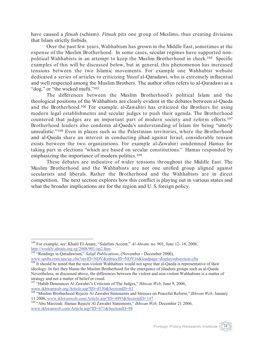have caused a *fitnah* (schism). *Fitnah* pits one group of Muslims, thus creating divisions that Islam strictly forbids.

Over the past few years, Wahhabism has grown in the Middle East, sometimes at the expense of the Muslim Brotherhood. In some cases, secular regimes have supported nonpolitical Wahhabists in an attempt to keep the Muslim Brotherhood in check.104 Specific examples of this will be discussed below, but in general, this phenomenon has increased tensions between the two Islamic movements. For example one Wahhabist website dedicated a series of articles to criticizing Yusuf al-Qaradawi, who is extremely influential and well respected among the Muslim Brothers. The author often refers to al-Qaradawi as a "dog," or "the wicked mufti."<sup>105</sup>

The differences between the Muslim Brotherhood's political Islam and the theological positions of the Wahhabists are clearly evident in the debates between al-Qaeda and the Brotherhood.106 For example, al-Zawahiri has criticized the Brothers for using modern legal establishments and secular judges to push their agenda. The Brotherhood countered that judges are an important part of modern society and reform efforts.107 Brotherhood leaders also condemn al-Qaeda's understanding of Islam for being "utterly unrealistic."108 Even in places such as the Palestinian territories, where the Brotherhood and al-Qaeda share an interest in conducting jihad against Israel, considerable tension exists between the two organizations. For example al-Zawahiri condemned Hamas for taking part in elections "which are based on secular constitutions." Hamas responded by emphasizing the importance of modern politics.<sup>109</sup>

These debates are indicative of wider tensions throughout the Middle East. The Muslim Brotherhood and the Wahhabists are not one unified group aligned against secularists and liberals. Rather the Brotherhood and the Wahhabists are in direct competition. The next section explores how this conflict is playing out in various states and what the broader implications are for the region and U. S. foreign policy.

<sup>104</sup> For example, see: Khalil El-Anani, "Salafists Accent," *Al-Ahram,* no. 901, June 12- 18, 2008, http://weekly.ahram.org.eg/2008/901/op2.htm

<sup>&</sup>lt;sup>105</sup> "Readings in Qaradawism," Salafi Publications, (November - December 2000), www.spubs.com/sps/sp.cfm?secID=NDV&subsecID=NDV16&loadpage=displaysubsection.cfm<br><sup>106</sup> It should be noted that the non-violent Wahhabists would not agree that al-Qaeda is representative of their

ideology. In fact they blame the Muslim Brotherhood for the emergence of jihadists groups such as al-Qaeda. Nevertheless, as discussed above, the differences between the violent and non-violent Wahhabism is a matter of strategy and not a matter of belief or creed.

<sup>107</sup> "Habib Denounces Al Zawahri's Criticism of The Judges," *Ikhwan Web,* June 9, 2006, www.ikhwanweb.org/Article.asp?ID=4130&SectionID=81

<sup>108</sup> "Muslim Brotherhood Rejects Al Zawahri Statements and Stresses on Peaceful Reform," *Ikhwan Web*, January 11 2006, www.ikhwanweb.com/Article.asp?ID=4993&SectionID=147 <sup>109</sup> "Abu Marzouk: Hamas Rejects Al Zawahri Statements," *Ikhwan Web,* December 21 2006,

www.ikhwanweb.com/Article.asp?ID=671&SectionID=98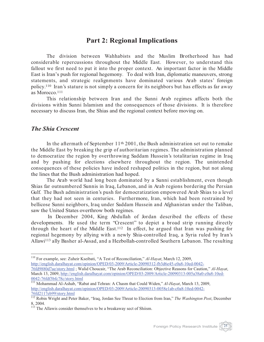#### **Part 2: Regional Implications**

The division between Wahhabists and the Muslim Brotherhood has had considerable repercussions throughout the Middle East. However, to understand this fallout we first need to put it into the proper context. An important factor in the Middle East is Iran's push for regional hegemony. To deal with Iran, diplomatic maneuvers, strong statements, and strategic realignments have dominated various Arab states' foreign policy. <sup>110</sup> Iran's stature is not simply a concern for its neighbors but has effects as far away as Morocco.111

This relationship between Iran and the Sunni Arab regimes affects both the divisions within Sunni Islamism and the consequences of those divisions. It is therefore necessary to discuss Iran, the Shias and the regional context before moving on.

#### *The Shia Crescent*

In the aftermath of September  $11<sup>th</sup> 2001$ , the Bush administration set out to remake the Middle East by breaking the grip of authoritarian regimes. The administration planned to democratize the region by overthrowing Saddam Hussein's totalitarian regime in Iraq and by pushing for elections elsewhere throughout the region. The unintended consequences of these policies have indeed reshaped politics in the region, but not along the lines that the Bush administration had hoped.

The Arab world had long been dominated by a Sunni establishment, even though Shias far outnumbered Sunnis in Iraq, Lebanon, and in Arab regions bordering the Persian Gulf. The Bush administration's push for democratization empowered Arab Shias to a level that they had not seen in centuries. Furthermore, Iran, which had been restrained by bellicose Sunni neighbors, Iraq under Saddam Hussein and Afghanistan under the Taliban, saw the United States overthrow both regimes.

In December 2004, King Abdullah of Jordan described the effects of these developments. He used the term "Crescent" to depict a broad strip running directly through the heart of the Middle East.<sup>112</sup> In effect, he argued that Iran was pushing for regional hegemony by allying with a newly Shia-controlled Iraq, a Syria ruled by Iran's Allawi113 ally Basher al-Assad, and a Hezbollah-controlled Southern Lebanon. The resulting

<sup>110</sup> For example, see: Zuheir Kseibati, "A Test of Reconciliation," *Al-Hayat*, March 12, 2009, http://english.daralhayat.com/opinion/OPED/03-2009/Article-20090312-fb3d6e45-c0a8-10ed-0042- 76fd9880d7ae/story.html ; Walid Choucair, "The Arab Reconciliation: Objective Reasons for Caution," *Al-Hayat*, March 13, 2009, http://english.daralhayat.com/opinion/OPED/03-2009/Article-20090313-005a38a0-c0a8-10ed-

<sup>0042-76</sup>fdf3bfc78c/story.html <sup>111</sup> Mohammad Al-Ashab, "Rabat and Tehran: A Chasm that Could Widen," *Al-Hayat*, March 13, 2009, http://english.daralhayat.com/opinion/OPED/03-2009/Article-20090313-0058e1ab-c0a8-10ed-0042- 76fd2117eb99/story.html

<sup>112</sup> Robin Wright and Peter Baker, "Iraq, Jordan See Threat to Election from Iran," *The Washington Post*, December 8, 2004.

<sup>&</sup>lt;sup>113</sup> The Allawis consider themselves to be a breakaway sect of Shiism.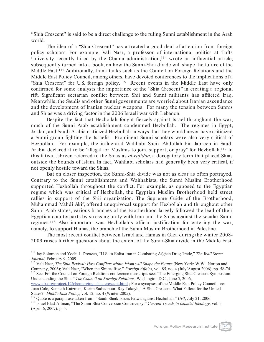"Shia Crescent" is said to be a direct challenge to the ruling Sunni establishment in the Arab world.

The idea of a "Shia Crescent" has attracted a good deal of attention from foreign policy scholars. For example, Vali Nasr, a professor of international politics at Tufts University recently hired by the Obama administration,<sup>114</sup> wrote an influential article, subsequently turned into a book, on how the Sunni-Shia divide will shape the future of the Middle East.115 Additionally, think tanks such as the Council on Foreign Relations and the Middle East Policy Council, among others, have devoted conferences to the implications of a "Shia Crescent" for U.S. foreign policy.116 Recent events in the Middle East have only confirmed for some analysts the importance of the "Shia Crescent" in creating a regional rift. Significant sectarian conflict between Shii and Sunni militants has afflicted Iraq. Meanwhile, the Saudis and other Sunni governments are worried about Iranian ascendance and the development of Iranian nuclear weapons. For many the tension between Sunnis and Shias was a driving factor in the 2006 Israeli war with Lebanon.

Despite the fact that Hezbollah fought fiercely against Israel throughout the war, much of the Sunni Arab establishment condemned Hezbollah. The regimes in Egypt, Jordan, and Saudi Arabia criticized Hezbollah in ways that they would never have criticized a Sunni group fighting the Israelis. Prominent Sunni scholars were also very critical of Hezbollah. For example, the influential Wahhabi Sheik Abdullah bin Jabreen in Saudi Arabia declared it to be "illegal for Muslims to join, support, or pray" for Hezbollah.117 In this fatwa, Jabreen referred to the Shias as *al-rafidun*, a derogatory term that placed Shias outside the bounds of Islam. In fact, Wahhabi scholars had generally been very critical, if not openly hostile toward the Shias.

But on closer inspection, the Sunni-Shia divide was not as clear as often portrayed. Contrary to the Sunni establishment and Wahhabists, the Sunni Muslim Brotherhood supported Hezbollah throughout the conflict. For example, as opposed to the Egyptian regime which was critical of Hezbollah, the Egyptian Muslim Brotherhood held street rallies in support of the Shii organization. The Supreme Guide of the Brotherhood, Muhammad Mahdi Akif, offered unequivocal support for Hezbollah and throughout other Sunni Arab states, various branches of the Brotherhood largely followed the lead of their Egyptian counterparts by stressing unity with Iran and the Shias against the secular Sunni regimes.118 Also important was Hezbollah's official justification for entering the war, namely, to support Hamas, the branch of the Sunni Muslim Brotherhood in Palestine.

The most recent conflict between Israel and Hamas in Gaza during the winter 2008- 2009 raises further questions about the extent of the Sunni-Shia divide in the Middle East.

<sup>114</sup> Jay Solomon and Yochi J. Dreazen, "U.S. to Enlist Iran in Combating Afghan Drug Trade," *The Wall Street* 

*Journal*, February 9, 2009.<br><sup>115</sup> Vali Nasr, *The Shia Revival: How Conflicts within Islam will Shape the Future* (New York: W.W. Norton and<br>Company, 2006); Vali Nasr, "When the Shiites Rise," *Foreign Affairs*, vol. 85, <sup>116</sup> See: For the Council on Foreign Relations conference transcripts see: "The Emerging Shia Crescent Symposium: Understanding the Shia," *The Council on Foreign Relations*, Washington D.C., June 5, 2006,

www.cfr.org/project/1264/emerging\_shia\_crescent.html ; For a synapses of the Middle East Policy Council, see: Juan Cole, Kenneth Katzman, Karim Sadjadpour, Ray Takeyh, "A Shia Crescent: What Fallout for the United States?" Middle East Policy, vol. 12, no. 4 (Winter 2005).<br><sup>117</sup> Quote is a paraphrase taken from: "Saudi Sheik Issues Fatwa against Hezbollah," UPI, July 21, 2006.<br><sup>118</sup> Israel Elad-Altman, "The Sunni-Shia Conversion Cont

<sup>(</sup>April 6, 2007): p. 5.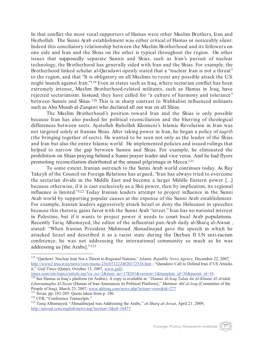In that conflict the most vocal supporters of Hamas were other Muslim Brothers, Iran and Hezbollah. The Sunni Arab establishment was either critical of Hamas or noticeably silent. Indeed this conciliatory relationship between the Muslim Brotherhood and its followers on one side and Iran and the Shias on the other is typical throughout the region. On other issues that supposedly separate Sunnis and Shias, such as Iran's pursuit of nuclear technology, the Brotherhood has generally sided with Iran and the Shias. For example, the Brotherhood linked scholar al-Qaradawi openly stated that a "nuclear Iran is not a threat" to the region, and that "It is obligatory on all Muslims to resist any possible attack the U.S. might launch against Iran."119 Even in states such as Iraq, where sectarian conflict has been extremely intense, Muslim Brotherhood-related militants, such as Hamas in Iraq, have rejected sectarianism. Instead, they have called for "a culture of harmony and tolerance" between Sunnis and Shias.120 This is in sharp contrast to Wahhabist influenced militants such as Abu Musab al-Zarqawi who declared all out war on all Shias.

The Muslim Brotherhood's position toward Iran and the Shias is only possible because Iran has also pushed for political reconciliation and the blurring of theological differences between sects. Ayatollah Ruhollah Khomeni's Islamic Revolution in Iran was not targeted solely at Iranian Shias. After taking power in Iran, he began a policy of *taqrib* (the bringing together of sects). He wanted to be seen not only as the leader of the Shias and Iran but also the entire Islamic world. He implemented policies and issued rulings that helped to narrow the gap between Sunnis and Shias. For example, he eliminated the prohibition on Shias praying behind a Sunni prayer leader and vice versa. And he had flyers promoting reconciliation distributed at the annual pilgrimage in Mecca. 121

To some extent, Iranian outreach to the Sunni Arab world continues today. As Ray Takeyh of the Council on Foreign Relations has argued, "Iran has always tried to overcome the sectarian divide in the Middle East and become a larger Middle Eastern power […] because otherwise, if it is cast exclusively as a Shii power, then by implication, its regional influence is limited."122 Today Iranian leaders attempt to project influence in the Sunni Arab world by supporting popular causes at the expense of the Sunni Arab establishment. For example, Iranian leaders aggressively attack Israel or deny the Holocaust in speeches because this rhetoric gains favor with the Sunni Arab "street." Iran has no national interest in Palestine, but if it wants to project power it needs to court local Arab populations. Recently Tariq Alhomayed, the editor of the influential pan-Arab daily al-Sharq al-Awsat , stated: "When Iranian President Mahmoud Ahmadinejad gave the speech in which he attacked Israel and described it as a racist state during the Durban II UN anti-racism conference, he was not addressing the international community so much as he was addressing us [the Arabs]."123



<sup>119</sup> "Qardawi: Nuclear Iran Not a Threat to Regional Nations," *Islamic Republic News Agency*, December 22, 2007, http://www2.irna.ir/en/news/view/menu-236/0712224020172538.htm ; "Qaradawi Call to Defend Iran if US Attacks it," *Gulf Times* (Qatar), October 13, 2007, www.gulf-

times.com/site/topics/article.asp?cu\_no=2&item\_no=178201&version=1&template\_id=36&parent\_id=16

<sup>120</sup> See Hamas in Iraq's platform (in Arabic). A copy is available at: "*Hamas Al-Iraq Talan An Al-Khutut Al-Aridah Libarnamajha Al-Siyasi* (Hamas of Iran Announces its Political Platform)," *Mutimar Ahl al-Iraq* (Committee of the People of Iraq), March 23, 2007, www.ahliraq.com/news.php?action=view&id=277<br><sup>121</sup> Sivan, pp. 181-205. Quote taken from p. 186.<br><sup>122</sup> CFR, "Conference Transcripts."<br><sup>122</sup> Tariq Alhomayed, "Ahmadinejad was Addressing the Ar

http://aawsat.com/english/news.asp?section=2&id=16477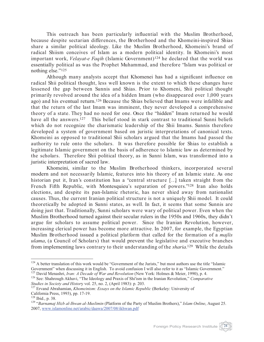This outreach has been particularly influential with the Muslim Brotherhood, because despite sectarian differences, the Brotherhood and the Khomeini-inspired Shias share a similar political ideology. Like the Muslim Brotherhood, Khomeini's brand of radical Shiism conceives of Islam as a modern political identity. In Khomeini's most important work, *Velayat-e Faqih* (Islamic Government)<sup>124</sup> he declared that the world was essentially political as was the Prophet Muhammad, and therefore "Islam was political or nothing else."125

Although many analysts accept that Khomenei has had a significant influence on radical Shii political thought, less well known is the extent to which these changes have lessened the gap between Sunnis and Shias. Prior to Khomeni, Shii political thought primarily revolved around the idea of a hidden Imam (who disappeared over 1,000 years ago) and his eventual return.126 Because the Shias believed that Imams were infallible and that the return of the last Imam was imminent, they never developed a comprehensive theory of a state. They had no need for one. Once the "hidden" Imam returned he would have all the answers.<sup>127</sup> This belief stood in stark contrast to traditional Sunni beliefs which do not recognize the charismatic leadership of the Shii Imams. Sunnis therefore developed a system of government based on juristic interpretations of canonical texts. Khomeini as opposed to traditional Shii scholars argued that the Imams had passed the authority to rule onto the scholars. It was therefore possible for Shias to establish a legitimate Islamic government on the basis of adherence to Islamic law as determined by the scholars. Therefore Shii political theory, as in Sunni Islam, was transformed into a juristic interpretation of sacred law.

Khomeini, similar to the Muslim Brotherhood thinkers, incorporated several modern and not necessarily Islamic, features into his theory of an Islamic state. As one historian put it, Iran's constitution has a "central structure [...] taken straight from the French Fifth Republic, with Montesquieu's separation of powers."<sup>128</sup> Iran also holds elections, and despite its pan-Islamic rhetoric, has never shied away from nationalist causes. Thus, the current Iranian political structure is not a uniquely Shii model. It could theoretically be adopted in Sunni states, as well. In fact, it seems that some Sunnis are doing just that. Traditionally, Sunni scholars were wary of political power. Even when the Muslim Brotherhood turned against their secular rulers in the 1950s and 1960s, they didn't argue for scholars to assume political power. Since the Iranian Revolution, however, increasing clerical power has become more attractive. In 2007, for example, the Egyptian Muslim Brotherhood issued a political platform that called for the formation of a *majlis ulama*, (a Council of Scholars) that would prevent the legislative and executive branches from implementing laws contrary to their understanding of the *sharia*.<sup>129</sup> While the details

 $124$  A better translation of this work would be "Government of the Jurists," but most authors use the title "Islamic Government" when discussing it in English. To avoid confusion I will also refer to it as "Islamic Gover

<sup>&</sup>lt;sup>125</sup> David Menashri, *Iran: A Decade of War and Revolution* (New York: Holmes & Meier, 1990), p. 4.<br><sup>126</sup> See: Shahrough Akhavi, "The Ideology and Praxis of Shi'ism in the Iranian Revolution," *Comparative Studies in Soc* 

<sup>&</sup>lt;sup>127</sup> Ervand Abrahamian, *Khomeinism: Essays on the Islamic Republic* (Berkeley: University of California Press, 1993), pp. 17-19.

<sup>&</sup>lt;sup>128</sup> Ibid., p. 38.<br><sup>129</sup> "*Barnamaj Hizb al-Ihwan al-Muslimin* (Platform of the Party of Muslim Brothers)," *Islam Online*, August 25. 2007, www.islamonline.net/arabic/daawa/2007/08/ikhwan.pdf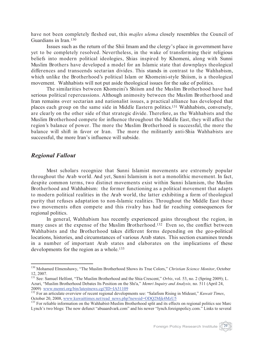have not been completely fleshed out, this *majles ulema* closely resembles the Council of Guardians in Iran.130

Issues such as the return of the Shii Imam and the clergy's place in government have yet to be completely resolved. Nevertheless, in the wake of transforming their religious beliefs into modern political ideologies, Shias inspired by Khomeni, along with Sunni Muslim Brothers have developed a model for an Islamic state that downplays theological differences and transcends sectarian divides. This stands in contrast to the Wahhabism, which unlike the Brotherhood's political Islam or Khomeini-style Shiism, is a theological movement. Wahhabists will not put aside theological issues for the sake of politics.

The similarities between Khomeini's Shiism and the Muslim Brotherhood have had serious political repercussions. Although animosity between the Muslim Brotherhood and Iran remains over sectarian and nationalist issues, a practical alliance has developed that places each group on the same side in Middle Eastern politics. <sup>131</sup> Wahhabists, conversely, are clearly on the other side of that strategic divide. Therefore, as the Wahhabists and the Muslim Brotherhood compete for influence throughout the Middle East, they will affect the region's balance of power. The more the Muslim Brotherhood is successful, the more the balance will shift in favor or Iran. The more the militantly anti-Shia Wahhabists are successful, the more Iran's influence will subside.

#### *Regional Fallout*

Most scholars recognize that Sunni Islamist movements are extremely popular throughout the Arab world. And yet, Sunni Islamism is not a monolithic movement. In fact, despite common terms, two distinct movements exist within Sunni Islamism, the Muslim Brotherhood and Wahhabism: the former functioning as a political movement that adapts to modern political realities in the Arab world, the latter exhibiting a form of theological purity that refuses adaptation to non-Islamic realities. Throughout the Middle East these two movements often compete and this rivalry has had far reaching consequences for regional politics.

In general, Wahhabism has recently experienced gains throughout the region, in many cases at the expense of the Muslim Brotherhood.<sup>132</sup> Even so, the conflict between Wahhabists and the Brotherhood takes different forms depending on the geo-political locations, histories, and circumstances of various Arab states. This section examines trends in a number of important Arab states and elaborates on the implications of these developments for the region as a whole.<sup>133</sup>



<sup>130</sup> Mohamed Elmenshawy, "The Muslim Brotherhood Shows its True Colors," *Christian Science Monitor*, October 12, 2007.

<sup>&</sup>lt;sup>131</sup> See: Samuel Helfont, "The Muslim Brotherhood and the Shia Crescent," *Orbis*, vol. 53, no. 2 (Spring 2009); L. Azuri, "Muslim Brotherhood Debates Its Position on the Shi'a," *Memri Inquiry and Analysis,* no. 511 (April 24,

<sup>2009)</sup> www.memricity.org/bin/latesticsticsticstics.cgi.inc. The IASE<br>
132 For an articulate overview of recent regional developments see: "Salafism Rising in Mideast," *Kuwait Times*,<br>
2006 October 20, 2008, www.kuwaittimes

<sup>&</sup>lt;sup>133</sup> For reliable information on the Wahhabist-Muslim Brotherhood split and its effects on regional politics see Marc Lynch's two blogs: The now defunct "abuaardvark.com" and his newer "lynch.foreignpolicy.com." Links to several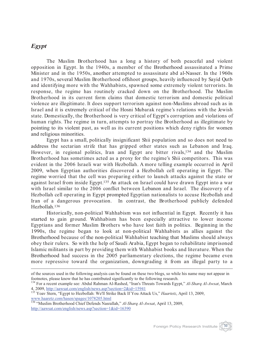#### *Egypt*

The Muslim Brotherhood has a long a history of both peaceful and violent opposition in Egypt. In the 1940s, a member of the Brotherhood assassinated a Prime Minister and in the 1950s, another attempted to assassinate abd al-Nasser. In the 1960s and 1970s, several Muslim Brotherhood offshoot groups, heavily influenced by Sayid Qutb and identifying more with the Wahhabists, spawned some extremely violent terrorists. In response, the regime has routinely cracked down on the Brotherhood. The Muslim Brotherhood in its current form claims that domestic terrorism and domestic political violence are illegitimate. It does support terrorism against non-Muslims abroad such as in Israel and it is extremely critical of the Hosni Mubarak regime's relations with the Jewish state. Domestically, the Brotherhood is very critical of Egypt's corruption and violations of human rights. The regime in turn, attempts to portray the Brotherhood as illegitimate by pointing to its violent past, as well as its current positions which deny rights for women and religious minorities.

Egypt has a small, politically insignificant Shii population and so does not need to address the sectarian strife that has gripped other states such as Lebanon and Iraq. However, in regional politics, Iran and Egypt are bitter rivals,<sup>134</sup> and the Muslim Brotherhood has sometimes acted as a proxy for the regime's Shii competitors. This was evident in the 2006 Israeli war with Hezbollah. A more telling example occurred in April 2009, when Egyptian authorities discovered a Hezbollah cell operating in Egypt. The regime worried that the cell was preparing either to launch attacks against the state or against Israel from inside Egypt.135 An attack on Israel could have drawn Egypt into a war with Israel similar to the 2006 conflict between Lebanon and Israel. The discovery of a Hezbollah cell operating in Egypt prompted Egyptian nationalists to accuse Hezbollah and Iran of a dangerous provocation. In contrast, the Brotherhood publicly defended Hezbollah.136

Historically, non-political Wahhabism was not influential in Egypt. Recently it has started to gain ground. Wahhabism has been especially attractive to lower income Egyptians and former Muslim Brothers who have lost faith in politics. Beginning in the 1990s, the regime began to look at non-political Wahhabists as allies against the Brotherhood because of the non-political Wahhabist teaching that Muslims should always obey their rulers. So with the help of Saudi Arabia, Egypt began to rehabilitate imprisoned Islamic militants in part by providing them with Wahhabist books and literature. When the Brotherhood had success in the 2005 parliamentary elections, the regime became even more repressive toward the organization, downgrading it from an illegal party to a



of the sources used in the following analysis can be found on these two blogs, so while his name may not appear in footnotes, please know that he has contributed significantly to the following research. <sup>134</sup> For a recent example see: Abdul Rahman Al-Rashed, "Iran's Threats Towards Egypt," *Al-Sharq Al-Awsat*, March

<sup>4, 2009,</sup> http://aawsat.com/english/news.asp?section=2&id=15941 <sup>135</sup> Yoav Stern, "Egypt to Hezbollah: We'll Strike Back If You Attack Us," *Haartetz*, April 13, 2009,

www.haaretz.com/hasen/spages/1078205.html

<sup>136</sup> "Muslim Brotherhood Chief Defends Nasrallah," *Al-Sharq Al-Awsat*, April 13, 2009, http://aawsat.com/english/news.asp?section=1&id=16390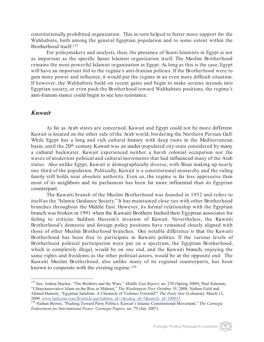constitutionally prohibited organization. This in turn helped to foster more support for the Wahhabists, both among the general Egyptian population and to some extent within the Brotherhood itself.137

For policymakers and analysts, then, the presence of Sunni Islamists in Egypt is not as important as the specific Sunni Islamist organization itself. The Muslim Brotherhood remains the most powerful Islamist organization in Egypt. As long as this is the case, Egypt will have an important foil to the regime's anti-Iranian policies. If the Brotherhood were to gain more power and influence, it would put the regime in an even more difficult situation. If however, the Wahhabists build on recent gains and begin to make serious inroads into Egyptian society, or even push the Brotherhood toward Wahhabists positions, the regime's anti-Iranian stance could begin to see less resistance.

#### *Kuwait*

As far as Arab states are concerned, Kuwait and Egypt could not be more different. Kuwait is located on the other side of the Arab world, bordering the Northern Persian Gulf. While Egypt has a long and rich cultural history with deep roots in the Mediterranean basin, until the 20th century Kuwait was an under-populated city-state considered by many a cultural backwater. Kuwait experienced neither a harsh colonial occupation nor the waves of modernist political and cultural movements that had influenced many of the Arab states. Also unlike Egypt, Kuwait is demographically diverse, with Shias making up nearly one third of the population. Politically, Kuwait is a constitutional monarchy and the ruling family still holds near absolute authority. Even so, the regime is far less oppressive than most of its neighbors and its parliament has been far more influential than its Egyptian counterpart.

The Kuwaiti branch of the Muslim Brotherhood was founded in 1952 and refers to itself as the "Islamic Guidance Society." It has maintained close ties with other Brotherhood branches throughout the Middle East. However, its formal relationship with the Egyptian branch was broken in 1991 when the Kuwaiti Brothersfaulted their Egyptian associates for failing to criticize Saddam Hussein's invasion of Kuwait. Nevertheless, the Kuwaiti Brotherhood's domestic and foreign policy positions have remained closely aligned with those of other Muslim Brotherhood branches. One notable difference is that the Kuwaiti Brotherhood has been free to participate in Kuwaiti politics. If the various levels of Brotherhood political participation were put on a spectrum, the Egyptian Brotherhood, which is completely illegal, would be on one end, and the Kuwaiti branch, enjoying the same rights and freedoms as the other political actors, would be at the opposite end. The Kuwaiti Muslim Brotherhood, also unlike many of its regional counterparts, has been known to cooperate with the existing regime.<sup>138</sup>

<sup>137</sup> See: Joshua Stacher, "The Brothers and the Wars," *Middle East Report*, no. 250 (Spring 2009); Paul Schemm, "Ultraconservative Islam on the Rise in Mideast," *The Washington Post*, October 19, 2008; Nathan Field and Ahmed Hamem, "Egyptian Salafism: A Chronicle of Violence Foretold?" *The Daily Star* (Lebanon), March 13, 2009, www.dailystar.com.lb/article.asp?edition id=1&categ id=5&article id=100035

<sup>&</sup>lt;sup>2009</sup>, www.dailystar.com.com.com.com.<br><sup>138</sup> Nathan Brown, "Pushing Toward Party Politics: Kuwait's Islamic Constitutional Movement," *The Carnegie Endowment for International Peace: Carnegie Papers,* no. 79 (Jan. 2007).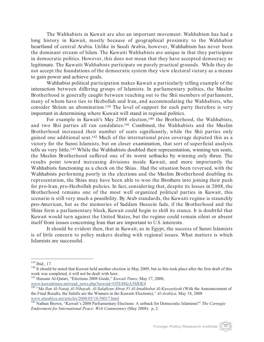The Wahhabists in Kuwait are also an important movement. Wahhabism has had a long history in Kuwait, mostly because of geographical proximity to the Wahhabist heartland of central Arabia. Unlike in Saudi Arabia, however, Wahhabism has never been the dominant stream of Islam. The Kuwaiti Wahhabists are unique in that they participate in democratic politics. However, this does not mean that they have accepted democracy as legitimate. The Kuwaiti Wahhabists participate on purely practical grounds. While they do not accept the foundations of the democratic system they view electoral victory as a means to gain power and achieve goals.

Wahhabist political participation makes Kuwait a particularly telling example of the interaction between differing groups of Islamists. In parliamentary politics, the Muslim Brotherhood is generally caught between reaching out to the Shii members of parliament, many of whom have ties to Hezbollah and Iran, and accommodating the Wahhabists, who consider Shiism an abomination.139 The level of support for each party therefore is very important in determining where Kuwait will stand in regional politics.

For example in Kuwait's May 2008 election,<sup>140</sup> the Brotherhood, the Wahhabists, and two Shii parties all ran candidates.141 Combined, the Wahhabists and the Muslim Brotherhood increased their number of seats significantly, while the Shii parties only gained one additional seat.142 Much of the international press coverage depicted this as a victory for the Sunni Islamists, but on closer examination, that sort of superficial analysis tells us very little.143 While the Wahhabists doubled their representation, winning ten seats, the Muslim Brotherhood suffered one of its worst setbacks by winning only three. The results point toward increasing divisions inside Kuwait, and more importantly the Wahhabists functioning as a check on the Shias. Had the situation been reversed, with the Wahhabists performing poorly in the elections and the Muslim Brotherhood doubling its representation, the Shias may have been able to woo the Brothers into joining their push for pro-Iran, pro-Hezbollah policies. In fact, considering that, despite its losses in 2008, the Brotherhood remains one of the most well organized political parties in Kuwait, this scenario is still very much a possibility. By Arab standards, the Kuwaiti regime is staunchly pro-American, but as the memories of Saddam Hussein fade, if the Brotherhood and the Shias form a parliamentary block, Kuwait could begin to shift its stance. It is doubtful that Kuwait would turn against the United States, but the regime could remain silent or absent itself from issues concerning Iran that are important to U.S. interests.

It should be evident then, that in Kuwait, as in Egypt, the success of Sunni Islamists is of little concern to policy makers dealing with regional issues. What matters is which Islamists are successful.

<sup>&</sup>lt;sup>139</sup> Ibid., 17.<br><sup>140</sup> It should be noted that Kuwait held another election in May 2009, but as this took place after the first draft of this work was completed, it will not be dealt with here.

<sup>141</sup> Hussain Al-Qatari, "Elections 2008 Guide," *Kuwait Times*, May 17, 2008, www.kuwaittimes.net/read\_news.php?newsid=OTE4MzA3MDE4

<sup>142</sup> "*Ma Ilan Al-Nataij Al-Nihayah, Al-Salafiyun Abraz Fi Al-Intakhabat Al-Kuwaytiyah* (With the Announcement of the Final Results, the Salafis are the Winners in the Kuwaiti Elections)," *Al-Arabiya,* May 18, 2008

www.alarabiya.net/articles/2008/2008 Parliamentary Elections: A setback for Democratic Islamism?" *The Carnegie The Carnegie Endowment for International Peace: Web Commentary* (May 2008): p. 2.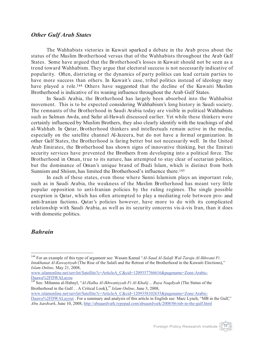#### *Other Gulf Arab States*

The Wahhabists victories in Kuwait sparked a debate in the Arab press about the status of the Muslim Brotherhood versus that of the Wahhabists throughout the Arab Gulf States. Some have argued that the Brotherhood's losses in Kuwait should not be seen as a trend toward Wahhabism. They argue that electoral success is not necessarily indicative of popularity. Often, districting or the dynamics of party politics can lead certain parties to have more success than others. In Kuwait's case, tribal politics instead of ideology may have played a role.<sup>144</sup> Others have suggested that the decline of the Kuwaiti Muslim Brotherhood is indicative of its waning influence throughout the Arab Gulf States.

In Saudi Arabia, the Brotherhood has largely been absorbed into the Wahhabist movement. This is to be expected considering Wahhabism's long history in Saudi society. The remnants of the Brotherhood in Saudi Arabia today are visible in political Wahhabists such as Salman Awda, and Safar al-Hawali discussed earlier. Yet while these thinkers were certainly influenced by Muslim Brothers, they also clearly identify with the teachings of abd al-Wahhab. In Qatar, Brotherhood thinkers and intellectuals remain active in the media, especially on the satellite channel Al-Jazeera, but do not have a formal organization. In other Gulf States, the Brotherhood is faring better but not necessarily well. In the United Arab Emirates, the Brotherhood has shown signs of innovative thinking, but the Emirati security services have prevented the Brothers from developing into a political force. The Brotherhood in Oman, true to its nature, has attempted to stay clear of sectarian politics, but the dominance of Oman's unique brand of Ibadi Islam, which is distinct from both Sunnism and Shiism, has limited the Brotherhood's influence there.<sup>145</sup>

In each of these states, even those where Sunni Islamism plays an important role, such as in Saudi Arabia, the weakness of the Muslim Brotherhood has meant very little popular opposition to anti-Iranian policies by the ruling regimes. The single possible exception is Qatar, which has often attempted to play a mediating role between pro- and anti-Iranian factions. Qatar's policies however, have more to do with its complicated relationship with Saudi Arabia, as well as its security concerns vis-à-vis Iran, than it does with domestic politics.

### *Bahrain*

<sup>144</sup> For an example of this type of argument see: Wasam Kamal "*Al-Saud Al-Salafi Wal-Taraju Al-Ikhwani Fi Intakhanat Al-Kuwaytiyah* (The Rise of the Salafi and the Retreat of the Brotherhood in the Kuwaiti Elections)," *Islam Online,* May 21, 2008,

www.islamonline.net/servlet/Satellite?c=ArticleA\_C&cid=1209357766616&pagename=Zone-Arabic-Daawa%2FDWALayou

<sup>145</sup> See: Mihanna al-Habayl, "*Al-Halha Al-Ikhwaniyyah Fi Al-Khalij… Ruya Naqdiyah* (The Status of the Brotherhood in the Gulf… A Critical Look)," *Islam Online*, June 3, 2008,

www.islamonline.net/servlet/Satellite?c=ArticleA\_C&cid=1209358102635&pagename=Zone-Arabic-Daawa%2FDWALayout . For a summary and analysis of this article in English see: Marc Lynch, "MB in the Gulf," *Abu Aardvark*, June 10, 2008, http://abuaardvark.typepad.com/abuaardvark/2008/06/mb-in-the-gulf.html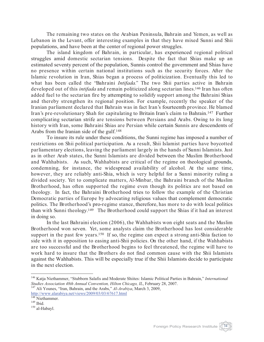The remaining two states on the Arabian Peninsula, Bahrain and Yemen, as well as Lebanon in the Levant, offer interesting examples in that they have mixed Sunni and Shii populations, and have been at the center of regional power struggles.

The island kingdom of Bahrain, in particular, has experienced regional political struggles amid domestic sectarian tensions. Despite the fact that Shias make up an estimated seventy percent of the population, Sunnis control the government and Shias have no presence within certain national institutions such as the security forces. After the Islamic revolution in Iran, Shias began a process of politicization. Eventually this led to what has been called the "Bahraini *Intifada*." The two Shii parties active in Bahrain developed out of this *intifada* and remain politicized along sectarian lines.146 Iran has often added fuel to the sectarian fire by attempting to solidify support among the Bahraini Shias and thereby strengthen its regional position. For example, recently the speaker of the Iranian parliament declared that Bahrain was in fact Iran's fourteenth province. He blamed Iran's pre-revolutionary Shah for capitulating to Britain Iran's claim to Bahrain.147 Further complicating sectarian strife are tensions between Persians and Arabs. Owing to its long history with Iran, some Bahraini Shias are Persian while certain Sunnis are descendents of Arabs from the Iranian side of the gulf.148

To insure its rule under these conditions, the Sunni regime has imposed a number of restrictions on Shii political participation. As a result, Shii Islamist parties have boycotted parliamentary elections, leaving the parliament largely in the hands of Sunni Islamists. Just as in other Arab states, the Sunni Islamists are divided between the Muslim Brotherhood and Wahhabists. As such, Wahhabists are critical of the regime on theological grounds, condemning, for instance, the widespread availability of alcohol. At the same time, however, they are reliably anti-Shia, which is very helpful for a Sunni minority ruling a divided society. Yet to complicate matters, Al-Minbar, the Bahraini branch of the Muslim Brotherhood, has often supported the regime even though its politics are not based on theology. In fact, the Bahraini Brotherhood tries to follow the example of the Christian Democratic parties of Europe by advocating religious values that complement democratic politics. The Brotherhood's pro-regime stance, therefore, has more to do with local politics than with Sunni theology.149 The Brotherhood could support the Shias if it had an interest in doing so.

In the last Bahraini election (2006), the Wahhabists won eight seats and the Muslim Brotherhood won seven. Yet, some analysts claim the Brotherhood has lost considerable support in the past few years.<sup>150</sup> If so, the regime can expect a strong anti-Shia faction to side with it in opposition to easing anti-Shii policies. On the other hand, if the Wahhabists are too successful and the Brotherhood begins to feel threatened, the regime will have to work hard to insure that the Brothers do not find common cause with the Shii Islamists against the Wahhabists. This will be especially true if the Shii Islamists decide to participate in the next election.



<sup>&</sup>lt;sup>146</sup> Katja Niethammer, "Stubborn Salafis and Moderate Shiites: Islamic Political Parties in Bahrain," *International* Studies Association 48th Annual Convention, Hilton Chicago, IL, February 28, 2007.

<sup>&</sup>lt;sup>147</sup> Ali Younes, "Iran, Bahrain, and the Arabs," *Al-Arabiya*, March 3, 2009, http://www.alarabiya.net/views/2009/03/03/67617.html<br><sup>148</sup> Niethammer.

 $\rm ^{149}$  Ibid. 150 al-Habayl.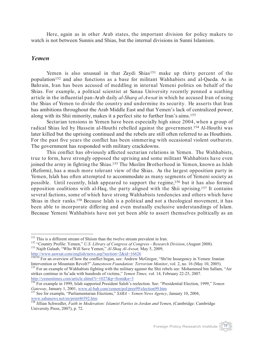Here, again as in other Arab states, the important division for policy makers to watch is not between Sunnis and Shias, but the internal divisions in Sunni Islamism.

#### *Yemen*

Yemen is also unusual in that Zaydi Shias<sup>151</sup> make up thirty percent of the population152 and also functions as a base for militant Wahhabists and al-Qaeda. As in Bahrain, Iran has been accused of meddling in internal Yemeni politics on behalf of the Shias. For example, a political scientist at Sanaa University recently penned a scathing article in the influential pan-Arab daily *al-Sharq al-Awsat* in which he accused Iran of using the Shias of Yemen to divide the country and undermine its security. He asserts that Iran has ambitions throughout the Arab Middle East and that Yemen's lack of centralized power, along with its Shii minority, makes it a perfect site to further Iran's aims.153

Sectarian tensions in Yemen have been especially high since 2004, when a group of radical Shias led by Hussein al-Houthi rebelled against the government.154 Al-Houthi was later killed but the uprising continued and the rebels are still often referred to as Houthists. For the past five years the conflict has been simmering with occasional violent outbursts. The government has responded with military crackdowns.

This conflict has obviously affected sectarian relations in Yemen. The Wahhabists, true to form, have strongly opposed the uprising and some militant Wahhabists have even joined the army in fighting the Shias.<sup>155</sup> The Muslim Brotherhood in Yemen, known as Islah (Reform), has a much more tolerant view of the Shias. As the largest opposition party in Yemen, Islah has often attempted to accommodate as many segments of Yemeni society as possible. Until recently, Islah appeared to support the regime,156 but it has also formed opposition coalitions with al-Haq, the party aligned with the Shii uprising.157 It contains several factions, some of which have strong Wahhabists tendencies and others which have Shias in their ranks.158 Because Islah is a political and not a theological movement, it has been able to incorporate differing and even mutually exclusive understandings of Islam. Because Yemeni Wahhabists have not yet been able to assert themselves politically as an



<sup>&</sup>lt;sup>151</sup> This is a different stream of Shiism than the twelve stream prevalent in Iran.<br><sup>152</sup> "Country Profile: Yemen," *U.S. Library of Congress of Congress - Research Division*, (August 2008).<br><sup>153</sup> Najib Galaab, "Who Will http://www.aawsat.com/english/news.asp?section=2&id=16626

<sup>&</sup>lt;sup>154154</sup> For an overview of how the conflict began, see: Andrew McGregor, "Shi'ite Insurgency in Yemen: Iranian Intervention or Mountain Revolt?" Jamestown Foundation: Terrorism Monitor, vol. 2, no. 16 (May 10, 2005).<br><sup>155</sup> For an example of Wahhabists fighting with the military against the Shii rebels see: Mohammed bin Sallam, "Air

strikes continue in Sa'ada with hundreds of victims," *Yemen Times,* vol. 14, February 22-25, 2007. http://yementimes.com/article.shtml?i=1027&p=front&a=3

<sup>156</sup> For example in 1999, Islah supported President Saleh's reelection. See: "Presidential Election, 1999," *Yemen Gateway*, January 1, 2001, www.al-bab.com/yemen/pol/pres99/election99.htm<br><sup>157</sup> See for example, "Parliamentarian Elections," *SABA – Yemen News Agency*, January 10, 2004,

www.sabanews.net/en/print46592.htm

<sup>158</sup> Jillian Schwedler, *Faith in Moderation: Islamist Parties in Jordan and Yemen*, (Cambridge: Cambridge University Press, 2007), p. 72.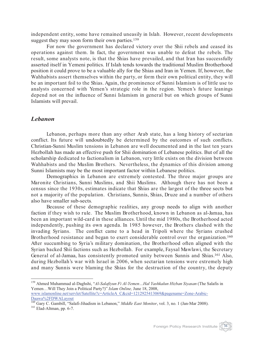independent entity, some have remained uneasily in Islah. However, recent developments suggest they may soon form their own parties.<sup>159</sup>

For now the government has declared victory over the Shii rebels and ceased its operations against them. In fact, the government was unable to defeat the rebels. The result, some analysts note, is that the Shias have prevailed, and that Iran has successfully asserted itself in Yemeni politics. If Islah tends towards the traditional Muslim Brotherhood position it could prove to be a valuable ally for the Shias and Iran in Yemen. If, however, the Wahhabists assert themselves within the party, or form their own political entity, they will be an important foil to the Shias. Again, the prominence of Sunni Islamism is of little use to analysts concerned with Yemen's strategic role in the region. Yemen's future leanings depend not on the influence of Sunni Islamism in general but on which groups of Sunni Islamists will prevail.

#### *Lebanon*

Lebanon, perhaps more than any other Arab state, has a long history of sectarian conflict. Its future will undoubtedly be determined by the outcomes of such conflicts. Christian-Sunni Muslim tensions in Lebanon are well documented and in the last ten years Hezbollah has made an effective push for Shii domination of Lebanese politics. But of all the scholarship dedicated to factionalism in Lebanon, very little exists on the division between Wahhabists and the Muslim Brothers. Nevertheless, the dynamics of this division among Sunni Islamists may be the most important factor within Lebanese politics.

Demographics in Lebanon are extremely contested. The three major groups are Maronite Christians, Sunni Muslims, and Shii Muslims. Although there has not been a census since the 1930s, estimates indicate that Shias are the largest of the three sects but not a majority of the population. Christians, Sunnis, Shias, Druze and a number of others also have smaller sub-sects.

Because of these demographic realities, any group needs to align with another faction if they wish to rule. The Muslim Brotherhood, known in Lebanon as al-Jamaa, has been an important wild-card in these alliances. Until the mid 1980s, the Brotherhood acted independently, pushing its own agenda. In 1985 however, the Brothers clashed with the invading Syrians. The conflict came to a head in Tripoli where the Syrians crushed Brotherhood resistance and began to exert considerable control over the organization.<sup>160</sup> After succumbing to Syria's military domination, the Brotherhood often aligned with the Syrian backed Shii factions such as Hezbollah. For example, Faysal Mawlawi, the Secretary General of al-Jamaa, has consistently promoted unity between Sunnis and Shias.161 Also, during Hezbollah's war with Israel in 2006, when sectarian tensions were extremely high and many Sunnis were blaming the Shias for the destruction of the country, the deputy



<sup>159</sup> Ahmed Muhammad al-Daghshi, "*Al-Salafiyun Fi Al-Yemen…Hal Yashkalun Hizban Siyasan* (The Salafis in Yemen…Will They Join a Political Party?)" *Islam Online,* June 18, 2008, www.islamonline.net/servlet/Satellite?c=ArticleA\_C&cid=1212925413069&pagename=Zone-Arabic-Daawa%2FDWALayout

<sup>&</sup>lt;sup>160</sup> Gary C. Gambill, "Salafi-Jihadism in Lebanon," *Middle East Monitor*, vol. 3, no. 1 (Jan-Mar 2008).<br><sup>161</sup> Elad-Altman, pp. 6-7.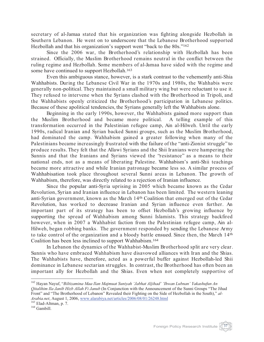secretary of al-Jamaa stated that his organization was fighting alongside Hezbollah in Southern Lebanon. He went on to underscore that the Lebanese Brotherhood supported Hezbollah and that his organization's support went "back to the 80s."162

Since the 2006 war, the Brotherhood's relationship with Hezbollah has been strained. Officially, the Muslim Brotherhood remains neutral in the conflict between the ruling regime and Hezbollah. Some members of al-Jamaa have sided with the regime and some have continued to support Hezbollah.<sup>163</sup>

Even this ambiguous stance, however, is a stark contrast to the vehemently anti-Shia Wahhabists. During the Lebanese Civil War in the 1970s and 1980s, the Wahhabis were generally non-political. They maintained a small military wing but were reluctant to use it. They refused to intervene when the Syrians clashed with the Brotherhood in Tripoli, and the Wahhabists openly criticized the Brotherhood's participation in Lebanese politics. Because of these apolitical tendencies, the Syrians generally left the Wahhabists alone.

Beginning in the early 1990s, however, the Wahhabists gained more support than the Muslim Brotherhood and became more political. A telling example of this transformation occurred in the Palestinian refugee camp, Ain al-Hilweh. Until the early 1990s, radical Iranian and Syrian backed Sunni groups, such as the Muslim Brotherhood, had dominated the camp. Wahhabism gained a greater following when many of the Palestinians became increasingly frustrated with the failure of the "anti-Zionist struggle" to produce results. They felt that the Allawi Syrians and the Shii Iranians were hampering the Sunnis and that the Iranians and Syrians viewed the "resistance" as a means to their national ends, not as a means of liberating Palestine. Wahhabism's anti-Shii teachings became more attractive and while Iranian patronage became less so. A similar process of Wahhabisation took place throughout several Sunni areas in Lebanon. The growth of Wahhabism, therefore, was directly related to a rejection of Iranian influence.

Since the popular anti-Syria uprising in 2005 which became known as the Cedar Revolution, Syrian and Iranian influence in Lebanon has been limited. The western leaning anti-Syrian government, known as the March 14th Coalition that emerged out of the Cedar Revolution, has worked to decrease Iranian and Syrian influence even further. An important part of its strategy has been to offset Hezbollah's growing influence by supporting the spread of Wahhabism among Sunni Islamists. This strategy backfired however, when in 2007 a Wahhabist faction from the Palestinian refugee camp, Ain al-Hilweh, began robbing banks. The government responded by sending the Lebanese Army to take control of the organization and a bloody battle ensued. Since then, the March 14th Coalition has been less inclined to support Wahhabism.164

In Lebanon the dynamics of the Wahhabist-Muslim Brotherhood split are very clear. Sunnis who have embraced Wahhabism have disavowed alliances with Iran and the Shias. The Wahhabists have, therefore, acted as a powerful buffer against Hezbollah-led Shii dominance in Lebanese sectarian struggles. In contrast, the Brotherhood has often been an important ally for Hezbollah and the Shias. Even when not completely supportive of

<sup>162</sup> Hayan Nayuf, "*Biltizamina Maa Ilan Majmuat Suniyah 'Jabhat Aljihad' 'Ihwan Lubnan' Yakashufun An Qitalihim Ila Janib Hizb Allah Fi Janub* (In Conjunction with the Announcement of the Sunni Groups "The Jihad Front" and "The Brotherhood of Lebanon" Revealed their Fighting on the Side of Hezbollah in the South)," *al-Arabia.net*, August 1, 2006, www.alarabiya.net/articles/2006/08/01/26248.html <sup>163</sup> Elad-Altman, p. 7. <sup>164</sup> Gambill.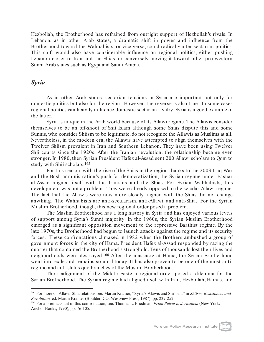Hezbollah, the Brotherhood has refrained from outright support of Hezbollah's rivals. In Lebanon, as in other Arab states, a dramatic shift in power and influence from the Brotherhood toward the Wahhabists, or vice versa, could radically alter sectarian politics. This shift would also have considerable influence on regional politics, either pushing Lebanon closer to Iran and the Shias, or conversely moving it toward other pro-western Sunni Arab states such as Egypt and Saudi Arabia.

#### *Syria*

As in other Arab states, sectarian tensions in Syria are important not only for domestic politics but also for the region. However, the reverse is also true. In some cases regional politics can heavily influence domestic sectarian rivalry. Syria is a good example of the latter.

Syria is unique in the Arab world because of its Allawi regime. The Allawis consider themselves to be an off-shoot of Shii Islam although some Shias dispute this and some Sunnis, who consider Shiism to be legitimate, do not recognize the Allawis as Muslims at all. Nevertheless, in the modern era, the Allawis have attempted to align themselves with the Twelver Shiism prevalent in Iran and Southern Lebanon. They have been using Twelver Shii courts since the 1920s. After the Iranian revolution, the relationship became even stronger. In 1980, then Syrian President Hafez al-Assad sent 200 Allawi scholars to Qom to study with Shii scholars.165

For this reason, with the rise of the Shias in the region thanks to the 2003 Iraq War and the Bush administration's push for democratization, the Syrian regime under Bashar al-Assad aligned itself with the Iranians and the Shias. For Syrian Wahhabists, this development was not a problem. They were already opposed to the secular Allawi regime. The fact that the Allawis were now more closely aligned with the Shias did not change anything. The Wahhabists are anti-secularism, anti-Allawi, and anti-Shia. For the Syrian Muslim Brotherhood, though, this new regional order posed a problem.

The Muslim Brotherhood has a long history in Syria and has enjoyed various levels of support among Syria's Sunni majority. In the 1960s, the Syrian Muslim Brotherhood emerged as a significant opposition movement to the repressive Baathist regime. By the late 1970s, the Brotherhood had begun to launch attacks against the regime and its security forces. These confrontations climaxed in 1982 when the Brothers ambushed a group of government forces in the city of Hama. President Hafez al-Assad responded by razing the quarter that contained the Brotherhood's stronghold. Tens of thousands lost their lives and neighborhoods were destroyed.166 After the massacre at Hama, the Syrian Brotherhood went into exile and remains so until today. It has also proven to be one of the most antiregime and anti-status quo branches of the Muslim Brotherhood.

The realignment of the Middle Eastern regional order posed a dilemma for the Syrian Brotherhood. The Syrian regime had aligned itself with Iran, Hezbollah, Hamas, and

<sup>&</sup>lt;sup>165</sup> For more on Allawi-Shia relations see: Martin Kramer, "Syria's Alawis and Shi'ism," in *Shiism, Resistance, and Revolution*, ed. Martin Kramer (Boulder, CO: Westview Press, 1987), pp. 237-252.

<sup>&</sup>lt;sup>166</sup> For a brief account of this confrontation, see: Thomas L. Friedman. *From Beirut to Jerusalem* (New York: Anchor Books, 1990), pp. 76-105.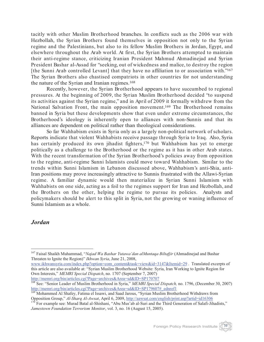tacitly with other Muslim Brotherhood branches. In conflicts such as the 2006 war with Hezbollah, the Syrian Brothers found themselves in opposition not only to the Syrian regime and the Palestinians, but also to its fellow Muslim Brothers in Jordan, Egypt, and elsewhere throughout the Arab world. At first, the Syrian Brothers attempted to maintain their anti-regime stance, criticizing Iranian President Mahmud Ahmadinejad and Syrian President Bashar al-Assad for "seeking, out of wickedness and malice, to destroy the region [the Sunni Arab controlled Levant] that they have no affiliation to or association with."<sup>167</sup> The Syrian Brothers also chastised compatriots in other countries for not understanding the nature of the Syrian and Iranian regimes.168

Recently, however, the Syrian Brotherhood appears to have succumbed to regional pressures. At the beginning of 2009, the Syrian Muslim Brotherhood decided "to suspend its activities against the Syrian regime," and in April of 2009 it formally withdrew from the National Salvation Front, the main opposition movement.<sup>169</sup> The Brotherhood remains banned in Syria but these developments show that even under extreme circumstances, the Brotherhood's ideology is inherently open to alliances with non-Sunnis and that its alliances are dependent on political rather than theological considerations.

So far Wahhabism exists in Syria only as a largely non-political network of scholars. Reports indicate that violent Wahhabists receive passage through Syria to Iraq. Also, Syria has certainly produced its own jihadist fighters,<sup>170</sup> but Wahhabism has yet to emerge politically as a challenge to the Brotherhood or the regime as it has in other Arab states. With the recent transformation of the Syrian Brotherhood's policies away from opposition to the regime, anti-regime Sunni Islamists could move toward Wahhabism. Similar to the trends within Sunni Islamism in Lebanon discussed above, Wahhabism's anti-Shia, anti-Iran positions may prove increasingly attractive to Sunnis frustrated with the Allawi-Syrian regime. A familiar dynamic would then materialize in Syrian Sunni Islamism with Wahhabists on one side, acting as a foil to the regimes support for Iran and Hezbollah, and the Brothers on the other, helping the regime to pursue its policies. Analysts and policymakers should be alert to this split in Syria, not the growing or waning influence of Sunni Islamism as a whole.

#### *Jordan*

www.ikhwansyria.com/index.php?option=com\_content&task=view&id=3147&Itemid=29 . Translated excerpts of this article are also available at: "Syrian Muslim Brotherhood Website: Syria, Iran Working to Ignite Region for Own Interests," *MEMRI Special Dispatch*, no. 1707 (September 7, 2007) http://memri.org/bin/articles.cgi?Page=archives&Area=sd&ID=SP170707

<sup>167</sup> Faisal Shaikh Muhammad, "*Najad Wa Bashar Yutawa'dan alMuntaqa Biltafjir* (Ahmadinejad and Bashar Threaten to Ignite the Region)" *Ikhwan Syria*, June 21, 2008,

<sup>168</sup> See: "Senior Leader of Muslim Brotherhood in Syria," *MEMRI Special Dispatch,* no. 1796, (December 30, 2007) http://memri.org/bin/articles.cgi?Page=archives&Area=sd&ID=SP179607#\_ednref1

<sup>&</sup>lt;sup>169</sup> Mohammed Al Shafey, Fatima el Issawi, and Saad Jarous, "Syrian Muslim Brotherhood Withdraws from

Opposition Group," *Al-Sharq Al-Awsat*, April 6, 2009, http://aawsat.com/english/print.asp?artid=id16306 170 For example see: Murad Batal al-Shishani, "Abu Mus'ab al-Suri and the Third Generation of Salafi-Jihadists," *Jamestown Foundation Terrorism Monitor*, vol. 3, no. 16 (August 15, 2005).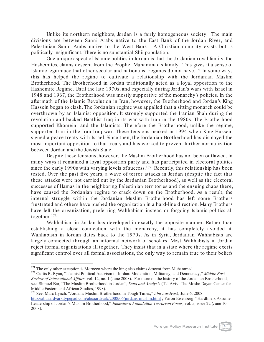Unlike its northern neighbors, Jordan is a fairly homogeneous society. The main divisions are between Sunni Arabs native to the East Bank of the Jordan River, and Palestinian Sunni Arabs native to the West Bank. A Christian minority exists but is politically insignificant. There is no substantial Shii population.

One unique aspect of Islamic politics in Jordan is that the Jordanian royal family, the Hashemites, claims descent from the Prophet Muhammad's family. This gives it a sense of Islamic legitimacy that other secular and nationalist regimes do not have.171 In some ways this has helped the regime to cultivate a relationship with the Jordanian Muslim Brotherhood. The Brotherhood in Jordan traditionally acted as a loyal opposition to the Hashemite Regime. Until the late 1970s, and especially during Jordan's wars with Israel in 1948 and 1967, the Brotherhood was mostly supportive of the monarchy's policies. In the aftermath of the Islamic Revolution in Iran, however, the Brotherhood and Jordan's King Hussein began to clash. The Jordanian regime was appalled that a sitting monarch could be overthrown by an Islamist opposition. It strongly supported the Iranian Shah during the revolution and backed Baathist Iraq in its war with Iran in the 1980s. The Brotherhood supported Khomeini and the Islamists. Therefore the Brotherhood, unlike the regime, supported Iran in the Iran-Iraq war. These tensions peaked in 1994 when King Hussein signed a peace treaty with Israel. Since then, the Jordanian Brotherhood has displayed the most important opposition to that treaty and has worked to prevent further normalization between Jordan and the Jewish State.

Despite these tensions, however, the Muslim Brotherhood has not been outlawed. In many ways it remained a loyal opposition party and has participated in electoral politics since the early 1990s with varying levels of success.<sup>172</sup> Recently, this relationship has been tested. Over the past five years, a wave of terror attacks in Jordan (despite the fact that these attacks were not carried out by the Jordanian Brotherhood), as well as the electoral successes of Hamas in the neighboring Palestinian territories and the ensuing chaos there, have caused the Jordanian regime to crack down on the Brotherhood. As a result, the internal struggle within the Jordanian Muslim Brotherhood has left some Brothers frustrated and others have pushed the organization in a hard-line direction. Many Brothers have left the organization, preferring Wahhabism instead or forgoing Islamic politics all together.173

Wahhabism in Jordan has developed in exactly the opposite manner. Rather than establishing a close connection with the monarchy, it has completely avoided it. Wahhabism in Jordan dates back to the 1970s. As in Syria, Jordanian Wahhabists are largely connected through an informal network of scholars. Most Wahhabists in Jordan reject formal organizations all together. They insist that in a state where the regime exerts significant control over all formal associations, the only way to remain true to their beliefs

Foreign Policy Research Institute 40

<sup>&</sup>lt;sup>171</sup> The only other exception is Morocco where the king also claims descent from Muhammad.<br><sup>172</sup> Curtis R. Ryan, "Islamist Political Activism in Jordan: Moderation, Militancy, and Democracy," *Middle East Review of International Affairs*, vol. 12, no. 1 (June 2008). For more on the history of the Jordanian Brotherhood, see: Shmuel Bar, "The Muslim Brotherhood in Jordan", *Data and Analysis* (Tel Aviv: The Moshe Dayan Center for Middle Eastern and African Studies, 1998).<br><sup>173</sup> See: Marc Lynch. "Jordan's Muslim Brotherhood in Tough Times," *Abu Aardvark*, June 6, 2008.

http://abuaardvark.typepad.com/abuaardvark/2008/06/jordans-muslim.html ; Yaron Eisenberg. "Hardliners Assume Leadership of Jordan's Muslim Brotherhood," *Jamestown Foundation Terrorism Focus,* vol. 5, issue 22 (June 10, 2008).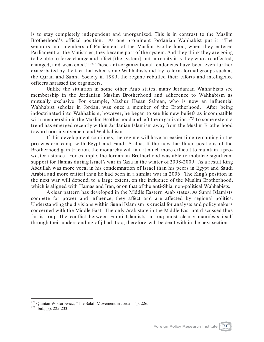is to stay completely independent and unorganized. This is in contrast to the Muslim Brotherhood's official position. As one prominent Jordanian Wahhabist put it: "The senators and members of Parliament of the Muslim Brotherhood, when they entered Parliament or the Ministries, they became part of the system. And they think they are going to be able to force change and affect [the system], but in reality it is they who are affected, changed, and weakened."174 These anti-organizational tendencies have been even further exacerbated by the fact that when some Wahhabists did try to form formal groups such as the Quran and Sunna Society in 1989, the regime rebuffed their efforts and intelligence officers harassed the organizers.

Unlike the situation in some other Arab states, many Jordanian Wahhabists see membership in the Jordanian Muslim Brotherhood and adherence to Wahhabism as mutually exclusive. For example, Mashur Hasan Salman, who is now an influential Wahhabist scholar in Jordan, was once a member of the Brotherhood. After being indoctrinated into Wahhabism, however, he began to see his new beliefs as incompatible with membership in the Muslim Brotherhood and left the organization.<sup>175</sup> To some extent a trend has emerged recently within Jordanian Islamism away from the Muslim Brotherhood toward non-involvement and Wahhabism.

If this development continues, the regime will have an easier time remaining in the pro-western camp with Egypt and Saudi Arabia. If the new hardliner positions of the Brotherhood gain traction, the monarchy will find it much more difficult to maintain a prowestern stance. For example, the Jordanian Brotherhood was able to mobilize significant support for Hamas during Israel's war in Gaza in the winter of 2008-2009. As a result King Abdullah was more vocal in his condemnation of Israel than his peers in Egypt and Saudi Arabia and more critical than he had been in a similar war in 2006. The King's position in the next war will depend, to a large extent, on the influence of the Muslim Brotherhood, which is aligned with Hamas and Iran, or on that of the anti-Shia, non-political Wahhabists.

A clear pattern has developed in the Middle Eastern Arab states. As Sunni Islamists compete for power and influence, they affect and are affected by regional politics. Understanding the divisions within Sunni Islamism is crucial for analysts and policymakers concerned with the Middle East. The only Arab state in the Middle East not discussed thus far is Iraq. The conflict between Sunni Islamists in Iraq most clearly manifests itself through their understanding of jihad. Iraq, therefore, will be dealt with in the next section.



<sup>&</sup>lt;sup>174</sup> Quintan Wiktorowicz, "The Salafi Movement in Jordan," p. 226.<br><sup>175</sup> Ibid., pp. 225-233.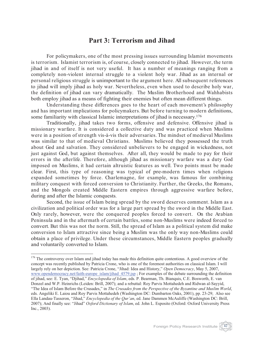## **Part 3: Terrorism and Jihad**

For policymakers, one of the most pressing issues surrounding Islamist movements is terrorism. Islamist terrorism is, of course, closely connected to jihad. However, the term jihad in and of itself is not very useful. It has a number of meanings ranging from a completely non-violent internal struggle to a violent holy war. Jihad as an internal or personal religious struggle is unimportant to the argument here. All subsequent references to jihad will imply jihad as holy war. Nevertheless, even when used to describe holy war, the definition of jihad can vary dramatically. The Muslim Brotherhood and Wahhabists both employ jihad as a means of fighting their enemies but often mean different things.

Understanding these differences goes to the heart of each movement's philosophy and has important implications for policymakers. But before turning to modern definitions, some familiarity with classical Islamic interpretations of jihad is necessary. 176

Traditionally, jihad takes two forms, offensive and defensive. Offensive jihad is missionary warfare. It is considered a collective duty and was practiced when Muslims were in a position of strength vis-à-vis their adversaries. The mindset of medieval Muslims was similar to that of medieval Christians. Muslims believed they possessed the truth about God and salvation. They considered unbelievers to be engaged in wickedness, not just against God, but against themselves. After all, they would be made to pay for their errors in the afterlife. Therefore, although jihad as missionary warfare was a duty God imposed on Muslims, it had certain altruistic features as well. Two points must be made clear. First, this type of reasoning was typical of pre-modern times when religions expanded sometimes by force. Charlemagne, for example, was famous for combining military conquest with forced conversion to Christianity. Further, the Greeks, the Romans, and the Mongols created Middle Eastern empires through aggressive warfare before, during and after the Islamic conquests.

Second, the issue of Islam being spread by the sword deserves comment. Islam as a civilization and political order was for a large part spread by the sword in the Middle East. Only rarely, however, were the conquered peoples forced to convert. On the Arabian Peninsula and in the aftermath of certain battles, some non-Muslims were indeed forced to convert. But this was not the norm. Still, the spread of Islam as a political system did make conversion to Islam attractive since being a Muslim was the only way non-Muslims could obtain a place of privilege. Under these circumstances, Middle Eastern peoples gradually and voluntarily converted to Islam.

<sup>&</sup>lt;sup>176</sup> The controversy over Islam and jihad today has made this definition quite contentious. A good overview of the concept was recently published by Patricia Crone, who is one of the foremost authorities on classical Islam. I will largely rely on her depiction. See: Patricia Crone, "Jihad: Idea and History," *Open Democracy*, May 5, 2007, www.opendemocracy.net/faith-europe\_islam/jihad\_4579.jsp ; For examples of the debate surrounding the definition of jihad, see: E. Tyan, "Djihad," *Encyclopedia of Islam*, eds. P. Bearman, Th. Bianquis, C.E. Bosworth, E. van Donzel and W.P. Heinrichs (Leiden: Brill, 2007); and a rebuttal: Roy Parvis Mottahedeh and Ridwan al-Sayyid, "The Idea of Islam Before the Crusades," in *The Crusades from the Perspective of the Byzantine and Muslim World*, eds. Angeliki E. Laiou and Roy Parvis Mottahedeh (Washington DC: Dumbarton Oaks, 2001), pp. 23-29; Also see Ella Landau-Tasseron, "Jihad," *Encyclopedia of the Qur'an*, ed. Jane Dammen McAuliffe (Washington DC: Brill, 2007); And finally see: "Jihad" *Oxford Dictionary of Islam*, ed. John L. Esposito (Oxford: Oxford University Press Inc., 2003).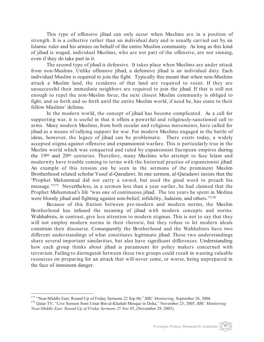This type of offensive jihad can only occur when Muslims are in a position of strength. It is a collective rather than an individual duty and is usually carried out by an Islamic ruler and his armies on behalf of the entire Muslim community. As long as this kind of jihad is waged, individual Muslims, who are not part of the offensive, are not sinning, even if they do take part in it.

The second type of jihad is defensive. It takes place when Muslims are under attack from non-Muslims. Unlike offensive jihad, a defensive jihad is an individual duty. Each individual Muslim is required to join the fight. Typically this meant that when non-Muslims attack a Muslim land, the residents of that land are required to resist. If they are unsuccessful their immediate neighbors are required to join the jihad. If that is still not enough to repel the non-Muslim force, the next closest Muslim community is obliged to fight, and so forth and so forth until the entire Muslim world, if need be, has come to their fellow Muslims' defense.

In the modern world, the concept of jihad has become complicated. As a call for supporting war, it is useful in that it offers a powerful and religiously-sanctioned call to arms. Many modern Muslims, from both secular and religious movements, have called for jihad as a means of rallying support for war. For modern Muslims engaged in the battle of ideas, however, the legacy of jihad can be problematic. There exists today, a widely accepted stigma against offensive and expansionist warfare. This is particularly true in the Muslim world which was conquered and ruled by expansionist European empires during the 19th and 20th centuries. Therefore, many Muslims who attempt to fuse Islam and modernity have trouble coming to terms with the historical practice of expansionist jihad. An example of this tension can be seen in the sermons of the prominent Muslim Brotherhood related scholar Yusuf al-Qaradawi. In one sermon, al-Qaradawi insists that the "Prophet Muhammad did not carry a sword, but used the good word to preach his message."177 Nevertheless, in a sermon less than a year earlier, he had claimed that the Prophet Muhammad's life "was one of continuous jihad. The ten years he spent in Medina were bloody jihad and fighting against non-belief, infidelity, Judaism, and others."<sup>178</sup>

Because of this friction between pre-modern and modern norms, the Muslim Brotherhood has infused the meaning of jihad with modern concepts and norms. Wahhabists, in contrast, give less attention to modern stigmas. This is not to say that they will not employ modern norms in their rhetoric, but they refuse to let modern ideals constrain their discourse. Consequently the Brotherhood and the Wahhabists have two different understandings of what constitutes legitimate jihad. These two understandings share several important similarities, but also have significant differences. Understanding how each group thinks about jihad is paramount for policy makers concerned with terrorism. Failing to distinguish between these two groups could result in wasting valuable resources on preparing for an attack that will never come, or worse, being unprepared in the face of imminent danger.

<sup>&</sup>lt;sup>177</sup> "Near/Middle East: Round-Up of Friday Sermons 22 Sep 06," *BBC Monitoring*, September 26, 2006.<br><sup>178</sup> Qatar TV, "Live Sermon from Umar Bin-al-Khattab Mosque in Doha," November 25, 2005, *BBC Monitoring: Near/Middle East: Round-Up of Friday Sermons 25 Nov 05*, (November 29, 2005).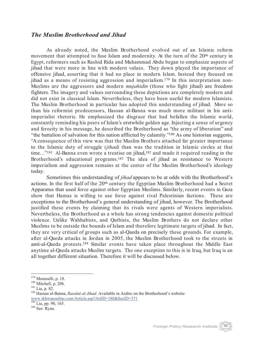#### *The Muslim Brotherhood and Jihad*

As already noted, the Muslim Brotherhood evolved out of an Islamic reform movement that attempted to fuse Islam and modernity. At the turn of the 20<sup>th</sup> century in Egypt, reformers such as Rashid Rida and Muhammad Abdu began to emphasize aspects of jihad that were more in line with modern values. They down played the importance of offensive jihad, asserting that it had no place in modern Islam. Instead they focused on jihad as a means of resisting aggression and imperialism.179 In this interpretation non-Muslims are the aggressors and modern *mujahidin* (those who fight jihad) are freedom fighters. The imagery and values surrounding these depictions are completely modern and did not exist in classical Islam. Nevertheless, they have been useful for modern Islamists. The Muslim Brotherhood in particular has adopted this understanding of jihad. More so than his reformist predecessors, Hassan al-Banna was much more militant in his antiimperialist rhetoric. He emphasized the disgrace that had befallen the Islamic world, constantly reminding his peers of Islam's erstwhile golden age. Injecting a sense of urgency and ferocity in his message, he described the Brotherhood as "the army of liberation" and "the battalion of salvation for this nation afflicted by calamity."180 As one historian suggests, "A consequence of this view was that the Muslim Brothers attached far greater importance to the Islamic duty of struggle (*jihad)* than was the tradition in Islamic circles at that time..."<sup>181</sup> Al-Banna even wrote a treatise on jihad,<sup>182</sup> and made it required reading in the Brotherhood's educational programs.<sup>183</sup> The idea of jihad as resistance to Western imperialism and aggression remains at the center of the Muslim Brotherhood's ideology today.

Sometimes this understanding of *jihad* appears to be at odds with the Brotherhood's actions. In the first half of the 20th century the Egyptian Muslim Brotherhood had a Secret Apparatus that used force against other Egyptian Muslims. Similarly, recent events in Gaza show that Hamas is willing to use force against rival Palestinian factions. These are exceptions to the Brotherhood's general understanding of jihad, however. The Brotherhood justified these events by claiming that its rivals were agents of Western imperialists. Nevertheless, the Brotherhood as a whole has strong tendencies against domestic political violence. Unlike Wahhabists, and Qutbists, the Muslim Brothers do not declare other Muslims to be outside the bounds of Islam and therefore legitimate targets of jihad. In fact, they are very critical of groups such as al-Qaeda on precisely these grounds. For example, after al-Qaeda attacks in Jordan in 2005, the Muslim Brotherhood took to the streets in anti-al-Qaeda protests.184 Similar events have taken place throughout the Middle East anytime al-Qaeda attacks Muslim targets. The one exception to this is in Iraq, but Iraq is an all together different situation. Therefore it will be discussed below.

<sup>183</sup> Lia, pp. 90, 165.<br><sup>184</sup> See: Ryan.

<sup>&</sup>lt;sup>179</sup> Moussalli, p. 18.<br><sup>180</sup> Mitchell, p. 206.<br><sup>181</sup> Lia, p. 82.<br><sup>182</sup> Hassan al-Banna, *Rasalat al-Jihad*. Available in Arabic on the Brotherhood's website: www.ikhwanonline.com/Article.asp?ArtID=180&SecID=371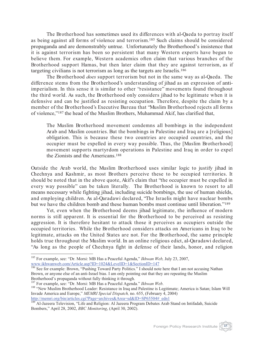The Brotherhood has sometimes used its differences with al-Qaeda to portray itself as being against all forms of violence and terrorism.185 Such claims should be considered propaganda and are demonstrably untrue. Unfortunately the Brotherhood's insistence that it is against terrorism has been so persistent that many Western experts have begun to believe them. For example, Western academics often claim that various branches of the Brotherhood support Hamas, but then later claim that they are against terrorism, as if targeting civilians is not terrorism as long as the targets are Israelis.186

The Brotherhood *does* support terrorism but not in the same way as al-Qaeda. The difference stems from the Brotherhood's understanding of jihad as an expression of antiimperialism. In this sense it is similar to other "resistance" movements found throughout the third world. As such, the Brotherhood only considers jihad to be legitimate when it is defensive and can be justified as resisting occupation. Therefore, despite the claim by a member of the Brotherhood's Executive Bureau that "Muslim Brotherhood rejects all forms of violence,"187 the head of the Muslim Brothers, Muhammad Akif, has clarified that,

The Muslim Brotherhood movement condemns all bombings in the independent Arab and Muslim countries. But the bombings in Palestine and Iraq are a [religious] obligation. This is because these two countries are occupied countries, and the occupier must be expelled in every way possible. Thus, the [Muslim Brotherhood] movement supports martyrdom operations in Palestine and Iraq in order to expel the Zionists and the Americans.188

Outside the Arab world, the Muslim Brotherhood uses similar logic to justify jihad in Chechnya and Kashmir, as most Brothers perceive these to be occupied territories. It should be noted that in the above quote, Akif's claim that "the occupier must be expelled in every way possible" can be taken literally. The Brotherhood is known to resort to all means necessary while fighting jihad, including suicide bombings, the use of human shields, and employing children. As al-Qaradawi declared, "The Israelis might have nuclear bombs but we have the children bomb and these human bombs must continue until liberation."<sup>189</sup>

Yet, even when the Brotherhood deems jihad legitimate, the influence of modern norms is still apparent. It is essential for the Brotherhood to be perceived as resisting aggression. It is therefore hesitant to attack those it perceives as occupiers outside the occupied territories. While the Brotherhood considers attacks on Americans in Iraq to be legitimate, attacks on the United States are not. For the Brotherhood, the same principle holds true throughout the Muslim world. In an online religious edict, al-Qaradawi declared, "As long as the people of Chechnya fight in defense of their lands, honor, and religion

<sup>186</sup> See for example: Brown, "Pushing Toward Party Politics." I should note here that I am not accusing Nathan Brown, or anyone else of an anti-Israel bias. I am only pointing out that they are repeating the Muslim Brotherhood's propaganda without fully thinking it through.<br><sup>187</sup> For example, see: "Dr. Morsi: MB Has a Peaceful Agenda." Ikhwan Web.

<sup>185</sup> For example, see: "Dr. Morsi: MB Has a Peaceful Agenda," *Ikhwan Web,* July 23, 2007, www.ikhwanweb.com/Article.asp?ID=1024&LevelID=1&SectionID=147

<sup>&</sup>lt;sup>188</sup> "New Muslim Brotherhood Leader: Resistance in Iraq and Palestine is Legitimate; America is Satan; Islam Will Invade America and Europe," *MEMRI Special Dispatch,* no. 655, (February 4, 2004)

<sup>&</sup>lt;sup>189</sup> Al-Jazeera Television, "Life and Religion: Al Jazeera Program Debates Arab Stand on Intifadah, Suicide Bombers," April 28, 2002, *BBC Monitoring*, (April 30, 2002).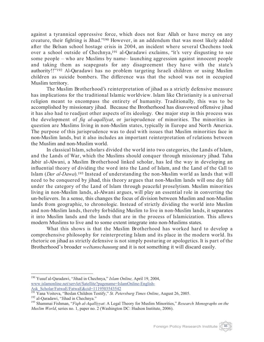against a tyrannical oppressive force, which does not fear Allah or have mercy on any creature, their fighting is Jihad."190 However, in an addendum that was most likely added after the Belsan school hostage crisis in 2004, an incident where several Chechens took over a school outside of Chechnya,<sup>191</sup> al-Qaradawi exclaims, "it's very disgusting to see some people – who are Muslims by name– launching aggression against innocent people and taking them as scapegoats for any disagreement they have with the state's authority!!"192 Al-Qaradawi has no problem targeting Israeli children or using Muslim children as suicide bombers. The difference was that the school was not in occupied Muslim territory.

The Muslim Brotherhood's reinterpretation of jihad as a strictly defensive measure has implications for the traditional Islamic worldview. Islam like Christianity is a universal religion meant to encompass the entirety of humanity. Traditionally, this was to be accomplished by missionary jihad. Because the Brotherhood has disavowed offensive jihad it has also had to readjust other aspects of its ideology. One major step in this process was the development of *fiq al-aqalliyat*, or jurisprudence of minorities. The minorities in question are Muslims living in non-Muslim states, typically in Europe and North America. The purpose of this jurisprudence was to deal with issues that Muslim minorities face in non-Muslim lands, but it also includes an important reinterpretation of relations between the Muslim and non-Muslim world.

In classical Islam, scholars divided the world into two categories, the Lands of Islam, and the Lands of War, which the Muslims should conquer through missionary jihad. Taha Jabir al-Alwani, a Muslim Brotherhood linked scholar, has led the way in developing an influential theory of dividing the word into the Land of Islam, and the Land of the Call to Islam (*Dar al-Dawa*).193 Instead of understanding the non-Muslim world as lands that will need to be conquered by jihad, this theory argues that non-Muslim lands will one day fall under the category of the Land of Islam through peaceful proselytism. Muslim minorities living in non-Muslim lands, al-Alwani argues, will play an essential role in converting the un-believers. In a sense, this changes the focus of division between Muslim and non-Muslim lands from geographic, to chronologic. Instead of strictly dividing the world into Muslim and non-Muslim lands, thereby forbidding Muslim to live in non-Muslim lands, it separates it into Muslim lands and the lands that are in the process of Islamicization. This allows modern Muslims to live and to some extent integrate into non-Muslims states.

What this shows is that the Muslim Brotherhood has worked hard to develop a comprehensive philosophy for reinterpreting Islam and its place in the modern world. Its rhetoric on jihad as strictly defensive is not simply posturing or apologetics. It is part of the Brotherhood's broader *weltanschauung* and it is not something it will discard easily.

<sup>190</sup> Yusuf al-Qaradawi, "Jihad in Chechnya," *Islam Online,* April 19, 2004, www.islamonline.net/servlet/Satellite?pagename=IslamOnline-English-Ask\_Scholar/FatwaE/FatwaE&cid=1119503543542<br><sup>191</sup> Yana Voitova, "Beslan Children Testify," *St. Petersburg Times Online*, August 26, 2005.

<sup>&</sup>lt;sup>192</sup> al-Qaradawi, "Jihad in Chechnya."<br><sup>192</sup> Shammai Fishman, "Figh al-Aqalliyyat: A Legal Theory for Muslim Minorities," Research Monographs on the *Muslim World*, series no. 1, paper no. 2 (Washington DC: Hudson Institute, 2006).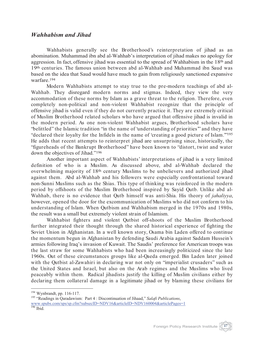#### *Wahhabism and Jihad*

Wahhabists generally see the Brotherhood's reinterpretation of jihad as an abomination. Muhammad ibn abd al-Wahhab's interpretation of jihad makes no apology for aggression. In fact, offensive jihad was essential to the spread of Wahhabism in the 18th and 19th centuries. The famous union between abd al-Wahhab and Muhammad ibn Saud was based on the idea that Saud would have much to gain from religiously sanctioned expansive warfare.194

Modern Wahhabists attempt to stay true to the pre-modern teachings of abd al-Wahhab. They disregard modern norms and stigmas. Indeed, they view the very accommodation of these norms by Islam as a grave threat to the religion. Therefore, even completely non-political and non-violent Wahhabist recognize that the principle of offensive jihad is valid even if they do not currently practice it. They are extremely critical of Muslim Brotherhood related scholars who have argued that offensive jihad is invalid in the modern period. As one non-violent Wahhabist argues, Brotherhood scholars have "belittled" the Islamic tradition "in the name of 'understanding of priorities'" and they have "declared their loyalty for the Infidels in the name of 'creating a good picture of Islam.'"195 He adds that recent attempts to reinterpret jihad are unsurprising since, historically, the "figureheads of the Bankrupt Brotherhood" have been known to "distort, twist and water down the objectives of Jihad."196

Another important aspect of Wahhabists' interpretations of jihad is a very limited definition of who is a Muslim. As discussed above, abd al-Wahhab declared the overwhelming majority of 18th century Muslims to be unbelievers and authorized jihad against them. Abd al-Wahhab and his followers were especially confrontational toward non-Sunni Muslims such as the Shias. This type of thinking was reinforced in the modern period by offshoots of the Muslim Brotherhood inspired by Sayid Qutb. Unlike abd al-Wahhab, there is no evidence that Qutb himself was anti-Shia. His theory of *jahaliyya*, however, opened the door for the excommunication of Muslims who did not conform to his understanding of Islam. When Qutbism and Wahhabism merged in the 1970s and 1980s, the result was a small but extremely violent strain of Islamism.

Wahhabist fighters and violent Qutbist off-shoots of the Muslim Brotherhood further integrated their thought through the shared historical experience of fighting the Soviet Union in Afghanistan. In a well known story, Osama bin Laden offered to continue the momentum begun in Afghanistan by defending Saudi Arabia against Saddam Hussein's armies following Iraq's invasion of Kuwait. The Saudis' preference for American troops was the last straw for some Wahhabists who had been increasingly politicized since the late 1960s. Out of these circumstances groups like al-Qaeda emerged. Bin Laden later joined with the Qutbist al-Zawahiri in declaring war not only on "imperialist crusaders" such as the United States and Israel, but also on the Arab regimes and the Muslims who lived peaceably within them. Radical jihadists justify the killing of Muslim civilians either by declaring them collateral damage in a legitimate jihad or by blaming these civilians for

<sup>194</sup> Wynbrandt, pp. 116-117. <sup>195</sup> "Readings in Qaradawism: Part 4 : Discontinuation of Jihaad," *Salafi Publications*, www.spubs.com/sps/sp.cfm?subsecID=NDV16&articleID=NDV160004&articlePages=1<br><sup>196</sup> Ibid.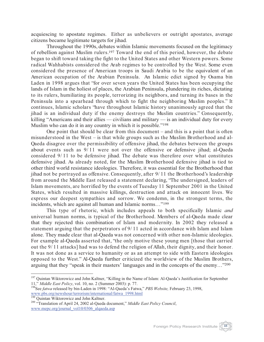acquiescing to apostate regimes. Either as unbelievers or outright apostates, average citizens became legitimate targets for jihad.

Throughout the 1990s, debates within Islamic movements focused on the legitimacy of rebellion against Muslim rulers.197 Toward the end of this period, however, the debate began to shift toward taking the fight to the United States and other Western powers. Some radical Wahhabists considered the Arab regimes to be controlled by the West. Some even considered the presence of American troops in Saudi Arabia to be the equivalent of an American occupation of the Arabian Peninsula. An Islamic edict signed by Osama bin Laden in 1998 argues that "for over seven years the United States has been occupying the lands of Islam in the holiest of places, the Arabian Peninsula, plundering its riches, dictating to its rulers, humiliating its people, terrorizing its neighbors, and turning its bases in the Peninsula into a spearhead through which to fight the neighboring Muslim peoples." It continues, Islamic scholars "have throughout Islamic history unanimously agreed that the jihad is an individual duty if the enemy destroys the Muslim countries." Consequently, killing "Americans and their allies — civilians and military — is an individual duty for every Muslim who can do it in any country in which it is possible."198

One point that should be clear from this document – and this is a point that is often misunderstood in the West – is that while groups such as the Muslim Brotherhood and al-Qaeda disagree over the permissibility of offensive jihad, the debates between the groups about events such as 9/ 11 were not over the offensive or defensive jihad; al-Qaeda considered 9/ 11 to be defensive jihad. The debate was therefore over what constitutes defensive jihad. As already noted, for the Muslim Brotherhood defensive jihad is tied to other third world resistance ideologies. Therefore, it was essential for the Brotherhood that jihad not be portrayed as offensive. Consequently, after 9/ 11 the Brotherhood's leadership from around the Middle East released a statement declaring, "The undersigned, leaders of Islam movements, are horrified by the events of Tuesday 11 September 2001 in the United States, which resulted in massive killings, destruction and attack on innocent lives. We express our deepest sympathies and sorrow. We condemn, in the strongest terms, the incidents, which are against all human and Islamic norms…"199

This type of rhetoric, which includes appeals to both specifically Islamic *and* universal human norms, is typical of the Brotherhood. Members of al-Qaeda made clear that they rejected this combination of Islam and modernity. In 2002 they released a statement arguing that the perpetrators of 9/ 11 acted in accordance with Islam and Islam alone. They made clear that al-Qaeda was not concerned with other non-Islamic ideologies. For example al-Qaeda asserted that, "the only motive these young men [those that carried out the 9/ 11 attacks] had was to defend the religion of Allah, their dignity, and their honor. It was not done as a service to humanity or as an attempt to side with Eastern ideologies opposed to the West." Al-Qaeda further criticized the worldview of the Muslim Brothers, arguing that they "speak in their masters' languages and in the concepts of the enemy…"200



<sup>&</sup>lt;sup>197</sup> Quintan Wiktorowicz and John Kaltner, "Killing in the Name of Islam: Al-Qaeda's Justification for September 11," *Middle East Policy*, vol. 10, no. 2 (Summer 2003): p. 77.

<sup>&</sup>lt;sup>198</sup>See *fatwa* released by bin-Laden in 1998: "Al-Qaeda's Fatwa," *PBS Website*, February 23, 1998, www.pbs.org/newshour/terrorism/international/fatwa\_1998.html <sup>199</sup> Quintan Wiktorowicz and John Kaltner.

<sup>&</sup>lt;sup>200</sup> "Translation of April 24, 2002 al-Qaeda document," *Middle East Policy Council*, www.mepc.org/journal\_vol10/0306\_alqaeda.asp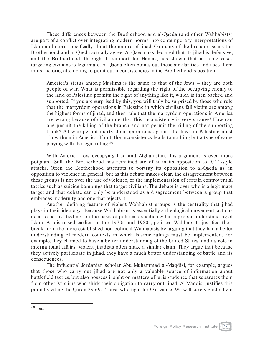These differences between the Brotherhood and al-Qaeda (and other Wahhabists) are part of a conflict over integrating modern norms into contemporary interpretations of Islam and more specifically about the nature of jihad. On many of the broader issues the Brotherhood and al-Qaeda actually agree. Al-Qaeda has declared that its jihad is defensive, and the Brotherhood, through its support for Hamas, has shown that in some cases targeting civilians is legitimate. Al-Qaeda often points out these similarities and uses them in its rhetoric, attempting to point out inconsistencies in the Brotherhood's position:

America's status among Muslims is the same as that of the Jews -- they are both people of war. What is permissible regarding the right of the occupying enemy to the land of Palestine permits the right of anything like it, which is then backed and supported. If you are surprised by this, you will truly be surprised by those who rule that the martyrdom operations in Palestine in which civilians fall victim are among the highest forms of jihad, and then rule that the martyrdom operations in America are wrong because of civilian deaths. This inconsistency is very strange! How can one permit the killing of the branch and not permit the killing of the supporting trunk? All who permit martyrdom operations against the Jews in Palestine must allow them in America. If not, the inconsistency leads to nothing but a type of game playing with the legal ruling.201

With America now occupying Iraq and Afghanistan, this argument is even more poignant. Still, the Brotherhood has remained steadfast in its opposition to 9/11-style attacks. Often the Brotherhood attempts to portray its opposition to al-Qaeda as an opposition to violence in general, but as this debate makes clear, the disagreement between these groups is not over the use of violence, or the implementation of certain controversial tactics such as suicide bombings that target civilians. The debate is over who is a legitimate target and that debate can only be understood as a disagreement between a group that embraces modernity and one that rejects it.

Another defining feature of violent Wahhabist groups is the centrality that jihad plays in their ideology. Because Wahhabism is essentially a theological movement, actions need to be justified not on the basis of political expediency but a proper understanding of Islam. As discussed earlier, in the 1970s and 1980s, political Wahhabists justified their break from the more established non-political Wahhabists by arguing that they had a better understanding of modern contexts in which Islamic rulings must be implemented. For example, they claimed to have a better understanding of the United States. and its role in international affairs. Violent jihadists often make a similar claim. They argue that because they actively participate in jihad, they have a much better understanding of battle and its consequences.

The influential Jordanian scholar Abu Muhammad al-Maqdisi, for example, argues that those who carry out jihad are not only a valuable source of information about battlefield tactics, but also possess insight on matters of jurisprudence that separates them from other Muslims who shirk their obligation to carry out jihad. Al-Maqdisi justifies this point by citing the Quran 29:69: "Those who fight for Our cause, We will surely guide them



<sup>201</sup> Ibid.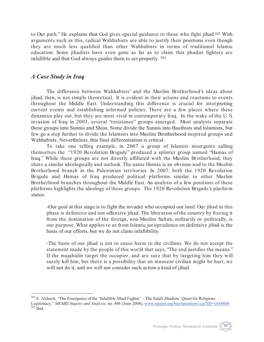to Our path." He explains that God gives special guidance to those who fight jihad. <sup>202</sup> With arguments such as this, radical Wahhabists are able to justify their positions even though they are much less qualified than other Wahhabists in terms of traditional Islamic education. Some jihadists have even gone as far as to claim that jihadist fighters are infallible and that God always guides them to act properly. 203

### *A Case Study in Iraq*

The difference between Wahhabists' and the Muslim Brotherhood's ideas about jihad, then, is not simply theoretical. It is evident in their actions and reactions to events throughout the Middle East. Understanding this difference is crucial for interpreting current events and establishing informed policies. There are a few places where these dynamics play out, but they are most vivid in contemporary Iraq. In the wake of the U. S. invasion of Iraq in 2003, several "resistance" groups emerged. Most analysts separate these groups into Sunnis and Shias. Some divide the Sunnis into Baathists and Islamists, but few go a step further to divide the Islamists into Muslim Brotherhood-inspired groups and Wahhabists. Nevertheless, this final differentiation is critical.

To take one telling example, in 2007 a group of Islamist insurgents calling themselves the "1920 Revolution Brigade" produced a splinter group named "Hamas of Iraq." While these groups are not directly affiliated with the Muslim Brotherhood, they share a similar ideologically and outlook. The name Hamas is an obvious nod to the Muslim Brotherhood branch in the Palestinian territories. In 2007, both the 1920 Revolution Brigade and Hamas of Iraq produced political platforms similar to other Muslim Brotherhood branches throughout the Middle East. An analysis of a few positions of these platforms highlights the ideology of these groups. The 1920 Revolution Brigade's platform states:

-Our goal at this stage is to fight the invader who occupied our land. Our jihad in this phase is defensive and not offensive jihad. The liberation of the country by freeing it from the domination of the foreign, non-Muslim Sultan, militarily or politically, is our purpose. What applies to us from Islamic jurisprudence on defensive jihad is the basis of our efforts, but we do not claim infallibility.

-The basis of our jihad is not to cause harm to the civilians. We do not accept the statement made by the people of this world that says, "The end justifies the means." If the mujahidin target the occupier, and are sure that by targeting him they will surely kill him, but there is a possibility that an innocent civilian might be hurt, we will not do it, and we will not consider such action a kind of jihad.

Foreign Policy Research Institute

 $202$  E. Alshech, "The Emergence of the 'Infallible Jihad Fighter' – The Salafi Jihadists' Quest for Religious Legitimacy," *MEMRI Inquiry and Analysis*, no. 446 (June 2008), www.memri.org/bin/latestnews.cgi?ID=IA44608 <sup>203</sup> Ibid.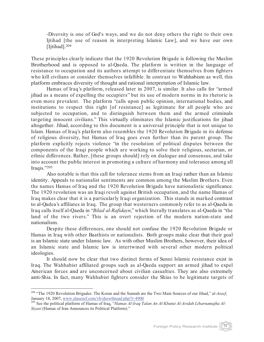-Diversity is one of God's ways, and we do not deny others the right to their own Ijtihad [the use of reason in interpreting Islamic Law], and we have our own [Ijtihad].204

These principles clearly indicate that the 1920 Revolution Brigade is following the Muslim Brotherhood and is opposed to al-Qaeda. The platform is written in the language of resistance to occupation and its authors attempt to differentiate themselves from fighters who kill civilians or consider themselves infallible. In contrast to Wahhabism as well, this platform embraces diversity of thought and rational interpretation of Islamic law.

Hamas of Iraq's platform, released later in 2007, is similar. It also calls for "armed jihad as a means of expelling the occupiers" but its use of modern norms in its rhetoric is even more prevalent. The platform "calls upon public opinion, international bodies, and institutions to respect this right [of resistance] as legitimate for all people who are subjected to occupation, and to distinguish between them and the armed criminals targeting innocent civilians." This virtually eliminates the Islamic justifications for jihad altogether. Jihad, according to this document is a universal principle that is not unique to Islam. Hamas of Iraq's platform also resembles the 1920 Revolution Brigade in its defense of religious diversity, but Hamas of Iraq goes even further than its parent group. The platform explicitly rejects violence "in the resolution of political disputes between the components of the Iraqi people which are working to solve their religious, sectarian, or ethnic differences. Rather, [these groups should] rely on dialogue and consensus, and take into account the public interest in promoting a culture of harmony and tolerance among all Iraqis."205

Also notable is that this call for tolerance stems from an Iraqi rather than an Islamic identity. Appeals to nationalist sentiments are common among the Muslim Brothers. Even the names Hamas of Iraq and the 1920 Revolution Brigade have nationalistic significance. The 1920 revolution was an Iraqi revolt against British occupation, and the name Hamas of Iraq makes clear that it is a particularly Iraqi organization. This stands in marked contrast to al-Qadea's affiliates in Iraq. The group that westerners commonly refer to as al-Qaeda in Iraq calls itself al-Qaeda in "*Bilad al-Rafidayn*," which literally translates as al-Qaeda in "the land of the two rivers." This is an overt rejection of the modern nation-state and nationalism.

Despite these differences, one should not confuse the 1920 Revolution Brigade or Hamas in Iraq with other Baathists or nationalists. Both groups make clear that their goal is an Islamic state under Islamic law. As with other Muslim Brothers, however, their idea of an Islamic state and Islamic law is intertwined with several other modern political ideologies.

It should now be clear that two distinct forms of Sunni Islamic resistance exist in Iraq. The Wahhabist affiliated groups such as al-Qaeda support an armed jihad to expel American forces and are unconcerned about civilian casualties. They are also extremely anti-Shia. In fact, many Wahhabist fighters consider the Shias to be legitimate targets of



<sup>&</sup>lt;sup>204</sup> "The 1920 Revolution Brigades: The Koran and the Sunnah are the Two Main Sources of our Jihad," al-Aseef, January 18, 2007, www.alaseef.com/vb/showthread.php?t=4900

January 18, 2007, <u>Www.alaseemee ee frag, "Hamas Al-Iraq Talan An Al-Khutut Al-Aridah Libarnamajha Al-</u> *Siyasi* (Hamas of Iran Announces its Political Platform)."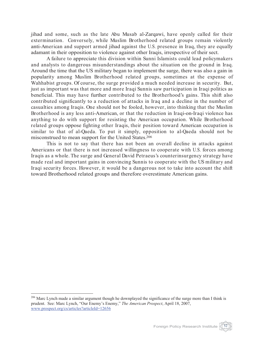jihad and some, such as the late Abu Musab al-Zarqawi, have openly called for their extermination. Conversely, while Muslim Brotherhood related groups remain violently anti-American and support armed jihad against the U.S. presence in Iraq, they are equally adamant in their opposition to violence against other Iraqis, irrespective of their sect.

A failure to appreciate this division within Sunni Islamists could lead policymakers and analysts to dangerous misunderstandings about the situation on the ground in Iraq. Around the time that the US military began to implement the surge, there was also a gain in popularity among Muslim Brotherhood related groups, sometimes at the expense of Wahhabist groups. Of course, the surge provided a much needed increase in security. But, just as important was that more and more Iraqi Sunnis saw participation in Iraqi politics as beneficial. This may have further contributed to the Brotherhood's gains. This shift also contributed significantly to a reduction of attacks in Iraq and a decline in the number of casualties among Iraqis. One should not be fooled, however, into thinking that the Muslim Brotherhood is any less anti-American, or that the reduction in Iraqi-on-Iraqi violence has anything to do with support for resisting the American occupation. While Brotherhood related groups oppose fighting other Iraqis, their position toward American occupation is similar to that of al-Qaeda. To put it simply, opposition to al-Qaeda should not be misconstrued to mean support for the United States. 206

This is not to say that there has not been an overall decline in attacks against Americans or that there is not increased willingness to cooperate with U.S. forces among Iraqis as a whole. The surge and General David Petraeus's counterinsurgency strategy have made real and important gains in convincing Sunnis to cooperate with the US military and Iraqi security forces. However, it would be a dangerous not to take into account the shift toward Brotherhood related groups and therefore overestimate American gains.

<sup>&</sup>lt;sup>206</sup> Marc Lynch made a similar argument though he downplayed the significance of the surge more than I think is prudent. See: Marc Lynch, "Our Enemy's Enemy," *The American Prospect*, April 18, 2007, www.prospect.org/cs/articles?articleId=12656

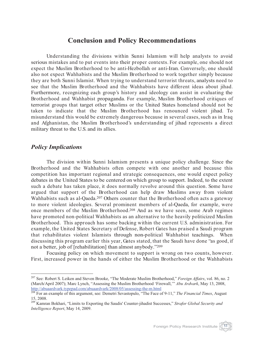## **Conclusion and Policy Recommendations**

Understanding the divisions within Sunni Islamism will help analysts to avoid serious mistakes and to put events into their proper contexts. For example, one should not expect the Muslim Brotherhood to be anti-Hezbollah or anti-Iran. Conversely, one should also not expect Wahhabists and the Muslim Brotherhood to work together simply because they are both Sunni Islamist. When trying to understand terrorist threats, analysts need to see that the Muslim Brotherhood and the Wahhabists have different ideas about jihad. Furthermore, recognizing each group's history and ideology can assist in evaluating the Brotherhood and Wahhabist propaganda. For example, Muslim Brotherhood critiques of terrorist groups that target other Muslims or the United States homeland should not be taken to indicate that the Muslim Brotherhood has renounced violent jihad. To misunderstand this would be extremely dangerous because in several cases, such as in Iraq and Afghanistan, the Muslim Brotherhood's understanding of jihad represents a direct military threat to the U.S. and its allies.

#### *Policy Implications*

The division within Sunni Islamism presents a unique policy challenge. Since the Brotherhood and the Wahhabists often compete with one another and because this competition has important regional and strategic consequences, one would expect policy debates in the United States to be centered on which group to support. Indeed, to the extent such a debate has taken place, it does normally revolve around this question. Some have argued that support of the Brotherhood can help draw Muslims away from violent Wahhabists such as al-Qaeda.<sup>207</sup> Others counter that the Brotherhood often acts a gateway to more violent ideologies. Several prominent members of al-Qaeda, for example, were once members of the Muslim Brotherhood.208 And as we have seen, some Arab regimes have promoted non-political Wahhabists as an alternative to the heavily politicized Muslim Brotherhood. This approach has some backing within the current U.S. administration. For example, the United States Secretary of Defense, Robert Gates has praised a Saudi program that rehabilitates violent Islamists through non-political Wahhabist teachings. When discussing this program earlier this year, Gates stated, that the Saudi have done "as good, if not a better, job of [rehabilitation] than almost anybody."209

Focusing policy on which movement to support is wrong on two counts, however. First, increased power in the hands of either the Muslim Brotherhood or the Wahhabists

<sup>207</sup> See: Robert S. Leiken and Steven Brooke, "The Moderate Muslim Brotherhood," *Foreign Affairs*, vol. 86, no. 2 (March/April 2007); Marc Lynch, "Assessing the Muslim Brotherhood 'Firewall,'" *Abu Ardvark*, May 13, 2008, http://abuaardvark.typepad.com/abuaardvark/2008/05/assessing-the-m.html <sup>208</sup> For an example of this argument, see: Demetri Sevastopulo, "The Face of 9-11," *The Financial Times*, August

<sup>15, 2008.</sup> <sup>209</sup> Kamran Bokhari, "Limits to Exporting the Saudis' Counter-jihadist Successes," *Strafor Global Security and Intelligence Report*, May 14, 2009.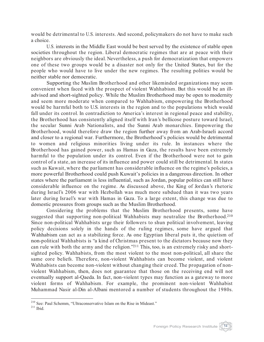would be detrimental to U.S. interests. And second, policymakers do not have to make such a choice.

U.S. interests in the Middle East would be best served by the existence of stable open societies throughout the region. Liberal democratic regimes that are at peace with their neighbors are obviously the ideal. Nevertheless, a push for democratization that empowers one of these two groups would be a disaster not only for the United States, but for the people who would have to live under the new regimes. The resulting polities would be neither stable nor democratic.

Supporting the Muslim Brotherhood and other likeminded organizations may seem convenient when faced with the prospect of violent Wahhabism. But this would be an illadvised and short-sighted policy. While the Muslim Brotherhood may be open to modernity and seem more moderate when compared to Wahhabism, empowering the Brotherhood would be harmful both to U.S. interests in the region and to the populations which would fall under its control. In contradiction to America's interest in regional peace and stability, the Brotherhood has consistently aligned itself with Iran's bellicose posture toward Israel, the secular Sunni Arab Nationalists, and the Sunni Arab monarchies. Empowering the Brotherhood, would therefore draw the region further away from an Arab-Israeli accord and closer to a regional war. Furthermore, the Brotherhood's policies would be detrimental to women and religious minorities living under its rule. In instances where the Brotherhood has gained power, such as Hamas in Gaza, the results have been extremely harmful to the population under its control. Even if the Brotherhood were not to gain control of a state, an increase of its influence and power could still be detrimental. In states such as Kuwait, where the parliament has considerable influence on the regime's policies, a more powerful Brotherhood could push Kuwait's policies in a dangerous direction. In other states where the parliament is less influential, such as Jordan, popular politics can still have considerable influence on the regime. As discussed above, the King of Jordan's rhetoric during Israel's 2006 war with Hezbollah was much more subdued than it was two years later during Israel's war with Hamas in Gaza. To a large extent, this change was due to domestic pressures from groups such as the Muslim Brotherhood.

Considering the problems that the Muslim Brotherhood presents, some have suggested that supporting non-political Wahhabists may neutralize the Brotherhood.<sup>210</sup> Since non-political Wahhabists urge their followers to shun political involvement, leaving policy decisions solely in the hands of the ruling regimes, some have argued that Wahhabism can act as a stabilizing force. As one Egyptian liberal puts it, the quietism of non-political Wahhabists is "a kind of Christmas present to the dictators because now they can rule with both the army and the religion."211 This, too, is an extremely risky and shortsighted policy. Wahhabists, from the most violent to the most non-political, all share the same core beliefs. Therefore, non-violent Wahhabists can become violent, and violent Wahhabists can become non-violent without changing their creed. The propagation of nonviolent Wahhabism, then, does not guarantee that those on the receiving end will not eventually support al-Qaeda. In fact, non-violent types may function as a gateway to more violent forms of Wahhabism. For example, the prominent non-violent Wahhabist Muhammad Nasir al-Din al-Albani mentored a number of students throughout the 1980s.



 $^{210}$  See: Paul Schemm, "Ultraconservative Islam on the Rise in Mideast."  $^{211}$  Ibid.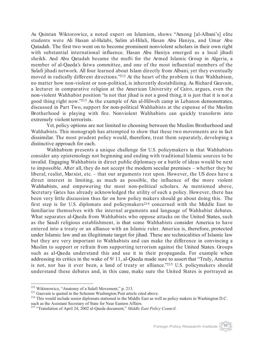As Quintan Wiktorowicz, a noted expert on Islamism, shows "Among [al-Albani's] elite students were Ali Hasan al-Halabi, Salim al-Hilali, Hasan Abu Haniya, and Umar Abu Qatadah. The first two went on to become prominent nonviolent scholars in their own right with substantial international influence. Hasan Abu Haniya emerged as a local jihadi sheikh. And Abu Qatadah became the mufti for the Armed Islamic Group in Algeria, a member of al-Qaeda's fatwa committee, and one of the most influential members of the Salafi jihadi network. All four learned about Islam directly from Albani, yet they eventually moved in radically different directions."212 At the heart of the problem is that Wahhabism, no matter how non-violent or non-political, is inherently destabilizing. As Richard Gauvain, a lecturer in comparative religion at the American University of Cairo, argues, even the non-violent Wahhabist position "is not that jihad is not a good thing, it is just that it is not a good thing right now."213 As the example of Ain al-Hilweh camp in Lebanon demonstrates, discussed in Part Two, support for non-political Wahhabists at the expense of the Muslim Brotherhood is playing with fire. Nonviolent Wahhabists can quickly transform into extremely violent terrorists.

Yet, policy options are not limited to choosing between the Muslim Brotherhood and Wahhabists. This monograph has attempted to show that these two movements are in fact dissimilar. The most prudent policy would, therefore, treat them separately, developing a distinctive approach for each.

Wahhabism presents a unique challenge for U.S. policymakers in that Wahhabists consider any epistemology not beginning and ending with traditional Islamic sources to be invalid. Engaging Wahhabists in direct public diplomacy or a battle of ideas would be next to impossible. After all, they do not accept the modern secular premises – whether they be liberal, realist, Marxist, etc. – that our arguments rest upon. However, the US does have a direct interest in limiting, as much as possible, the influence of the more violent Wahhabists, and empowering the most non-political scholars. As mentioned above, Secretary Gates has already acknowledged the utility of such a policy. However, there has been very little discussion thus far on how policy makers should go about doing this. The first step is for U.S. diplomats and policymakers214 concerned with the Middle East to familiarize themselves with the internal arguments and language of Wahhabist debates. What separates al-Qaeda from Wahhabists who oppose attacks on the United States, such as the Saudi religious establishment, is that some Wahhabists consider America to have entered into a treaty or an alliance with an Islamic ruler. America is, therefore, protected under Islamic law and an illegitimate target for jihad. These are technicalities of Islamic law but they are very important to Wahhabists and can make the difference in convincing a Muslim to support or refrain from supporting terrorism against the United States. Groups such as al-Qaeda understand this and use it in their propaganda. For example when addressing its critics in the wake of 9/ 11, al-Qaeda made sure to assert that "Truly, America is not, nor has it ever been, a land of treaty or alliance."215 U.S. policymakers should understand these debates and, in this case, make sure the United States is portrayed as



<sup>&</sup>lt;sup>212</sup> Wiktorowicz, "Anatomy of a Salafi Movement," p. 213.<br><sup>213</sup> Gauvain is quoted in the Schemm Washington Post article cited above.<br><sup>214</sup> This would include senior diplomats stationed in the Middle East as well as polic such as the Assistant Secretary of State for Near Eastern Affairs.

<sup>215</sup> "Translation of April 24, 2002 al-Qaeda document," *Middle East Policy Council*.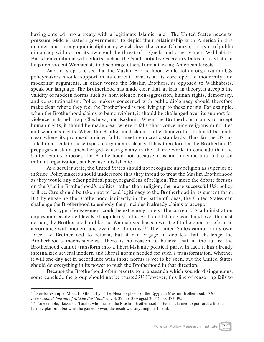having entered into a treaty with a legitimate Islamic ruler. The United States needs to pressure Middle Eastern governments to depict their relationship with America in this manner, and through public diplomacy which does the same. Of course, this type of public diplomacy will not, on its own, end the threat of al-Qaeda and other violent Wahhabists. But when combined with efforts such as the Saudi initiative Secretary Gates praised, it can help non-violent Wahhabists to discourage others from attacking American targets.

Another step is to see that the Muslim Brotherhood, while not an organization U.S. policymakers should support in its current form, is at its core open to modernity and modernist arguments. In other words the Muslim Brothers, as opposed to Wahhabists, speak our language. The Brotherhood has made clear that, at least in theory, it accepts the validity of modern norms such as nonviolence, non-aggression, human rights, democracy, and constitutionalism. Policy makers concerned with public diplomacy should therefore make clear where they feel the Brotherhood is not living up to these norms. For example, when the Brotherhood claims to be nonviolent, it should be challenged over its support for violence in Israel, Iraq, Chechnya, and Kashmir. When the Brotherhood claims to accept human rights, it should be made clear where it falls short concerning religious minorities and women's rights. When the Brotherhood claims to be democratic, it should be made clear where its proposed policies fail to meet democratic standards. Thus far the US has failed to articulate these types of arguments clearly. It has therefore let the Brotherhood's propaganda stand unchallenged, causing many in the Islamic world to conclude that the United States opposes the Brotherhood not because it is an undemocratic and often militant organization, but because it is Islamic.

As a secular state, the United States should not recognize any religion as superior or inferior. Policymakers should underscore that they intend to treat the Muslim Brotherhood as they would any other political party, regardless of religion. The more the debate focuses on the Muslim Brotherhood's politics rather than religion, the more successful U.S. policy will be. Care should be taken not to lend legitimacy to the Brotherhood in its current form. But by engaging the Brotherhood indirectly in the battle of ideas, the United States can challenge the Brotherhood to embody the principles it already claims to accept.

This type of engagement could be extremely timely. The current U.S. administration enjoys unprecedented levels of popularity in the Arab and Islamic world and over the past decade, the Brotherhood, unlike the Wahhabists, has shown itself to be open to reform in accordance with modern and even liberal norms.216 The United States cannot on its own force the Brotherhood to reform, but it can engage in debates that challenge the Brotherhood's inconsistencies. There is no reason to believe that in the future the Brotherhood cannot transform into a liberal-Islamic political party. In fact, it has already internalized several modern and liberal norms needed for such a transformation. Whether it will one day act in accordance with those norms is yet to be seen, but the United States should do everything in its power to push the Brotherhood in that direction.

Because the Brotherhood often resorts to propaganda which sounds disingenuous, some conclude the group should not be trusted.217 However, this line of reasoning fails to



<sup>&</sup>lt;sup>216</sup> See for example: Mona El-Ghobashy, "The Metamorphosis of the Egyptian Muslim Brotherhood," *The International Journal of Middle East Studies*, vol. 37, no. 3 (August 2005): pp. 373-395.

*IIT* For example, Hassab al-Turabi, who headed the Muslim Brotherhood in Sudan, claimed to put forth a liberal Islamic platform, but when he gained power, the result was anything but liberal.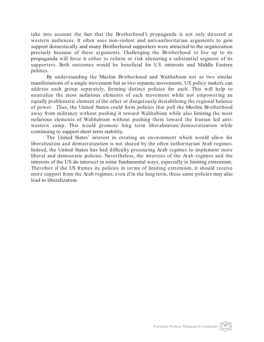take into account the fact that the Brotherhood's propaganda is not only directed at western audiences. It often uses non-violent and anti-authoritarian arguments to gain support domestically and many Brotherhood supporters were attracted to the organization precisely because of these arguments. Challenging the Brotherhood to live up to its propaganda will force it either to reform or risk alienating a substantial segment of its supporters. Both outcomes would be beneficial for U.S. interests and Middle Eastern politics.

By understanding the Muslim Brotherhood and Wahhabism not as two similar manifestations of a single movement but as two separate movements, US policy makers can address each group separately, forming distinct policies for each. This will help to neutralize the most nefarious elements of each movement while not empowering an equally problematic element of the other or dangerously destabilizing the regional balance of power. Thus, the United States could form policies that pull the Muslim Brotherhood away from militancy without pushing it toward Wahhabism while also limiting the most nefarious elements of Wahhabism without pushing them toward the Iranian led antiwestern camp. This would promote long term liberalization/ democratization while continuing to support short term stability.

The United States' interest in creating an environment which would allow for liberalization and democratization is not shared by the often authoritarian Arab regimes. Indeed, the United States has had difficulty pressuring Arab regimes to implement more liberal and democratic policies. Nevertheless, the interests of the Arab regimes and the interests of the US do intersect in some fundamental ways, especially in limiting extremism. Therefore if the US frames its policies in terms of limiting extremism, it should receive more support from the Arab regimes, even if in the long term, these same policies may also lead to liberalization.

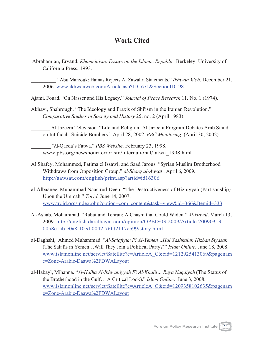# **Work Cited**

Abrahamian, Ervand. *Khomeinism: Essays on the Islamic Republic.* Berkeley: University of California Press, 1993.

\_\_\_\_\_\_\_\_\_\_ "Abu Marzouk: Hamas Rejects Al Zawahri Statements." *Ikhwan Web*. December 21, 2006. www.ikhwanweb.com/Article.asp?ID=671&SectionID=98

Ajami, Fouad. "On Nasser and His Legacy." *Journal of Peace Research* 11. No. 1 (1974).

Akhavi, Shahrough. "The Ideology and Praxis of Shi'ism in the Iranian Revolution." *Comparative Studies in Society and History* 25, no. 2 (April 1983).

\_\_\_\_\_\_\_\_\_\_ Al-Jazeera Television. "Life and Religion: Al Jazeera Program Debates Arab Stand on Intifadah. Suicide Bombers." April 28, 2002. *BBC Monitoring*. (April 30, 2002).

\_\_\_\_\_\_\_\_\_\_ "Al-Qaeda's Fatwa." *PBS Website*. February 23, 1998. www.pbs.org/newshour/terrorism/international/fatwa\_1998.html

- Al Shafey, Mohammed, Fatima el Issawi, and Saad Jarous. "Syrian Muslim Brotherhood Withdraws from Opposition Group." *al-Sharq al-Awsat* . April 6, 2009. http://aawsat.com/english/print.asp?artid=id16306
- al-Albaanee, Muhammad Naasirud-Deen, "The Destructiveness of Hizbiyyah (Partisanship) Upon the Ummah." *Torid*. June 14, 2007. www.troid.org/index.php?option=com\_content&task=view&id=366&Itemid=333
- Al-Ashab, Mohammad. "Rabat and Tehran: A Chasm that Could Widen." *Al-Hayat*. March 13, 2009. http://english.daralhayat.com/opinion/OPED/03-2009/Article-20090313- 0058e1ab-c0a8-10ed-0042-76fd2117eb99/story.html
- al-Daghshi, Ahmed Muhammad. "*Al-Salafiyun Fi Al-Yemen…Hal Yashkalun Hizban Siyasan* (The Salafis in Yemen…Will They Join a Political Party?)" *Islam Online*. June 18, 2008. www.islamonline.net/servlet/Satellite?c=ArticleA\_C&cid=1212925413069&pagenam e=Zone-Arabic-Daawa%2FDWALayout
- al-Habayl, Mihanna. "*Al-Halha Al-Ikhwaniyyah Fi Al-Khalij… Ruya Naqdiyah* (The Status of the Brotherhood in the Gulf… A Critical Look)." *Islam Online*. June 3, 2008. www.islamonline.net/servlet/Satellite?c=ArticleA\_C&cid=1209358102635&pagenam e=Zone-Arabic-Daawa%2FDWALayout

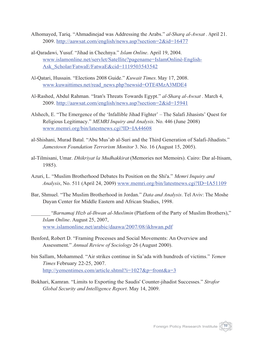- Alhomayed, Tariq. "Ahmadinejad was Addressing the Arabs." *al-Sharq al-Awsat* . April 21. 2009. http://aawsat.com/english/news.asp?section=2&id=16477
- al-Qaradawi, Yusuf. "Jihad in Chechnya." *Islam Online*. April 19, 2004. www.islamonline.net/servlet/Satellite?pagename=IslamOnlinè-English-Ask\_Scholar/FatwaE/FatwaE&cid=1119503543542
- Al-Qatari, Hussain. "Elections 2008 Guide." *Kuwait Times*. May 17, 2008. www.kuwaittimes.net/read\_news.php?newsid=OTE4MzA3MDE4
- Al-Rashed, Abdul Rahman. "Iran's Threats Towards Egypt." *al-Sharq al-Awsat* . March 4, 2009. http://aawsat.com/english/news.asp?section=2&id=15941
- Alshech, E. "The Emergence of the 'Infallible Jihad Fighter' The Salafi Jihasists' Quest for Religious Legitimacy." *MEMRI Inquiry and Analysis*. No. 446 (June 2008) www.memri.org/bin/latestnews.cgi?ID=IA44608
- al-Shishani, Murad Batal. "Abu Mus'ab al-Suri and the Third Generation of Salafi-Jihadists." *Jamestown Foundation Terrorism Monitor* 3. No. 16 (August 15, 2005).
- al-Tilmisani, Umar. *Dhikriyat la Mudhakkirat* (Memories not Memoirs). Cairo: Dar al-Itisam, 1985).
- Azuri, L. "Muslim Brotherhood Debates Its Position on the Shi'a." *Memri Inquiry and Analysis*, No. 511 (April 24, 2009) www.memri.org/bin/latestnews.cgi?ID=IA51109
- Bar, Shmuel. "The Muslim Brotherhood in Jordan." *Data and Analysis*. Tel Aviv: The Moshe Dayan Center for Middle Eastern and African Studies, 1998.
	- \_\_\_\_\_\_\_\_\_\_ "*Barnamaj Hizb al-Ihwan al-Muslimin* (Platform of the Party of Muslim Brothers)," *Islam Online*. August 25, 2007, www.islamonline.net/arabic/daawa/2007/08/ikhwan.pdf
- Benford, Robert D. "Framing Processes and Social Movements: An Overview and Assessment." *Annual Review of Sociology* 26 (August 2000).
- bin Sallam, Mohammed. "Air strikes continue in Sa'ada with hundreds of victims." *Yemen Times* February 22-25, 2007. http://yementimes.com/article.shtml?i=1027&p=front&a=3
- Bokhari, Kamran. "Limits to Exporting the Saudis' Counter-jihadist Successes." *Strafor Global Security and Intelligence Report*. May 14, 2009.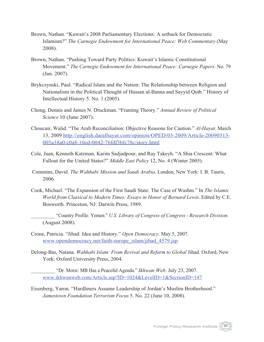- Brown, Nathan. "Kuwait's 2008 Parliamentary Elections: A setback for Democratic Islamism?" *The Carnegie Endowment for International Peace: Web Commentary* (May 2008).
- Brown, Nathan. "Pushing Toward Party Politics: Kuwait's Islamic Constitutional Movement." *The Carnegie Endowment for International Peace: Carnegie Papers*. No. 79 (Jan. 2007).
- Brykczynski, Paul. "Radical Islam and the Nation: The Relationship between Religion and Nationalism in the Political Thought of Hassan al-Banna and Sayyid Qutb." History of Intellectual History 5. No. 1 (2005).
- Chong, Dennis and James N. Druckman. "Framing Theory." *Annual Review of Political Science* 10 (June 2007).
- Choucair, Walid. "The Arab Reconciliation: Objective Reasons for Caution." *Al-Hayat*. March 13, 2009 http://english.daralhayat.com/opinion/OPED/03-2009/Article-20090313- 005a38a0-c0a8-10ed-0042-76fdf3bfc78c/story.html
- Cole, Juan, Kenneth Katzman, Karim Sadjadpour, and Ray Takeyh. "A Shia Crescent: What Fallout for the United States?" *Middle East Policy* 12, No. 4 (Winter 2005).
- Commins, David. *The Wahhabi Mission and Saudi Arabia*. London, New York: I. B. Tauris, 2006.
- Cook, Michael. "The Expansion of the First Saudi State: The Case of Washm." In *The Islamic World from Classical to Modern Times: Essays in Honor of Bernard Lewis*. Edited by C.E. Bosworth. Princeton, NJ: Darwin Press, 1989.
	- \_\_\_\_\_\_\_\_\_\_ "Country Profile: Yemen." *U.S. Library of Congress of Congress - Research Division*. (August 2008).
- Crone, Patricia. "Jihad: Idea and History." *Open Democracy*. May 5, 2007. www.opendemocracy.net/faith-europe\_islam/jihad\_4579.jsp
- Delong-Bas, Natana. *Wahhabi Islam: From Revival and Reform to Global* Jihad. Oxford, New York: Oxford University Press, 2004.
	- \_\_\_\_\_\_\_\_\_\_ "Dr. Morsi: MB Has a Peaceful Agenda." *Ikhwan Web*. July 23, 2007. www.ikhwanweb.com/Article.asp?ID=1024&LevelID=1&SectionID=147
- Eisenberg, Yaron. "Hardliners Assume Leadership of Jordan's Muslim Brotherhood." *Jamestown Foundation Terrorism Focus* 5. No. 22 (June 10, 2008).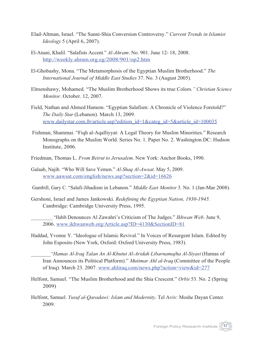- Elad-Altman, Israel. "The Sunni-Shia Conversion Controversy." *Current Trends in Islamist Ideology* 5 (April 6, 2007).
- El-Anani, Khalil. "Salafists Accent." *Al-Ahram*. No. 901. June 12- 18, 2008. http://weekly.ahram.org.eg/2008/901/op2.htm
- El-Ghobashy, Mona. "The Metamorphosis of the Egyptian Muslim Brotherhood." *The International Journal of Middle East Studies* 37. No. 3 (August 2005).
- Elmenshawy, Mohamed. "The Muslim Brotherhood Shows its true Colors*." Christian Science Monitor*. October. 12, 2007.
- Field, Nathan and Ahmed Hamem. "Egyptian Salafism: A Chronicle of Violence Foretold?" *The Daily Star* (Lebanon). March 13, 2009. www.dailystar.com.lb/article.asp?edition\_id=1&categ\_id=5&article\_id=100035
- Fishman, Shammai. "Fiqh al-Aqalliyyat: A Legal Theory for Muslim Minorities." Research Monographs on the Muslim World. Series No. 1. Paper No. 2. Washington DC: Hudson Institute, 2006.
- Friedman, Thomas L. *From Beirut to Jerusalem*. New York: Anchor Books, 1990.
- Galaab, Najib. "Who Will Save Yemen." *Al-Shaq Al-Awsat*. May 5, 2009. www.aawsat.com/english/news.asp?section=2&id=16626
- Gambill, Gary C. "Salafi-Jihadism in Lebanon." *Middle East Monitor* 3. No. 1 (Jan-Mar 2008).
- Gershoni, Israel and James Jankowski. *Redefining the Egyptian Nation, 1930-1945*. Cambridge: Cambridge University Press, 1995.

\_\_\_\_\_\_\_\_\_\_ "Habib Denounces Al Zawahri's Criticism of The Judges." *Ikhwan Web*. June 9, 2006. www.ikhwanweb.org/Article.asp?ID=4130&SectionID=81

Haddad, Yvonne Y. "Ideologue of Islamic Revival." In Voices of Resurgent Islam. Edited by John Esposito (New York, Oxford: Oxford University Press, 1983).

\_\_\_\_\_\_\_\_\_\_ "*Hamas Al-Iraq Talan An Al-Khutut Al-Aridah Libarnamajha Al-Siyasi* (Hamas of Iran Announces its Political Platform)." *Mutimar Ahl al-Iraq* (Committee of the People of Iraq). March 23. 2007. www.ahliraq.com/news.php?action=view&id=277

- Helfont, Samuel. "The Muslim Brotherhood and the Shia Crescent." *Orbis* 53. No. 2 (Spring 2009)
- Helfont, Samuel. *Yusuf al-Qaradawi: Islam and Modernity*. Tel Aviv: Moshe Dayan Center. 2009.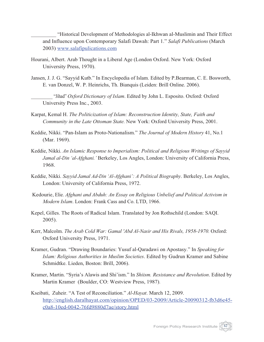\_\_\_\_\_\_\_\_\_\_ "Historical Development of Methodologies al-Ikhwan al-Muslimin and Their Effect and Influence upon Contemporary Salafi Dawah: Part 1." *Salafi Publications* (March 2003) www.salafipulications.com

- Hourani, Albert. Arab Thought in a Liberal Age (London Oxford. New York: Oxford University Press, 1970).
- Jansen, J. J. G. "Sayyid Kutb." In Encyclopedia of Islam. Edited by P.Bearman, C. E. Bosworth, E. van Donzel, W. P. Heinrichs, Th. Bianquis (Leiden: Brill Online. 2006).

\_\_\_\_\_\_\_\_\_\_ "Jihad" *Oxford Dictionary of Islam*. Edited by John L. Esposito. Oxford: Oxford University Press Inc., 2003.

- Karpat, Kemal H. *The Politicization of Islam: Reconstruction Identity, State, Faith and Community in the Late Ottoman State.* New York: Oxford University Press, 2001.
- Keddie, Nikki. "Pan-Islam as Proto-Nationalism." *The Journal of Modern History* 41, No.1 (Mar. 1969).
- Keddie, Nikki. *An Islamic Response to Imperialism: Political and Religious Writings of Sayyid Jamal al-Din 'al-Afghani.'* Berkeley, Los Angles, London: University of California Press, 1968.
- Keddie, Nikki. *Sayyid Jamal Ad-Din 'Al-Afghani': A Political Biography*. Berkeley, Los Angles, London: University of California Press, 1972.
- Kedourie, Elie. *Afghani and Abduh: An Essay on Religious Unbelief and Political Activism in Modern Islam*. London: Frank Cass and Co. LTD, 1966.
- Kepel, Gilles. The Roots of Radical Islam. Translated by Jon Rothschild (London: SAQI. 2005).
- Kerr, Malcolm. *The Arab Cold War: Gamal 'Abd Al-Nasir and His Rivals, 1958-1970.* Oxford: Oxford University Press, 1971.
- Kramer, Gudran. "Drawing Boundaries: Yusuf al-Qaradawi on Apostasy." In *Speaking for Islam: Religious Authorities in Muslim Societies*. Edited by Gudrun Kramer and Sabine Schmidtke. Lieden, Boston: Brill, 2006).
- Kramer, Martin. "Syria's Alawis and Shi'ism." In *Shiism. Resistance and Revolution*. Edited by Martin Kramer (Boulder, CO: Westview Press, 1987).
- Kseibati, Zuheir. "A Test of Reconciliation." *Al-Hayat*. March 12, 2009. http://english.daralhayat.com/opinion/OPED/03-2009/Article-20090312-fb3d6e45 c0a8-10ed-0042-76fd9880d7ae/story.html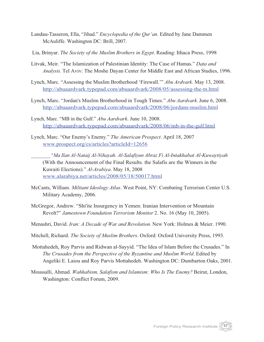- Landau-Tasseron, Ella, "Jihad." *Encyclopedia of the Qur'an*. Edited by Jane Dammen McAuliffe. Washington DC: Brill, 2007.
- Lia, Brinyar. *The Society of the Muslim Brothers in Egypt*. Reading: Ithaca Press, 1998
- Litvak, Meir. "The Islamization of Palestinian Identity: The Case of Hamas." *Data and Analysis.* Tel Aviv: The Moshe Dayan Center for Middle East and African Studies, 1996.
- Lynch, Marc. "Assessing the Muslim Brotherhood 'Firewall.'" *Abu Ardvark*. May 13, 2008. http://abuaardvark.typepad.com/abuaardvark/2008/05/assessing-the-m.html
- Lynch, Marc. "Jordan's Muslim Brotherhood in Tough Times." *Abu Aardvark*. June 6, 2008. http://abuaardvark.typepad.com/abuaardvark/2008/06/jordans-muslim.html
- Lynch, Marc. "MB in the Gulf." *Abu Aardvark*. June 10, 2008. http://abuaardvark.typepad.com/abuaardvark/2008/06/mb-in-the-gulf.html
- Lynch, Marc. "Our Enemy's Enemy." *The American Prospect*. April 18, 2007 www.prospect.org/cs/articles?articleId=12656

\_\_\_\_\_\_\_\_\_\_ "*Ma Ilan Al-Nataij Al-Nihayah. Al-Salafiyun Abraz Fi Al-Intakhabat Al-Kuwaytiyah* (With the Announcement of the Final Results. the Salafis are the Winners in the Kuwaiti Elections)." *Al-Arabiya*. May 18, 2008 www.alarabiya.net/articles/2008/05/18/50017.html

- McCants, William. *Militant Ideology Atlas*. West Point, NY: Combating Terrorism Center U.S. Military Academy, 2006.
- McGregor, Andrew. "Shi'ite Insurgency in Yemen: Iranian Intervention or Mountain Revolt?" *Jamestown Foundation Terrorism Monitor* 2. No. 16 (May 10, 2005).
- Menashri, David. *Iran: A Decade of War and Revolution.* New York: Holmes & Meier. 1990.
- Mitchell, Richard. *The Society of Muslim Brothers*. Oxford: Oxford University Press, 1993.
- Mottahedeh, Roy Parvis and Ridwan al-Sayyid. "The Idea of Islam Before the Crusades." In *The Crusades from the Perspective of the Byzantine and Muslim World*. Edited by Angeliki E. Laiou and Roy Parvis Mottahedeh. Washington DC: Dumbarton Oaks, 2001.
- Moussalli, Ahmad. *Wahhabism, Salafism and Islamism: Who Is The Enemy?* Beirut, London, Washington: Conflict Forum, 2009.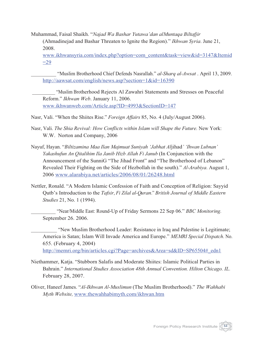Muhammad, Faisal Shaikh. "*Najad Wa Bashar Yutawa'dan alMuntaqa Biltafjir* (Ahmadinejad and Bashar Threaten to Ignite the Region)." *Ikhwan Syria*. June 21, 2008.

www.ikhwansyria.com/index.php?option=com\_content&task=view&id=3147&Itemid  $=29$ 

\_\_\_\_\_\_\_\_\_\_ "Muslim Brotherhood Chief Defends Nasrallah." *al-Sharq al-Awsat* . April 13, 2009. http://aawsat.com/english/news.asp?section=1&id=16390

\_\_\_\_\_\_\_\_\_\_ "Muslim Brotherhood Rejects Al Zawahri Statements and Stresses on Peaceful Reform." *Ikhwan Web*. January 11, 2006. www.ikhwanweb.com/Article.asp?ID=4993&SectionID=147

Nasr, Vali. "When the Shiites Rise." *Foreign Affairs* 85, No. 4 (July/August 2006).

- Nasr, Vali. *The Shia Revival: How Conflicts within Islam will Shape the Future.* New York: W.W. Norton and Company, 2006
- Nayuf, Hayan. "*Biltizamina Maa Ilan Majmuat Suniyah 'Jabhat Al*jihad*' 'Ihwan Lubnan' Yakashufun An Qitalihim Ila Janib Hizb Allah Fi Janub* (In Conjunction with the Announcement of the SunniG "The Jihad Front" and "The Brotherhood of Lebanon" Revealed Their Fighting on the Side of Hezbollah in the south)." *Al-Arabiya*. August 1, 2006 www.alarabiya.net/articles/2006/08/01/26248.html
- Nettler, Ronald. "A Modern Islamic Confession of Faith and Conception of Religion: Sayyid Qutb's Introduction to the *Tafsir*, *Fi Zilal al-Quran*." *British Journal of Middle Eastern Studies* 21, No. 1 (1994).

\_\_\_\_\_\_\_\_\_\_ "Near/Middle East: Round-Up of Friday Sermons 22 Sep 06." *BBC Monitoring*. September 26. 2006.

"New Muslim Brotherhood Leader: Resistance in Iraq and Palestine is Legitimate; America is Satan; Islam Will Invade America and Europe." *MEMRI Special Dispatch*. No. 655. (February 4, 2004) http://memri.org/bin/articles.cgi?Page=archives&Area=sd&ID=SP65504#\_edn1

- Niethammer, Katja. "Stubborn Salafis and Moderate Shiites: Islamic Political Parties in Bahrain." *International Studies Association 48th Annual Convention. Hilton Chicago. IL*. February 28, 2007.
- Oliver, Haneef James. "*Al-Ikhwan Al-Muslimun* (The Muslim Brotherhood)." *The Wahhabi Myth Website,* www.thewahhabimyth.com/ikhwan.htm

Foreign Policy Research Institute <sup>64</sup>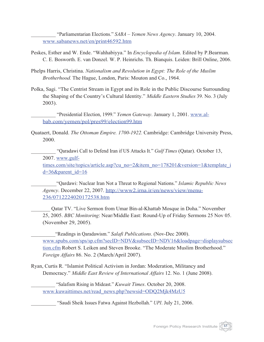\_\_\_\_\_\_\_\_\_\_ "Parliamentarian Elections." *SABA – Yemen News Agency*. January 10, 2004. www.sabanews.net/en/print46592.htm

- Peskes, Esther and W. Ende. "Wahhabiyya." In *Encyclopedia of Islam*. Edited by P.Bearman. C. E. Bosworth. E. van Donzel. W. P. Heinrichs. Th. Bianquis. Leiden: Brill Online, 2006.
- Phelps Harris, Christina. *Nationalism and Revolution in Egypt: The Role of the Muslim Brotherhood.* The Hague, London, Paris: Mouton and Co., 1964.
- Polka, Sagi. "The Centrist Stream in Egypt and its Role in the Public Discourse Surrounding the Shaping of the Country's Cultural Identity." *Middle Eastern Studies* 39. No. 3 (July 2003).

\_\_\_\_\_\_\_\_\_\_ "Presidential Election, 1999." *Yemen Gateway*. January 1, 2001. www.albab.com/yemen/pol/pres99/election99.htm

Quataert, Donald. *The Ottoman Empire. 1700-1922.* Cambridge: Cambridge University Press, 2000.

\_\_\_\_\_\_\_\_\_\_ "Qaradawi Call to Defend Iran if US Attacks It." *Gulf Times* (Qatar). October 13, 2007. www.gulf-

times.com/site/topics/article.asp?cu\_no=2&item\_no=178201&version=1&template\_i  $d=36$ &parent  $id=16$ 

\_\_\_\_\_\_\_\_\_\_"Qardawi: Nuclear Iran Not a Threat to Regional Nations." *Islamic Republic News Agency*. December 22, 2007. http://www2.irna.ir/en/news/view/menu-236/0712224020172538.htm

\_\_\_\_\_\_\_\_\_\_ Qatar TV. "Live Sermon from Umar Bin-al-Khattab Mosque in Doha." November 25, 2005. *BBC Monitoring*: Near/Middle East: Round-Up of Friday Sermons 25 Nov 05. (November 29, 2005).

\_\_\_\_\_\_\_\_\_\_"Readings in Qaradawism." *Salafi Publications*. (Nov-Dec 2000). www.spubs.com/sps/sp.cfm?secID=NDV&subsecID=NDV16&loadpage=displaysubsec tion.cfm Robert S. Leiken and Steven Brooke. "The Moderate Muslim Brotherhood." *Foreign Affairs* 86. No. 2 (March/April 2007).

Ryan, Curtis R. "Islamist Political Activism in Jordan: Moderation, Militancy and Democracy." *Middle East Review of International Affairs* 12. No. 1 (June 2008).

\_\_\_\_\_\_\_\_\_\_ "Salafism Rising in Mideast." *Kuwait Times*. October 20, 2008. www.kuwaittimes.net/read\_news.php?newsid=ODQ2Mjk4MzU5

\_\_\_\_\_\_\_\_\_\_ "Saudi Sheik Issues Fatwa Against Hezbollah." *UPI*. July 21, 2006.

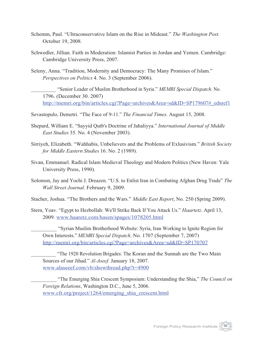- Schemm, Paul. "Ultraconservative Islam on the Rise in Mideast." *The Washington Post*. October 19, 2008.
- Schwedler, Jillian. Faith in Moderation: Islamist Parties in Jordan and Yemen. Cambridge: Cambridge University Press, 2007.
- Seleny, Anna. "Tradition, Modernity and Democracy: The Many Promises of Islam." *Perspectives on Politics* 4. No. 3 (September 2006).
	- \_\_\_\_\_\_\_\_\_\_ "Senior Leader of Muslim Brotherhood in Syria." *MEMRI Special Dispatch*. No. 1796. (December 30. 2007) http://memri.org/bin/articles.cgi?Page=archives&Area=sd&ID=SP179607#\_ednref1
- Sevastopulo, Demetri. "The Face of 9-11." *The Financial Times*. August 15, 2008.
- Shepard, William E. "Sayyid Qutb's Doctrine of Jahaliyya." *International Journal of Middle East Studies* 35. No. 4 (November 2003).
- Sirriyeh, Elizabeth. "Wahhabis, Unbelievers and the Problems of Exlusivism." *British Society for Middle Eastern Studies* 16. No. 2 (1989).
- Sivan, Emmanuel. Radical Islam Medieval Theology and Modern Politics (New Haven: Yale University Press, 1990).
- Solomon, Jay and Yochi J. Dreazen. "U.S. to Enlist Iran in Combating Afghan Drug Trade" *The Wall Street Journal*. February 9, 2009.

Stacher, Joshua. "The Brothers and the Wars." *Middle East Report*, No. 250 (Spring 2009).

Stern, Yoav. "Egypt to Hezbollah: We'll Strike Back If You Attack Us." *Haartetz*. April 13, 2009. www.haaretz.com/hasen/spages/1078205.html

\_\_\_\_\_\_\_\_\_\_ "Syrian Muslim Brotherhood Website: Syria, Iran Working to Ignite Region for Own Interests."*MEMRI Special Dispatch*. No. 1707 (September 7, 2007) http://memri.org/bin/articles.cgi?Page=archives&Area=sd&ID=SP170707

"The 1920 Revolution Brigades: The Koran and the Sunnah are the Two Main Sources of our Jihad." *Al-Aseef*. January 18, 2007. www.alaseeef.com/vb/showthread.php?t=4900

\_\_\_\_\_\_\_\_\_\_ "The Emerging Shia Crescent Symposium: Understanding the Shia," *The Council on Foreign Relations*, Washington D.C., June 5, 2006. www.cfr.org/project/1264/emerging\_shia\_crescent.html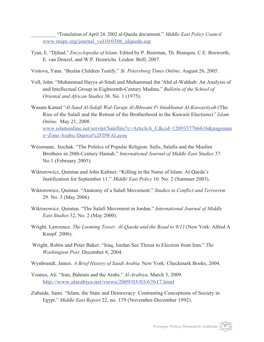\_\_\_\_\_\_\_\_\_\_ "Translation of April 24. 2002 al-Qaeda document." *Middle East Policy Council*. www.mepc.org/journal\_vol10/0306\_alqaeda.asp

- Tyan, E. "Djihad." *Encyclopedia of Islam*. Edited by P. Bearman, Th. Bianquis, C.E. Bosworth, E. van Donzel, and W.P. Heinrichs. Leiden: Brill, 2007.
- Voitova, Yana. "Beslan Children Testify." *St. Petersburg Times Online*. August 26, 2005.
- Voll, John. "Muhammad Hayya al-Sindi and Muhammad ibn 'Abd al-Wahhab: An Analysis of and Intellectual Group in Eighteenth-Century Madina." *Bulletin of the School of Oriental and African Studies* 38. No. 1 (1975).
- Wasam Kamal "*Al-Saud Al-Salafi Wal-Taraju Al-Ikhwani Fi Intakhanat Al-Kuwaytiyah* (The Rise of the Salafi and the Retreat of the Brotherhood in the Kuwaiti Elections)." *Islam Online.* May 21, 2008. www.islamonline.net/servlet/Satellite?c=ArticleA\_C&cid=1209357766616&pagenam e=Zone-Arabic-Daawa%2FDWALayou
- Weismann, Itzchak. "The Politics of Popular Religion: Sufis, Salafis and the Muslim Brothers in 20th-Century Hamah." *International Journal of Middle East Studies* 37. No.1 (February 2005).
- Wiktorowicz, Quintan and John Kaltner. "Killing in the Name of Islam: Al-Qaeda's Justification for September 11." *Middle East Policy* 10. No. 2 (Summer 2003).
- Wiktorowicz, Quintan. "Anatomy of a Salafi Movement." *Studies in Conflict and Terrorism* 29. No. 3 (May 2006)
- Wiktorowicz. Quintan. "The Salafi Movement in Jordan." *International Journal of Middle East Studies* 32, No. 2 (May 2000).
- Wright, Lawrence. *The Looming Tower: Al-Qaeda and the Road to 9/11* (New York: Alfred A Knopf. 2006).
- Wright, Robin and Peter Baker. "Iraq, Jordan See Threat to Election from Iran." *The Washington Post*. December 8, 2004.
- Wynbrandt, James. *A Brief History of Saudi Arabia.* New York: Checkmark Books, 2004.
- Younes, Ali. "Iran, Bahrain and the Arabs." *Al-Arabiya*. March 3, 2009. http://www.alarabiya.net/views/2009/03/03/67617.html
- Zubaida, Sami. "Islam, the State and Democracy: Contrasting Conceptions of Society in Egypt." *Middle East Report* 22, no. 179 (November-December 1992).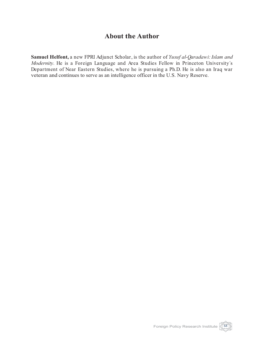## **About the Author**

**Samuel Helfont,** a new FPRI Adjunct Scholar, is the author of *Yusuf al-Qaradawi: Islam and Modernity*. He is a Foreign Language and Area Studies Fellow in Princeton University´s Department of Near Eastern Studies, where he is pursuing a Ph.D. He is also an Iraq war veteran and continues to serve as an intelligence officer in the U.S. Navy Reserve.

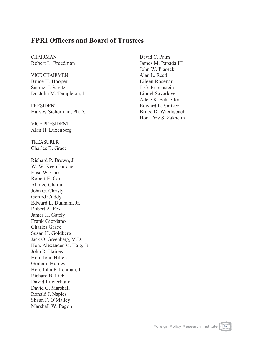## **FPRI Officers and Board of Trustees**

CHAIRMAN Robert L. Freedman

VICE CHAIRMEN Bruce H. Hooper Samuel J. Savitz Dr. John M. Templeton, Jr.

PRESIDENT Harvey Sicherman, Ph.D.

VICE PRESIDENT Alan H. Luxenberg

TREASURER Charles B. Grace

Richard P. Brown, Jr. W. W. Keen Butcher Elise W. Carr Robert E. Carr Ahmed Charai John G. Christy Gerard Cuddy Edward L. Dunham, Jr. Robert A. Fox James H. Gately Frank Giordano Charles Grace Susan H. Goldberg Jack O. Greenberg, M.D. Hon. Alexander M. Haig, Jr. John R. Haines Hon. John Hillen Graham Humes Hon. John F. Lehman, Jr. Richard B. Lieb David Lucterhand David G. Marshall Ronald J. Naples Shaun F. O'Malley Marshall W. Pagon

David C. Palm James M. Papada III John W. Piasecki Alan L. Reed Eileen Rosenau J. G. Rubenstein Lionel Savadove Adele K. Schaeffer Edward L. Snitzer Bruce D. Wietlisbach Hon. Dov S. Zakheim